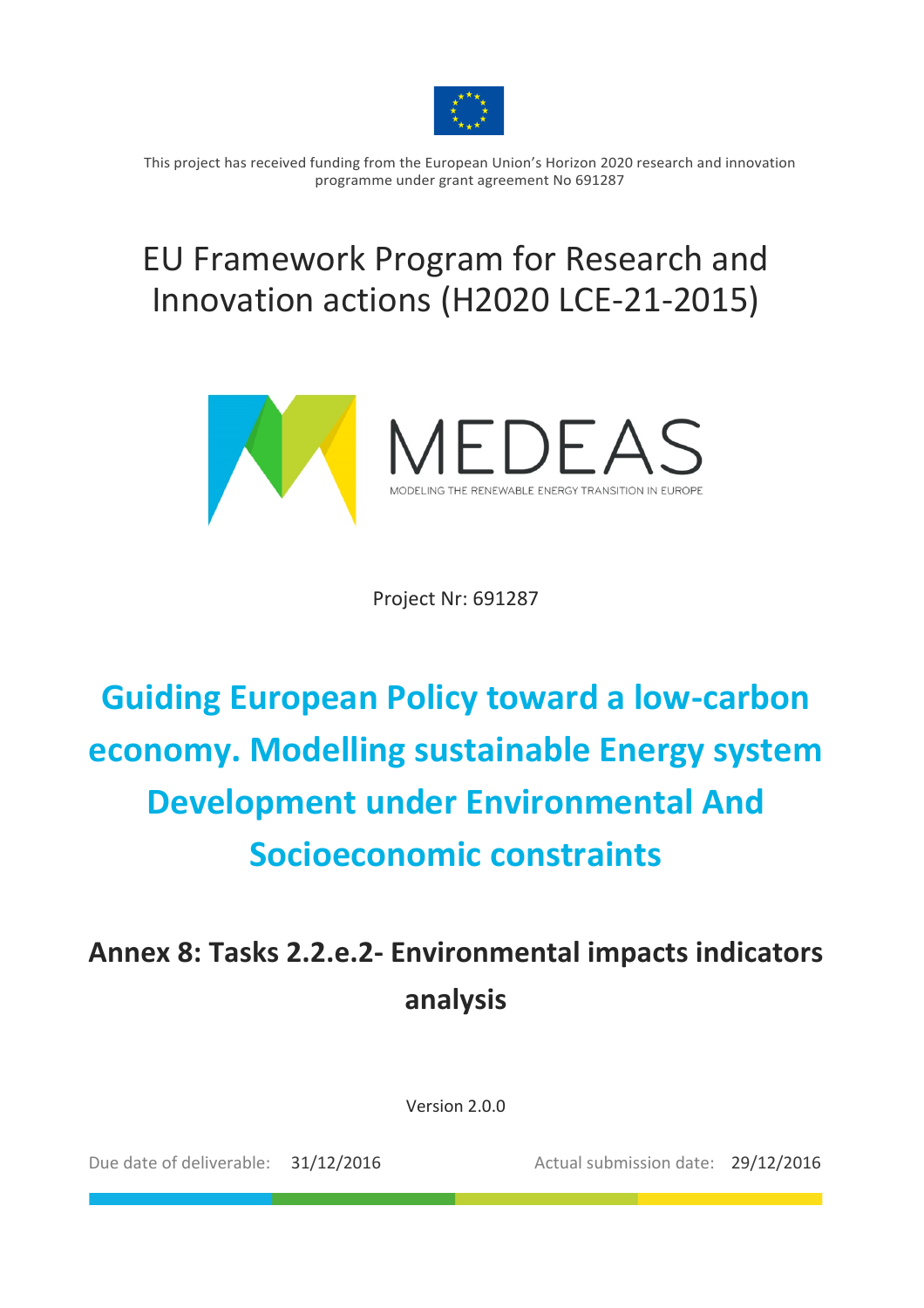

This project has received funding from the European Union's Horizon 2020 research and innovation programme under grant agreement No 691287

## EU Framework Program for Research and Innovation actions (H2020 LCE-21-2015)



Project Nr: 691287

# **Guiding European Policy toward a low-carbon economy.'Modelling'sustainable'Energy'system' Development under Environmental And Socioeconomic constraints**

## Annex 8: Tasks 2.2.e.2- Environmental impacts indicators **analysis**

Version 2.0.0

Due date of deliverable: 31/12/2016 Actual submission date: 29/12/2016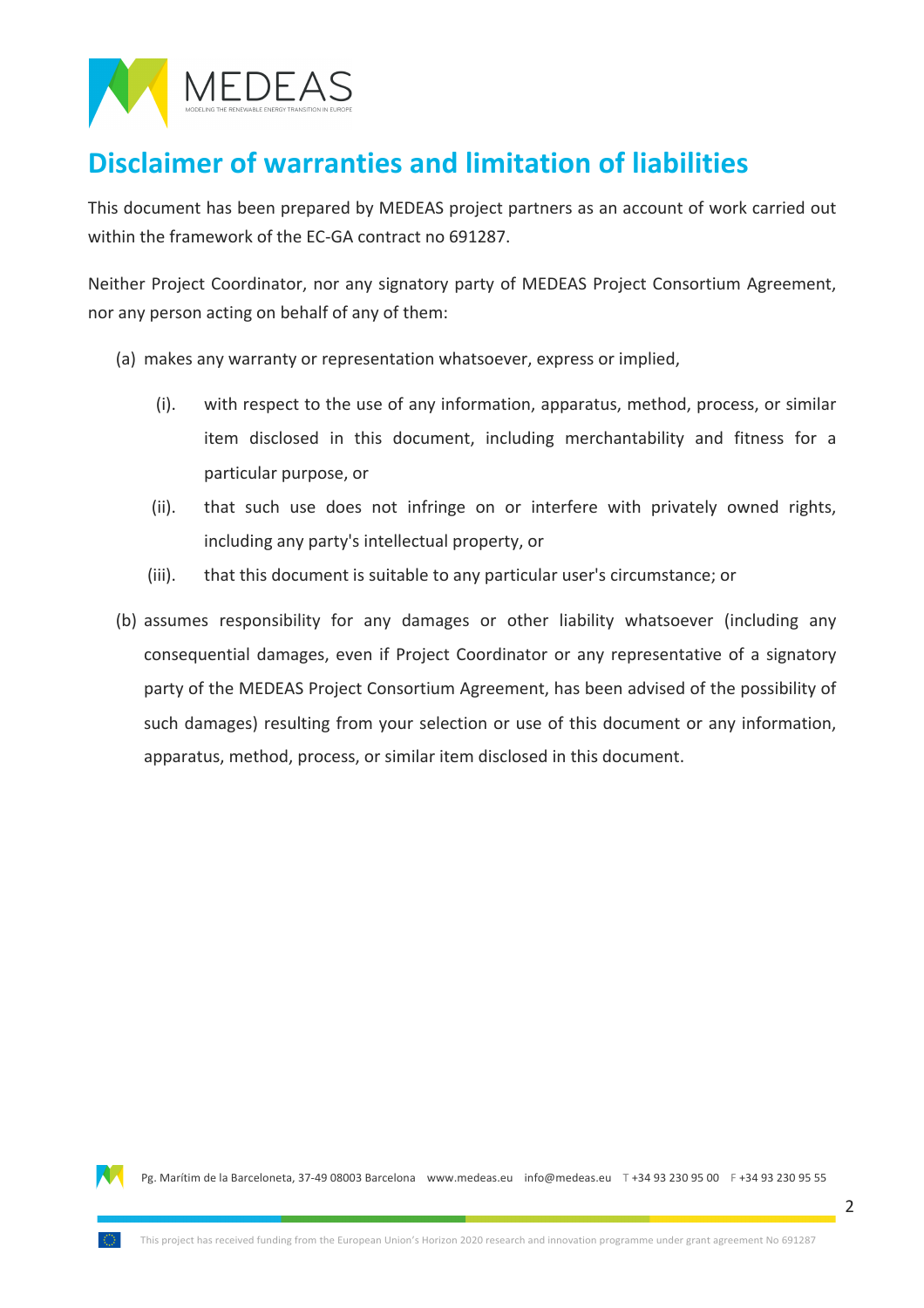

### **Disclaimer'of'warranties'and'limitation'of'liabilities**

This document has been prepared by MEDEAS project partners as an account of work carried out within the framework of the EC-GA contract no 691287.

Neither Project Coordinator, nor any signatory party of MEDEAS Project Consortium Agreement, nor any person acting on behalf of any of them:

- (a) makes any warranty or representation whatsoever, express or implied,
	- $(i)$ . with respect to the use of any information, apparatus, method, process, or similar item disclosed in this document, including merchantability and fitness for a particular purpose, or
	- (ii). that such use does not infringe on or interfere with privately owned rights, including any party's intellectual property, or
	- (iii). that this document is suitable to any particular user's circumstance; or
- (b) assumes responsibility for any damages or other liability whatsoever (including any consequential damages, even if Project Coordinator or any representative of a signatory party of the MEDEAS Project Consortium Agreement, has been advised of the possibility of such damages) resulting from your selection or use of this document or any information, apparatus, method, process, or similar item disclosed in this document.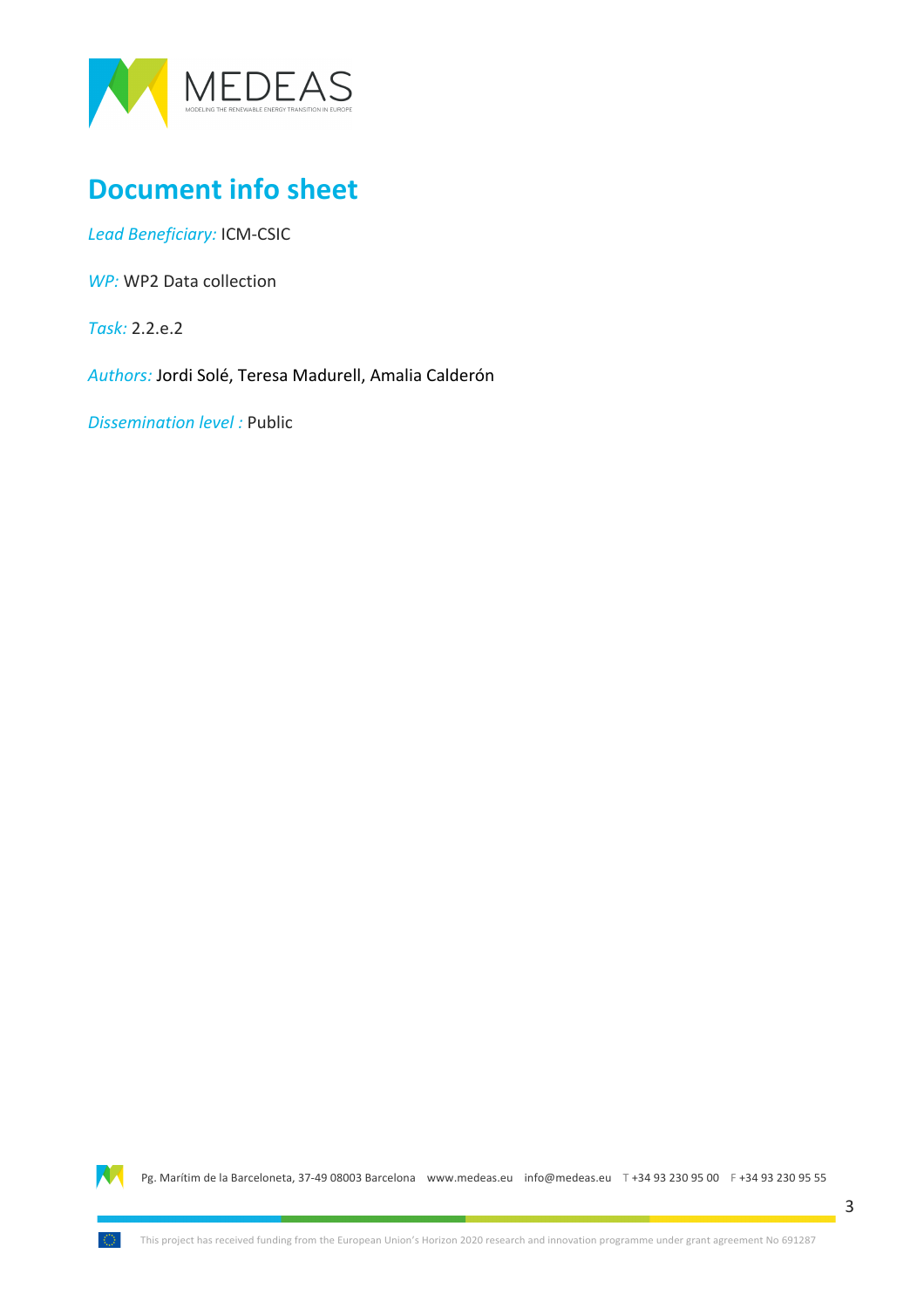

### **Document info sheet**

Lead Beneficiary: ICM-CSIC

*WP:* WP2 Data collection

*Task:* 2.2.e.2

Authors: Jordi Solé, Teresa Madurell, Amalia Calderón

*Dissemination level:* Public

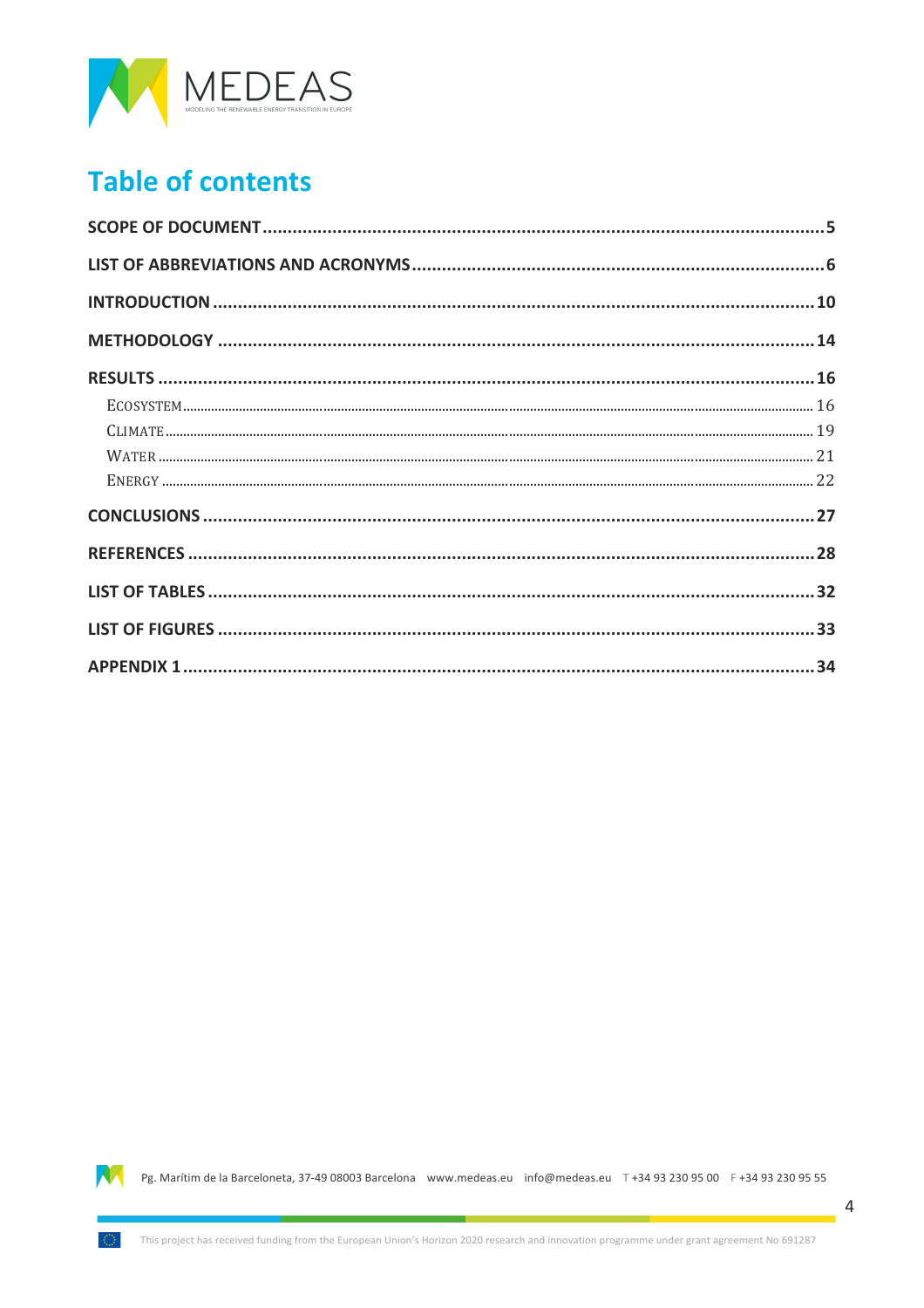

### **Table of contents**

| $\textbf{ECOS} \texttt{YSTEM} \textcolor{red}{.}\textbf{}\textcolor{red}{.}\textbf{}\textcolor{red}{.}\textbf{}\textcolor{red}{.}\textbf{}\textcolor{red}{.}\textbf{}\textcolor{red}{.}\textbf{}\textcolor{red}{.}\textbf{}\textcolor{red}{.}\textbf{}\textcolor{red}{.}\textbf{}\textcolor{red}{.}\textbf{}\textcolor{red}{.}\textbf{}\textcolor{red}{.}\textbf{}\textcolor{red}{.}\textbf{}\textcolor{red}{.}\textbf{}\textcolor{red}{.}\textbf{}\textcolor{red}{.}\textbf{}\textcolor{red}{.}\textbf{}\text$ |  |
|-----------------------------------------------------------------------------------------------------------------------------------------------------------------------------------------------------------------------------------------------------------------------------------------------------------------------------------------------------------------------------------------------------------------------------------------------------------------------------------------------------------------|--|
|                                                                                                                                                                                                                                                                                                                                                                                                                                                                                                                 |  |
|                                                                                                                                                                                                                                                                                                                                                                                                                                                                                                                 |  |
|                                                                                                                                                                                                                                                                                                                                                                                                                                                                                                                 |  |
|                                                                                                                                                                                                                                                                                                                                                                                                                                                                                                                 |  |
|                                                                                                                                                                                                                                                                                                                                                                                                                                                                                                                 |  |
|                                                                                                                                                                                                                                                                                                                                                                                                                                                                                                                 |  |
|                                                                                                                                                                                                                                                                                                                                                                                                                                                                                                                 |  |
|                                                                                                                                                                                                                                                                                                                                                                                                                                                                                                                 |  |

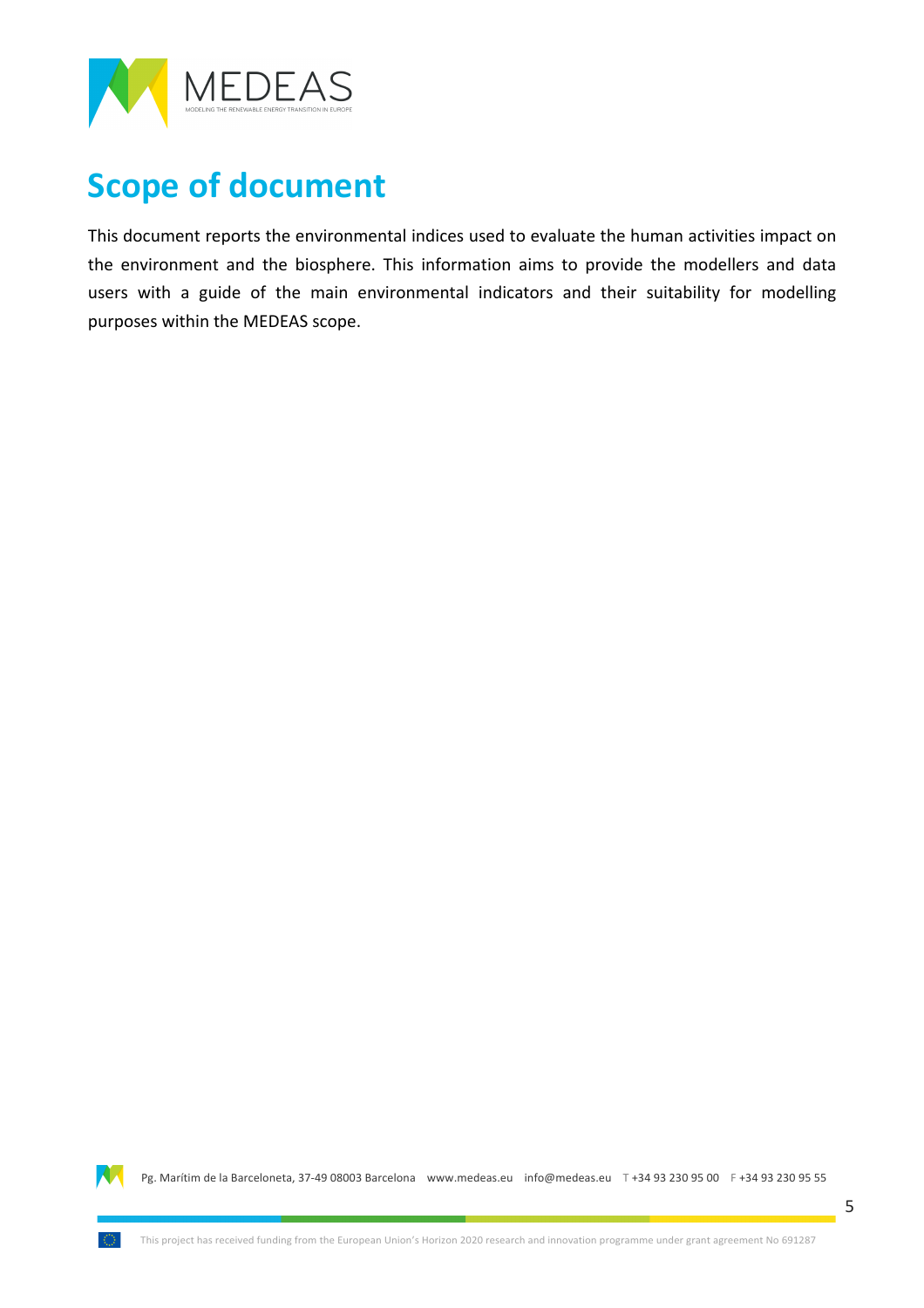

## **Scope of document**

This document reports the environmental indices used to evaluate the human activities impact on the environment and the biosphere. This information aims to provide the modellers and data users with a guide of the main environmental indicators and their suitability for modelling purposes within the MEDEAS scope.

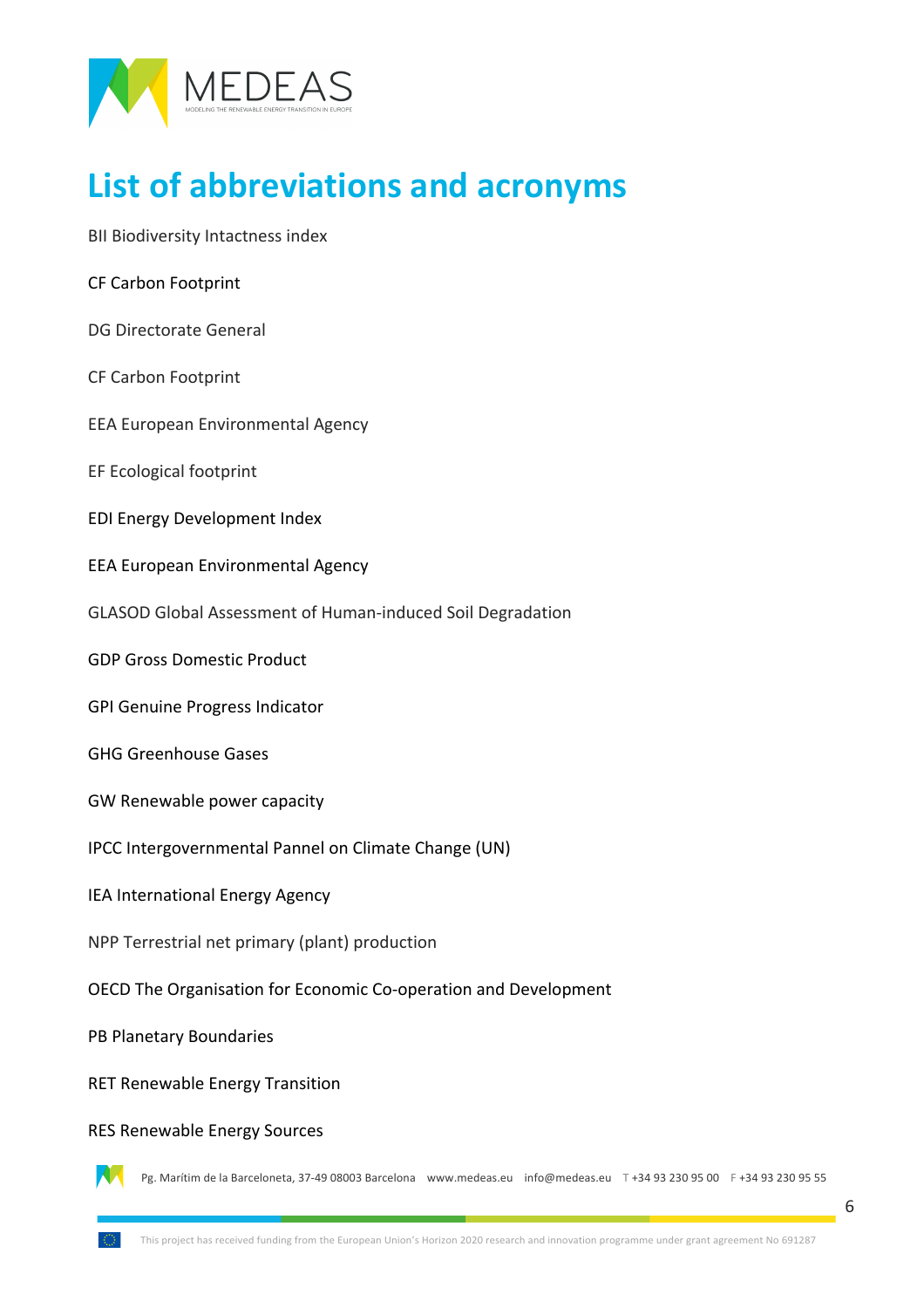

## **List of abbreviations and acronyms**

BII Biodiversity Intactness index

CF Carbon Footprint

DG Directorate General

CF Carbon Footprint

EEA European Environmental Agency

EF Ecological footprint

EDI Energy Development Index

EEA European Environmental Agency

GLASOD Global Assessment of Human-induced Soil Degradation

GDP Gross Domestic Product

GPI Genuine Progress Indicator

GHG Greenhouse Gases

GW Renewable power capacity

IPCC Intergovernmental Pannel on Climate Change (UN)

IEA International Energy Agency

NPP Terrestrial net primary (plant) production

OECD The Organisation for Economic Co-operation and Development

PB Planetary Boundaries

RET Renewable Energy Transition

RES Renewable Energy Sources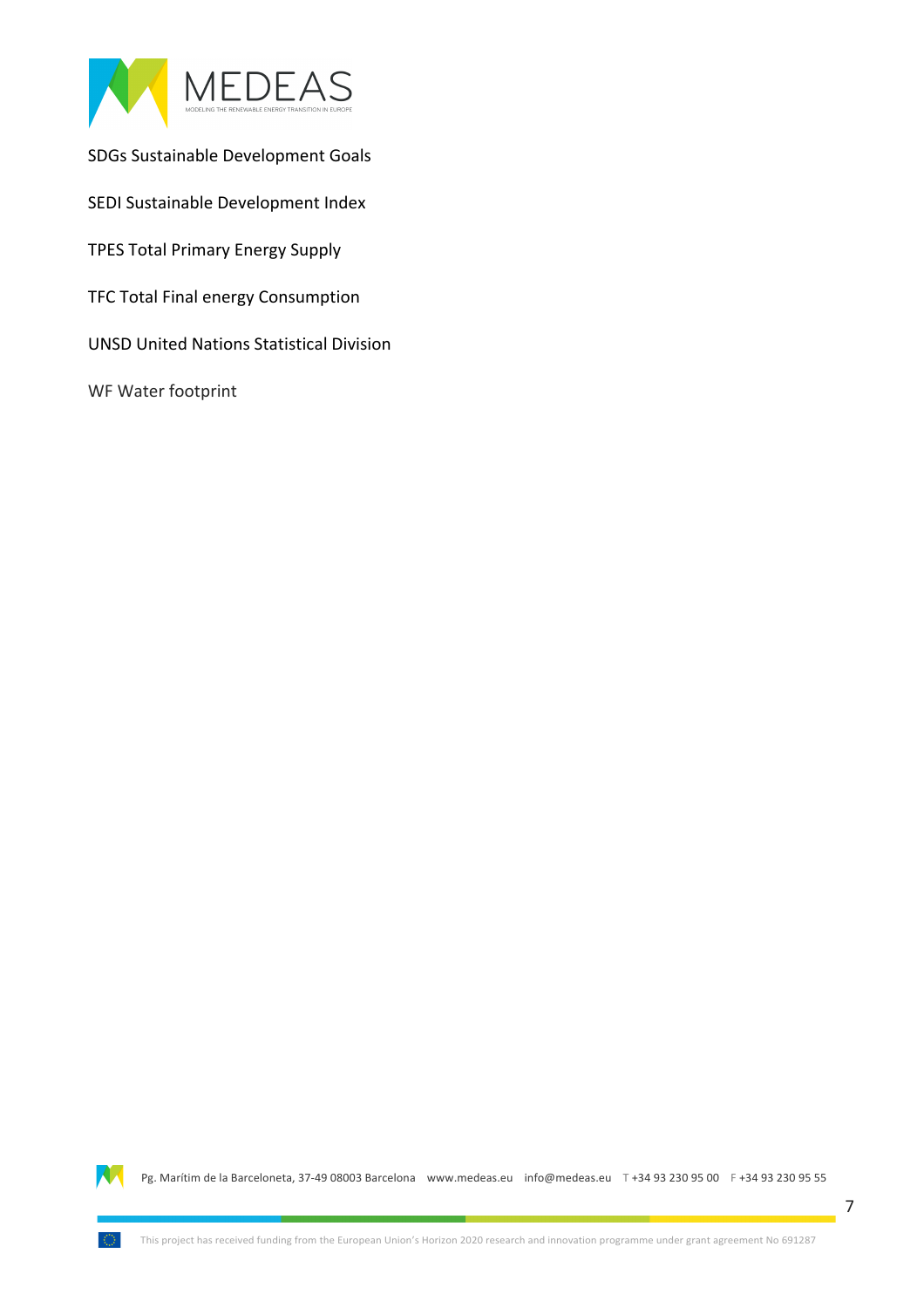

SDGs Sustainable Development Goals

SEDI Sustainable Development Index

TPES Total Primary Energy Supply

TFC Total Final energy Consumption

**UNSD United Nations Statistical Division** 

WF Water footprint

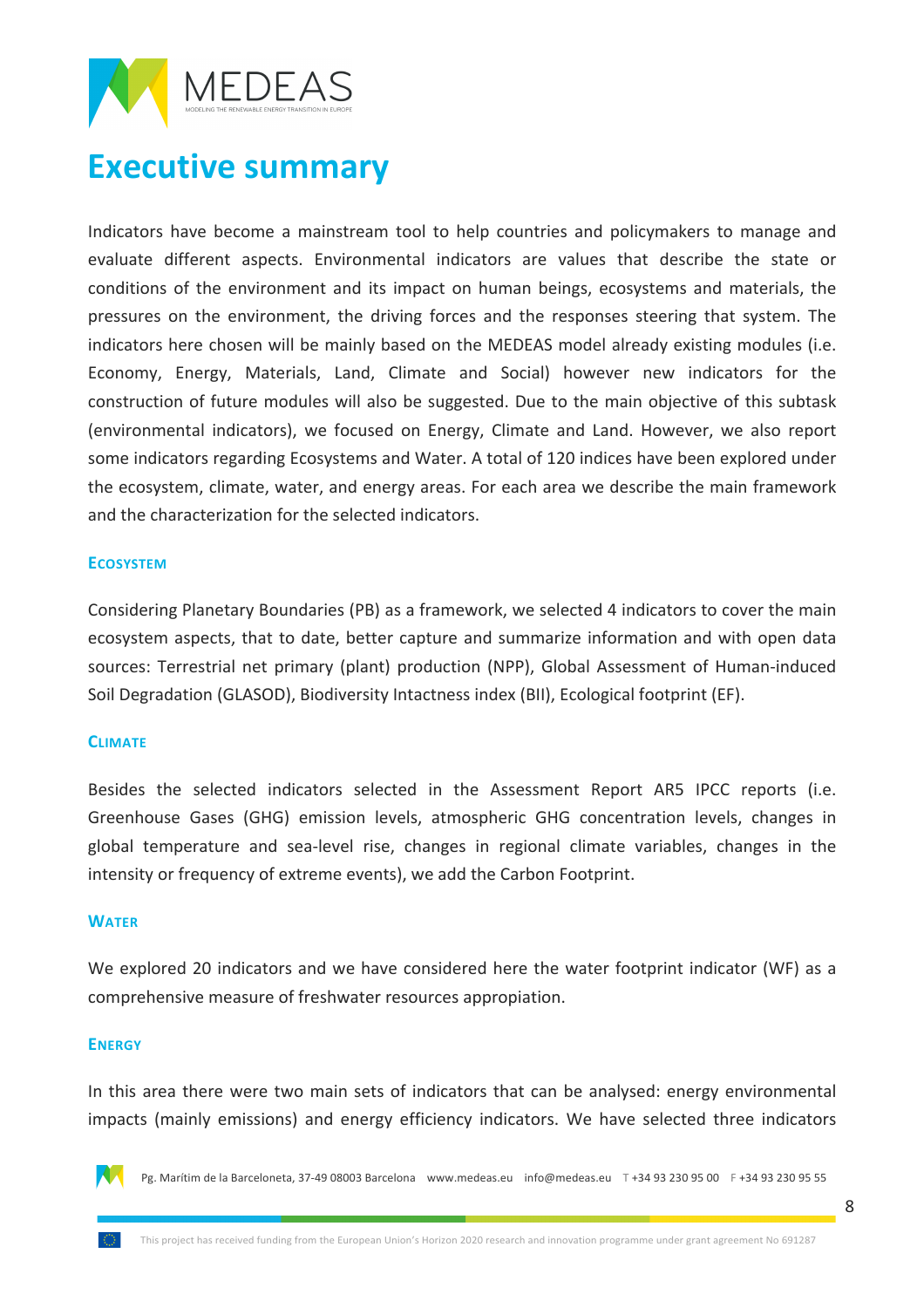

### **Executive summary**

Indicators have become a mainstream tool to help countries and policymakers to manage and evaluate different aspects. Environmental indicators are values that describe the state or conditions of the environment and its impact on human beings, ecosystems and materials, the pressures on the environment, the driving forces and the responses steering that system. The indicators here chosen will be mainly based on the MEDEAS model already existing modules (i.e. Economy, Energy, Materials, Land, Climate and Social) however new indicators for the construction of future modules will also be suggested. Due to the main objective of this subtask (environmental indicators), we focused on Energy, Climate and Land. However, we also report some indicators regarding Ecosystems and Water. A total of 120 indices have been explored under the ecosystem, climate, water, and energy areas. For each area we describe the main framework and the characterization for the selected indicators.

#### **ECOSYSTEM**

Considering Planetary Boundaries (PB) as a framework, we selected 4 indicators to cover the main ecosystem aspects, that to date, better capture and summarize information and with open data sources: Terrestrial net primary (plant) production (NPP), Global Assessment of Human-induced Soil Degradation (GLASOD), Biodiversity Intactness index (BII), Ecological footprint (EF).

#### **CLIMATE**

Besides the selected indicators selected in the Assessment Report AR5 IPCC reports (i.e. Greenhouse Gases (GHG) emission levels, atmospheric GHG concentration levels, changes in global temperature and sea-level rise, changes in regional climate variables, changes in the intensity or frequency of extreme events), we add the Carbon Footprint.

#### **WATER**

We explored 20 indicators and we have considered here the water footprint indicator (WF) as a comprehensive measure of freshwater resources appropiation.

#### **ENERGY**

In this area there were two main sets of indicators that can be analysed: energy environmental impacts (mainly emissions) and energy efficiency indicators. We have selected three indicators

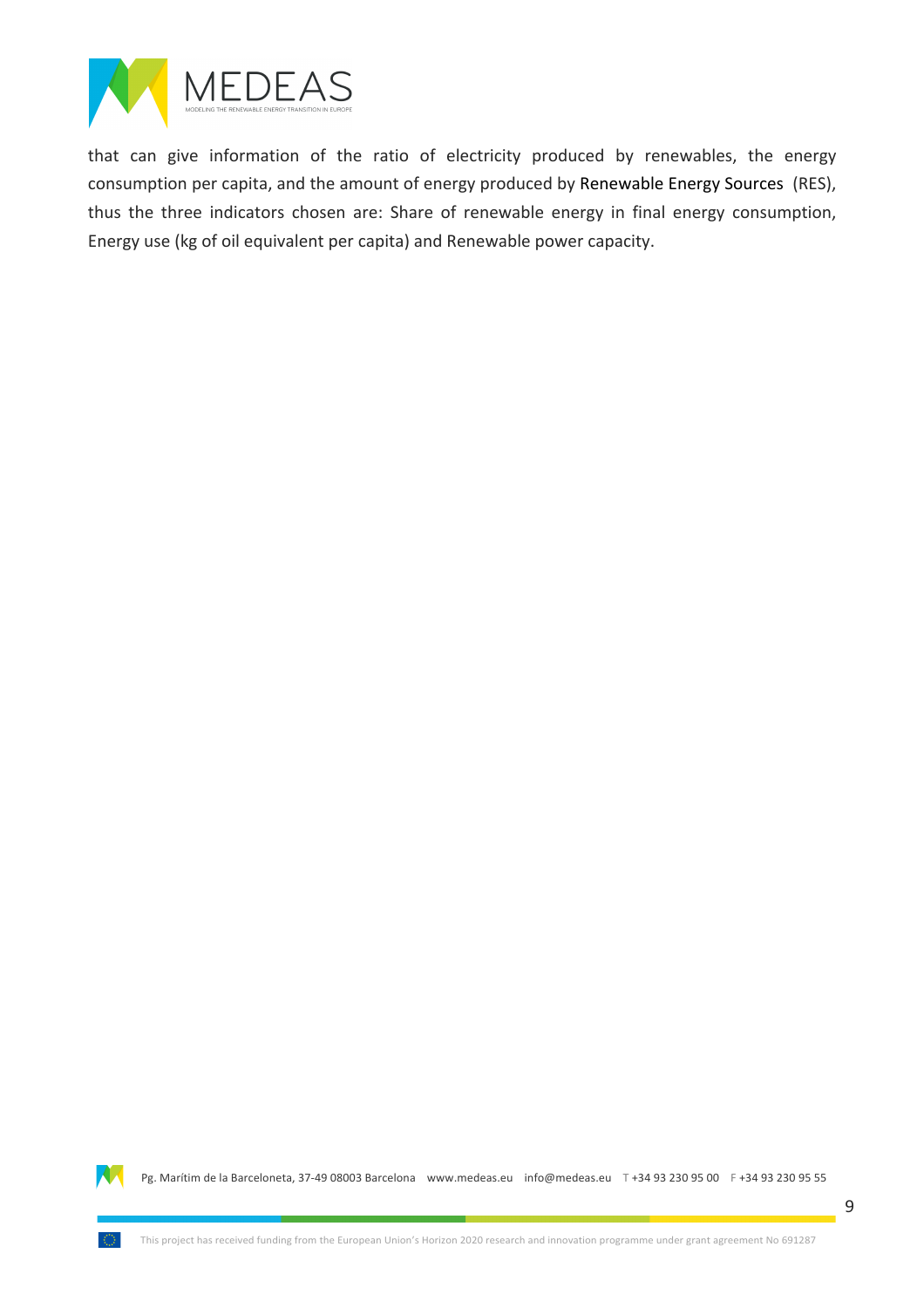

that can give information of the ratio of electricity produced by renewables, the energy consumption per capita, and the amount of energy produced by Renewable Energy Sources (RES), thus the three indicators chosen are: Share of renewable energy in final energy consumption, Energy use (kg of oil equivalent per capita) and Renewable power capacity.

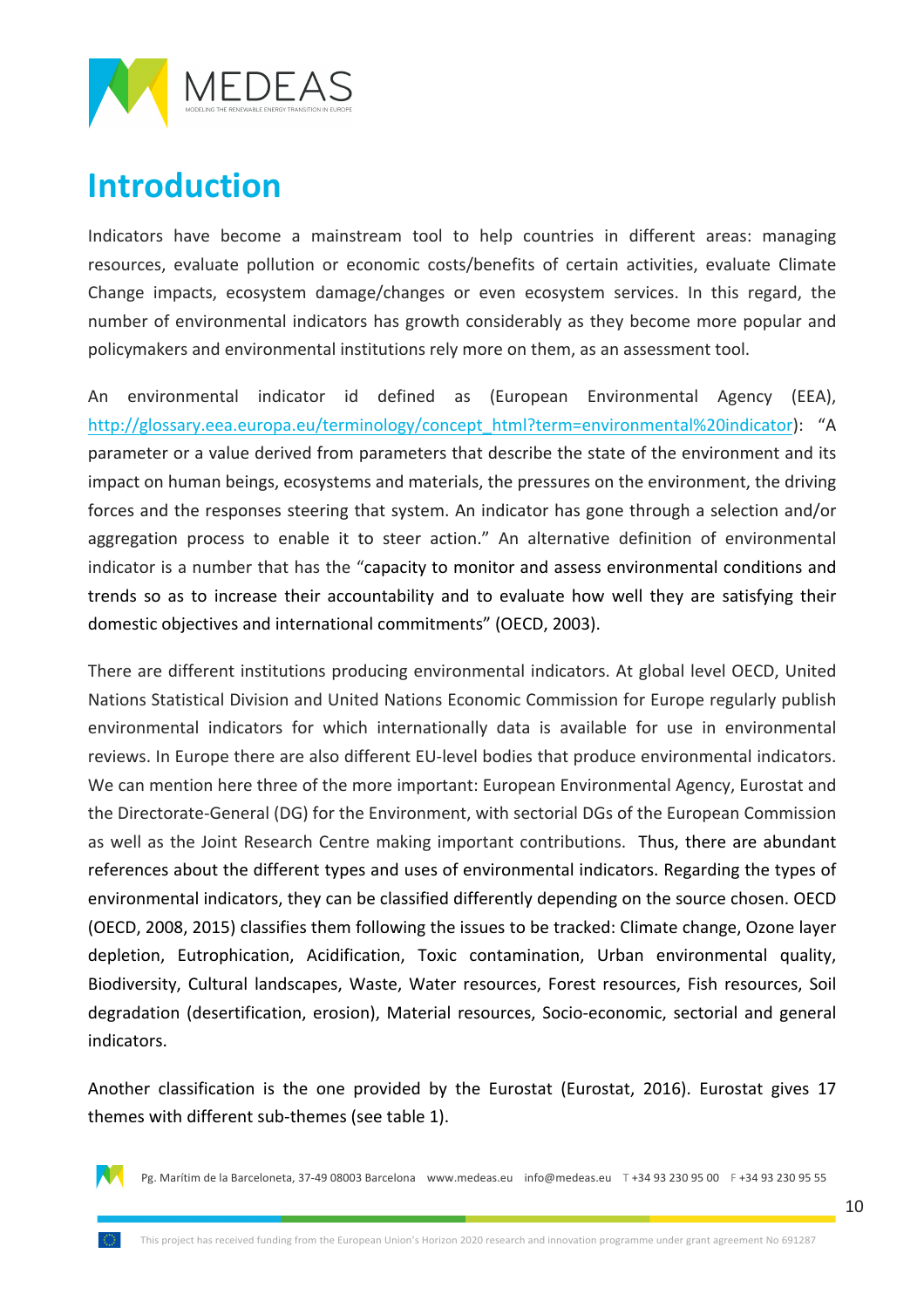

## **Introduction**

Indicators have become a mainstream tool to help countries in different areas: managing resources, evaluate pollution or economic costs/benefits of certain activities, evaluate Climate Change impacts, ecosystem damage/changes or even ecosystem services. In this regard, the number of environmental indicators has growth considerably as they become more popular and policymakers and environmental institutions rely more on them, as an assessment tool.

An environmental indicator id defined as (European Environmental Agency (EEA), http://glossary.eea.europa.eu/terminology/concept\_html?term=environmental%20indicator): "A parameter or a value derived from parameters that describe the state of the environment and its impact on human beings, ecosystems and materials, the pressures on the environment, the driving forces and the responses steering that system. An indicator has gone through a selection and/or aggregation process to enable it to steer action." An alternative definition of environmental indicator is a number that has the "capacity to monitor and assess environmental conditions and trends so as to increase their accountability and to evaluate how well they are satisfying their domestic objectives and international commitments" (OECD, 2003).

There are different institutions producing environmental indicators. At global level OECD, United Nations Statistical Division and United Nations Economic Commission for Europe regularly publish environmental indicators for which internationally data is available for use in environmental reviews. In Europe there are also different EU-level bodies that produce environmental indicators. We can mention here three of the more important: European Environmental Agency, Eurostat and the Directorate-General (DG) for the Environment, with sectorial DGs of the European Commission as well as the Joint Research Centre making important contributions. Thus, there are abundant references about the different types and uses of environmental indicators. Regarding the types of environmental indicators, they can be classified differently depending on the source chosen. OECD (OECD, 2008, 2015) classifies them following the issues to be tracked: Climate change, Ozone layer depletion, Eutrophication, Acidification, Toxic contamination, Urban environmental quality, Biodiversity, Cultural landscapes, Waste, Water resources, Forest resources, Fish resources, Soil degradation (desertification, erosion), Material resources, Socio-economic, sectorial and general indicators.

Another classification is the one provided by the Eurostat (Eurostat, 2016). Eurostat gives 17 themes with different sub-themes (see table 1).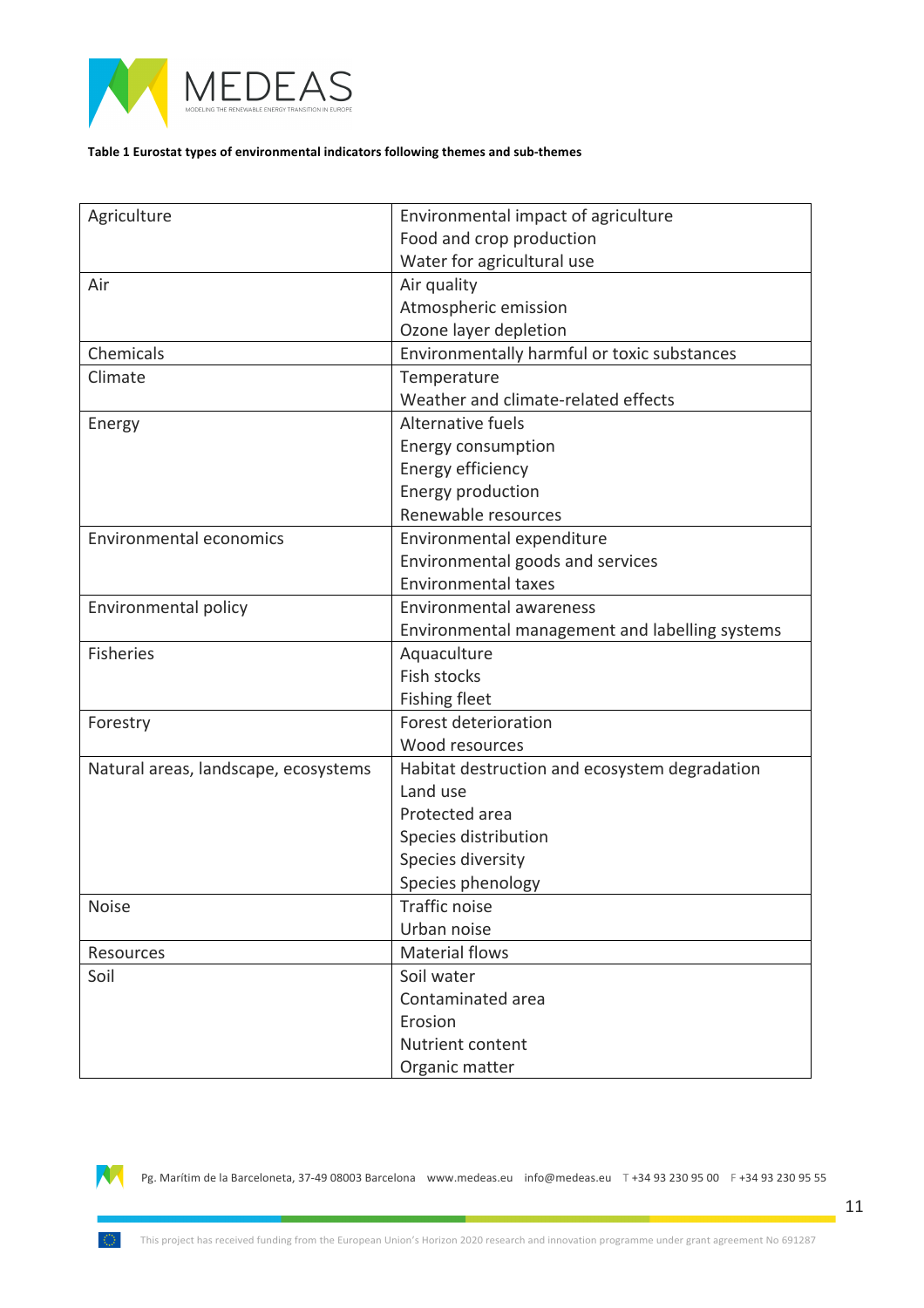

#### Table 1 Eurostat types of environmental indicators following themes and sub-themes

| Agriculture                          | Environmental impact of agriculture            |
|--------------------------------------|------------------------------------------------|
|                                      | Food and crop production                       |
|                                      | Water for agricultural use                     |
| Air                                  | Air quality                                    |
|                                      | Atmospheric emission                           |
|                                      | Ozone layer depletion                          |
| Chemicals                            | Environmentally harmful or toxic substances    |
| Climate                              | Temperature                                    |
|                                      | Weather and climate-related effects            |
| Energy                               | Alternative fuels                              |
|                                      | <b>Energy consumption</b>                      |
|                                      | Energy efficiency                              |
|                                      | Energy production                              |
|                                      | Renewable resources                            |
| <b>Environmental economics</b>       | Environmental expenditure                      |
|                                      | Environmental goods and services               |
|                                      | <b>Environmental taxes</b>                     |
| Environmental policy                 | Environmental awareness                        |
|                                      | Environmental management and labelling systems |
| <b>Fisheries</b>                     | Aquaculture                                    |
|                                      | <b>Fish stocks</b>                             |
|                                      | <b>Fishing fleet</b>                           |
| Forestry                             | Forest deterioration                           |
|                                      | Wood resources                                 |
| Natural areas, landscape, ecosystems | Habitat destruction and ecosystem degradation  |
|                                      | Land use                                       |
|                                      | Protected area                                 |
|                                      | Species distribution                           |
|                                      | Species diversity                              |
|                                      | Species phenology                              |
| <b>Noise</b>                         | <b>Traffic noise</b>                           |
|                                      | Urban noise                                    |
| Resources                            | <b>Material flows</b>                          |
| Soil                                 | Soil water                                     |
|                                      | Contaminated area                              |
|                                      | Erosion                                        |
|                                      | Nutrient content                               |
|                                      | Organic matter                                 |
|                                      |                                                |



Ω.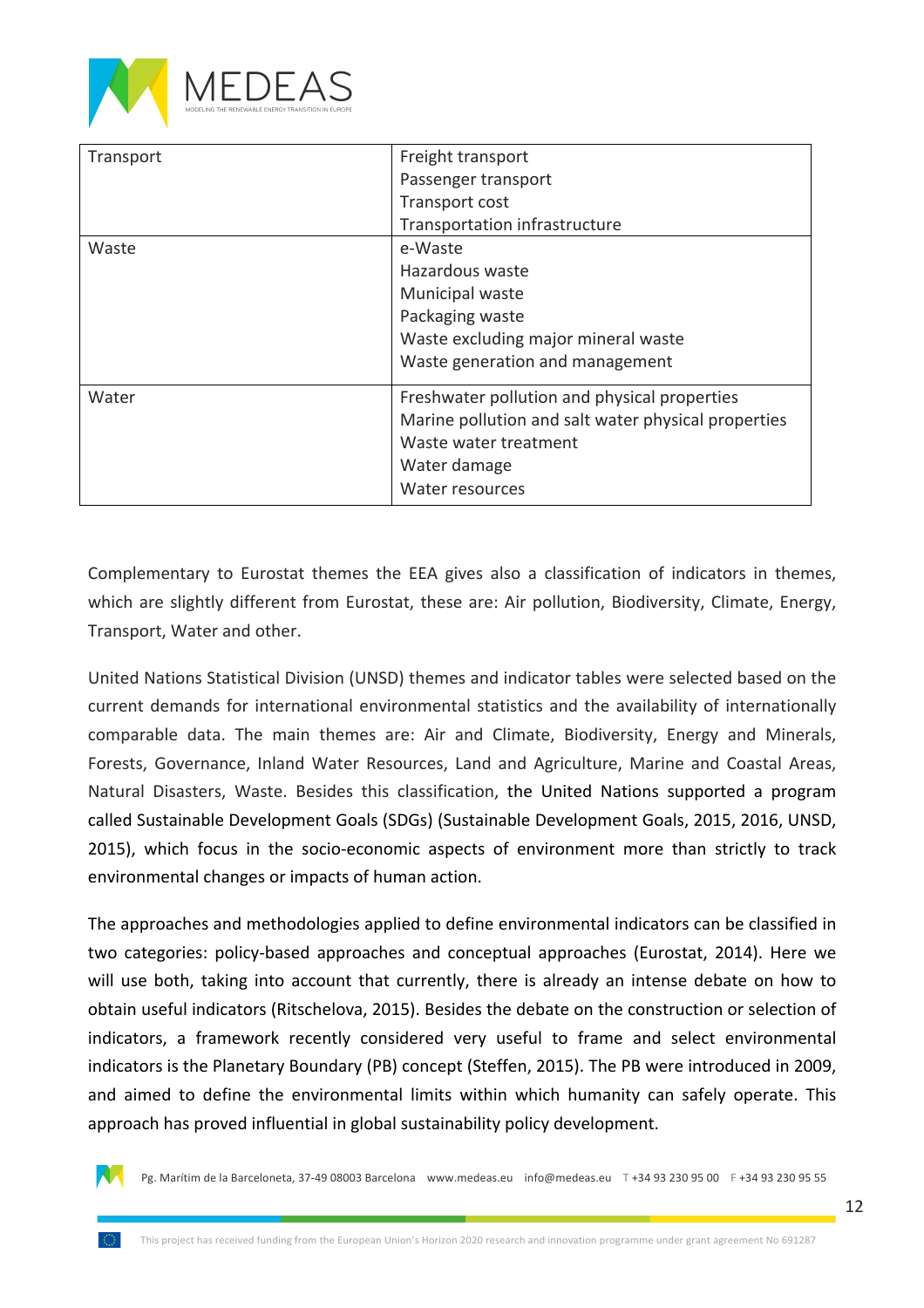

| Transport | Freight transport<br>Passenger transport<br>Transport cost<br>Transportation infrastructure                                                                     |
|-----------|-----------------------------------------------------------------------------------------------------------------------------------------------------------------|
| Waste     | e-Waste<br>Hazardous waste<br>Municipal waste<br>Packaging waste<br>Waste excluding major mineral waste<br>Waste generation and management                      |
| Water     | Freshwater pollution and physical properties<br>Marine pollution and salt water physical properties<br>Waste water treatment<br>Water damage<br>Water resources |

Complementary to Eurostat themes the EEA gives also a classification of indicators in themes, which are slightly different from Eurostat, these are: Air pollution, Biodiversity, Climate, Energy, Transport, Water and other.

United Nations Statistical Division (UNSD) themes and indicator tables were selected based on the current demands for international environmental statistics and the availability of internationally comparable data. The main themes are: Air and Climate, Biodiversity, Energy and Minerals, Forests, Governance, Inland Water Resources, Land and Agriculture, Marine and Coastal Areas, Natural Disasters, Waste. Besides this classification, the United Nations supported a program called Sustainable Development Goals (SDGs) (Sustainable Development Goals, 2015, 2016, UNSD, 2015), which focus in the socio-economic aspects of environment more than strictly to track environmental changes or impacts of human action.

The approaches and methodologies applied to define environmental indicators can be classified in two categories: policy-based approaches and conceptual approaches (Eurostat, 2014). Here we will use both, taking into account that currently, there is already an intense debate on how to obtain useful indicators (Ritschelova, 2015). Besides the debate on the construction or selection of indicators, a framework recently considered very useful to frame and select environmental indicators is the Planetary Boundary (PB) concept (Steffen, 2015). The PB were introduced in 2009, and aimed to define the environmental limits within which humanity can safely operate. This approach has proved influential in global sustainability policy development.

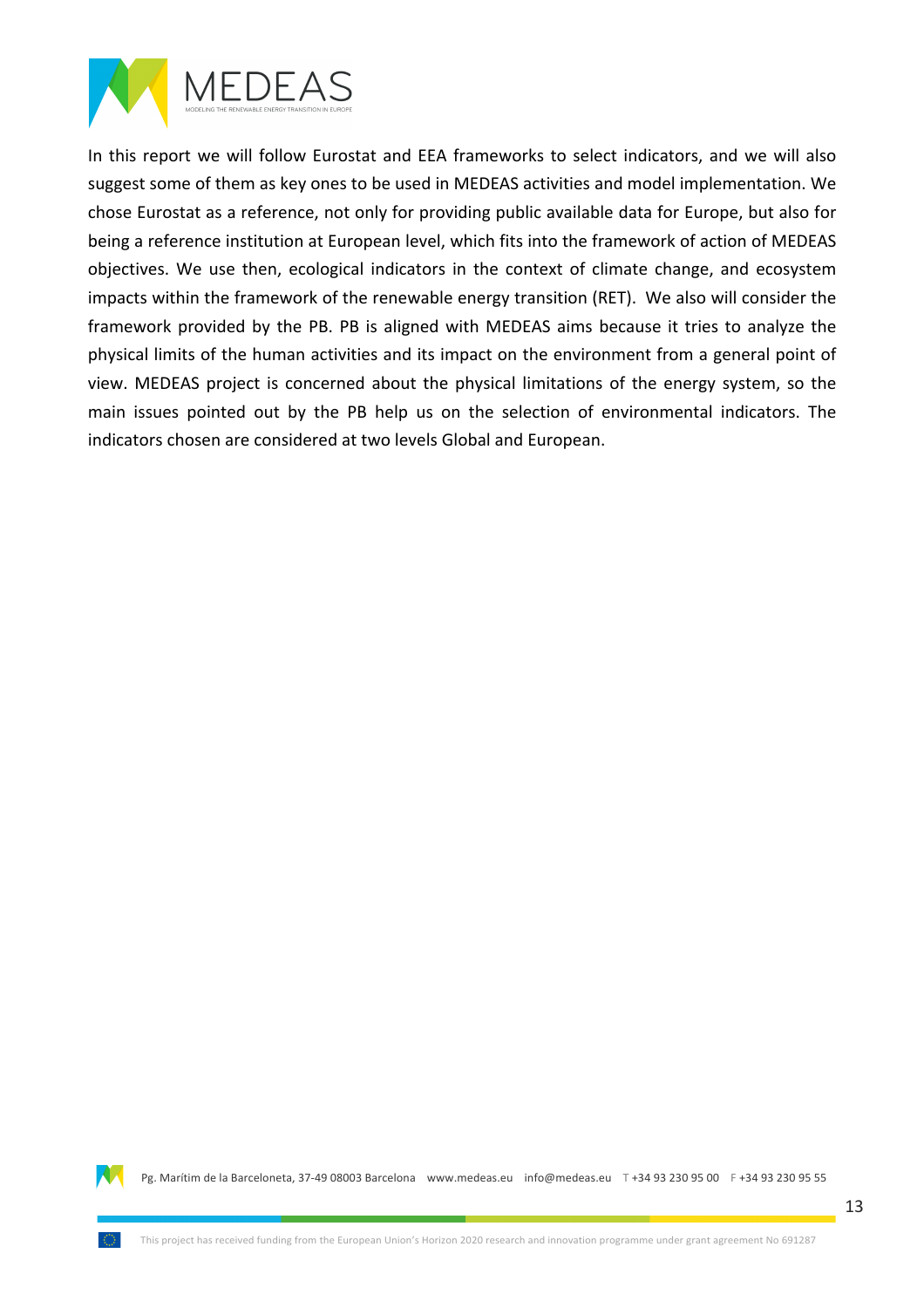

In this report we will follow Eurostat and EEA frameworks to select indicators, and we will also suggest some of them as key ones to be used in MEDEAS activities and model implementation. We chose Eurostat as a reference, not only for providing public available data for Europe, but also for being a reference institution at European level, which fits into the framework of action of MEDEAS objectives. We use then, ecological indicators in the context of climate change, and ecosystem impacts within the framework of the renewable energy transition (RET). We also will consider the framework provided by the PB. PB is aligned with MEDEAS aims because it tries to analyze the physical limits of the human activities and its impact on the environment from a general point of view. MEDEAS project is concerned about the physical limitations of the energy system, so the main issues pointed out by the PB help us on the selection of environmental indicators. The indicators chosen are considered at two levels Global and European.

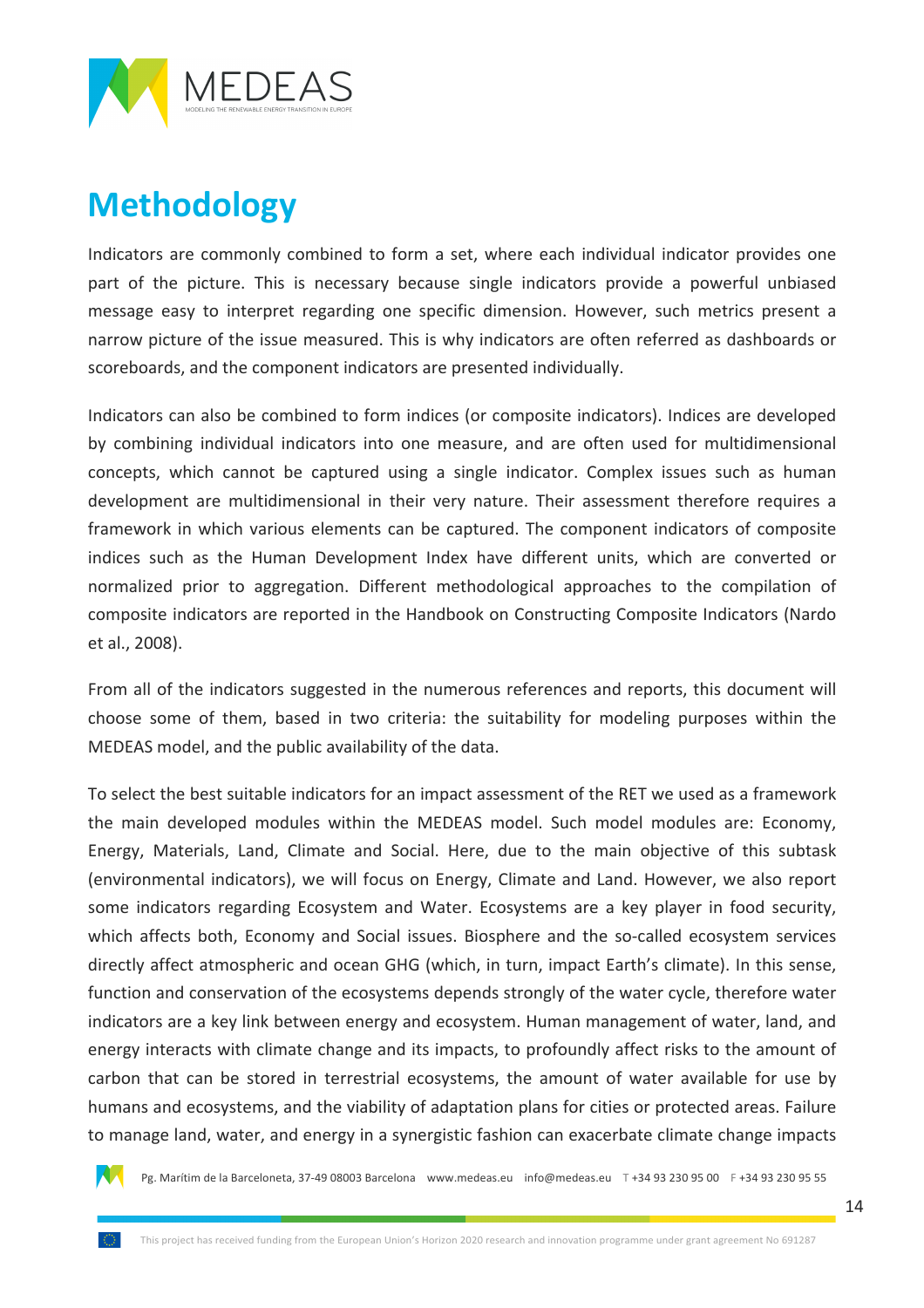

## **Methodology**

Indicators are commonly combined to form a set, where each individual indicator provides one part of the picture. This is necessary because single indicators provide a powerful unbiased message easy to interpret regarding one specific dimension. However, such metrics present a narrow picture of the issue measured. This is why indicators are often referred as dashboards or scoreboards, and the component indicators are presented individually.

Indicators can also be combined to form indices (or composite indicators). Indices are developed by combining individual indicators into one measure, and are often used for multidimensional concepts, which cannot be captured using a single indicator. Complex issues such as human development are multidimensional in their very nature. Their assessment therefore requires a framework in which various elements can be captured. The component indicators of composite indices such as the Human Development Index have different units, which are converted or normalized prior to aggregation. Different methodological approaches to the compilation of composite indicators are reported in the Handbook on Constructing Composite Indicators (Nardo et al., 2008).

From all of the indicators suggested in the numerous references and reports, this document will choose some of them, based in two criteria: the suitability for modeling purposes within the MEDEAS model, and the public availability of the data.

To select the best suitable indicators for an impact assessment of the RET we used as a framework the main developed modules within the MEDEAS model. Such model modules are: Economy, Energy, Materials, Land, Climate and Social. Here, due to the main objective of this subtask (environmental indicators), we will focus on Energy, Climate and Land. However, we also report some indicators regarding Ecosystem and Water. Ecosystems are a key player in food security, which affects both, Economy and Social issues. Biosphere and the so-called ecosystem services directly affect atmospheric and ocean GHG (which, in turn, impact Earth's climate). In this sense, function and conservation of the ecosystems depends strongly of the water cycle, therefore water indicators are a key link between energy and ecosystem. Human management of water, land, and energy interacts with climate change and its impacts, to profoundly affect risks to the amount of carbon that can be stored in terrestrial ecosystems, the amount of water available for use by humans and ecosystems, and the viability of adaptation plans for cities or protected areas. Failure to manage land, water, and energy in a synergistic fashion can exacerbate climate change impacts

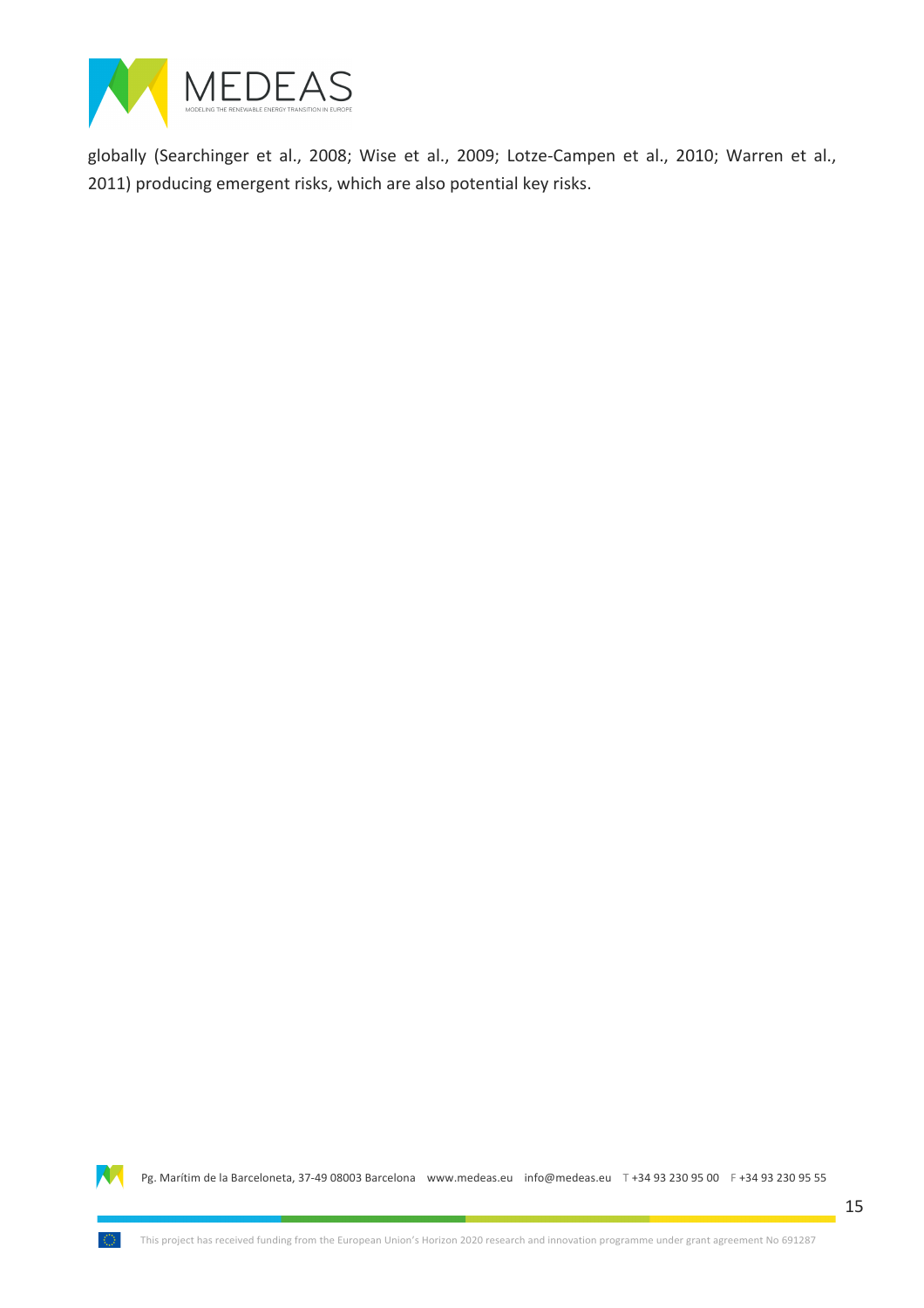

globally (Searchinger et al., 2008; Wise et al., 2009; Lotze-Campen et al., 2010; Warren et al., 2011) producing emergent risks, which are also potential key risks.

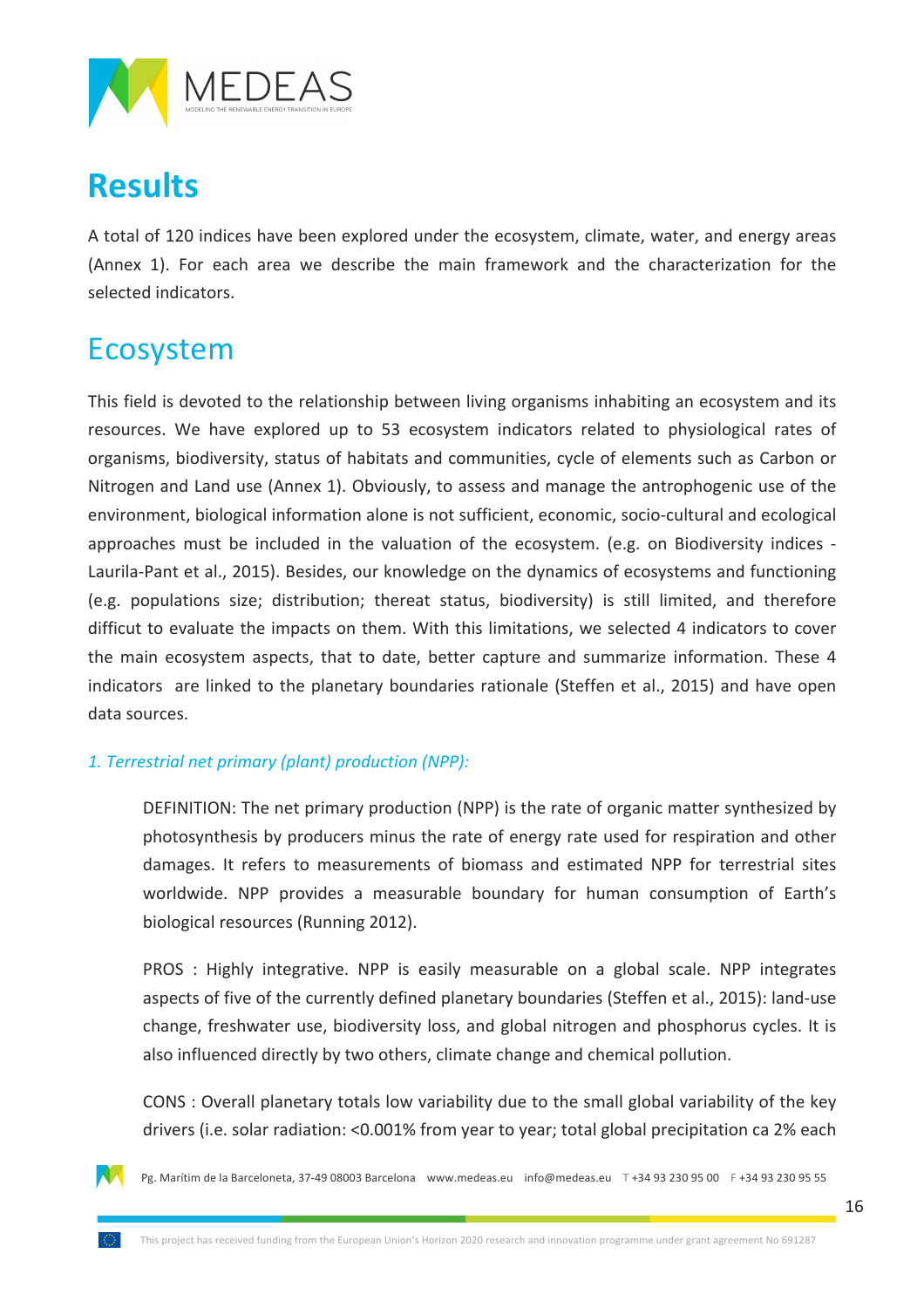

### **Results**

A total of 120 indices have been explored under the ecosystem, climate, water, and energy areas (Annex 1). For each area we describe the main framework and the characterization for the selected indicators.

### Ecosystem

This field is devoted to the relationship between living organisms inhabiting an ecosystem and its resources. We have explored up to 53 ecosystem indicators related to physiological rates of organisms, biodiversity, status of habitats and communities, cycle of elements such as Carbon or Nitrogen and Land use (Annex 1). Obviously, to assess and manage the antrophogenic use of the environment, biological information alone is not sufficient, economic, socio-cultural and ecological approaches must be included in the valuation of the ecosystem. (e.g. on Biodiversity indices -Laurila-Pant et al., 2015). Besides, our knowledge on the dynamics of ecosystems and functioning (e.g. populations size; distribution; thereat status, biodiversity) is still limited, and therefore difficut to evaluate the impacts on them. With this limitations, we selected 4 indicators to cover the main ecosystem aspects, that to date, better capture and summarize information. These 4 indicators are linked to the planetary boundaries rationale (Steffen et al., 2015) and have open data sources.

#### 1. Terrestrial net primary (plant) production (NPP):

DEFINITION: The net primary production (NPP) is the rate of organic matter synthesized by photosynthesis by producers minus the rate of energy rate used for respiration and other damages. It refers to measurements of biomass and estimated NPP for terrestrial sites worldwide. NPP provides a measurable boundary for human consumption of Earth's biological resources (Running 2012).

PROS : Highly integrative. NPP is easily measurable on a global scale. NPP integrates aspects of five of the currently defined planetary boundaries (Steffen et al., 2015): land-use change, freshwater use, biodiversity loss, and global nitrogen and phosphorus cycles. It is also influenced directly by two others, climate change and chemical pollution.

CONS: Overall planetary totals low variability due to the small global variability of the key drivers (i.e. solar radiation: <0.001% from year to year; total global precipitation ca 2% each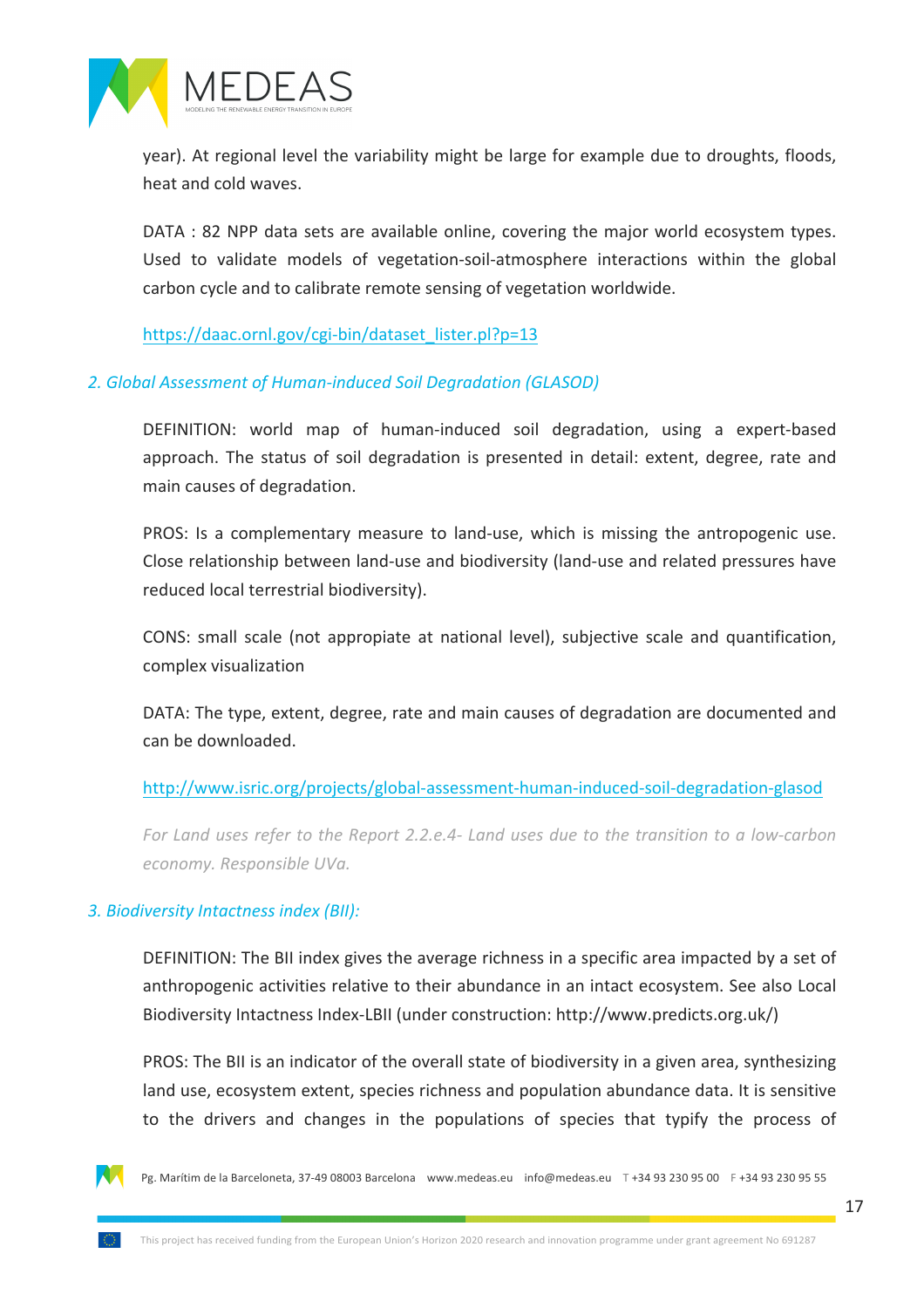

year). At regional level the variability might be large for example due to droughts, floods, heat and cold waves.

DATA: 82 NPP data sets are available online, covering the major world ecosystem types. Used to validate models of vegetation-soil-atmosphere interactions within the global carbon cycle and to calibrate remote sensing of vegetation worldwide.

https://daac.ornl.gov/cgi-bin/dataset\_lister.pl?p=13

#### 2. Global Assessment of Human-induced Soil Degradation (GLASOD)

DEFINITION: world map of human-induced soil degradation, using a expert-based approach. The status of soil degradation is presented in detail: extent, degree, rate and main causes of degradation.

PROS: Is a complementary measure to land-use, which is missing the antropogenic use. Close relationship between land-use and biodiversity (land-use and related pressures have reduced local terrestrial biodiversity).

CONS: small scale (not appropiate at national level), subjective scale and quantification, complex visualization

DATA: The type, extent, degree, rate and main causes of degradation are documented and can be downloaded.

#### http://www.isric.org/projects/global-assessment-human-induced-soil-degradation-glasod

*For Land uses refer to the Report 2.2.e.4- Land uses due to the transition to a low-carbon economy.%Responsible%UVa.*

#### *3.%Biodiversity%Intactness%index%(BII):*

DEFINITION: The BII index gives the average richness in a specific area impacted by a set of anthropogenic activities relative to their abundance in an intact ecosystem. See also Local Biodiversity Intactness Index-LBII (under construction: http://www.predicts.org.uk/)

PROS: The BII is an indicator of the overall state of biodiversity in a given area, synthesizing land use, ecosystem extent, species richness and population abundance data. It is sensitive to the drivers and changes in the populations of species that typify the process of

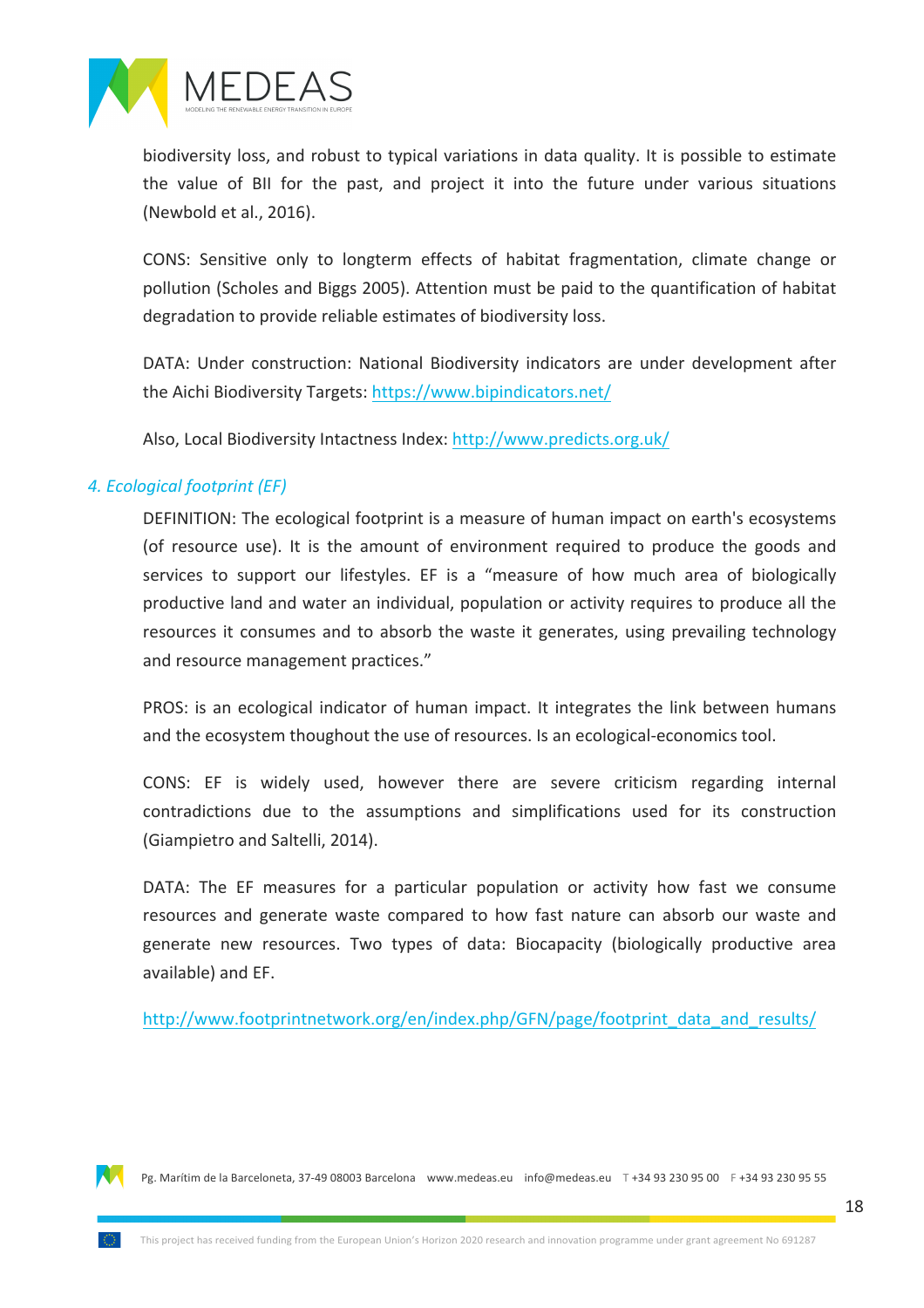

biodiversity loss, and robust to typical variations in data quality. It is possible to estimate the value of BII for the past, and project it into the future under various situations (Newbold et al., 2016).

CONS: Sensitive only to longterm effects of habitat fragmentation, climate change or pollution (Scholes and Biggs 2005). Attention must be paid to the quantification of habitat degradation to provide reliable estimates of biodiversity loss.

DATA: Under construction: National Biodiversity indicators are under development after the Aichi Biodiversity Targets: https://www.bipindicators.net/

Also, Local Biodiversity Intactness Index: http://www.predicts.org.uk/

#### *4.%Ecological%footprint%(EF)*

DEFINITION: The ecological footprint is a measure of human impact on earth's ecosystems (of resource use). It is the amount of environment required to produce the goods and services to support our lifestyles. EF is a "measure of how much area of biologically productive land and water an individual, population or activity requires to produce all the resources it consumes and to absorb the waste it generates, using prevailing technology and resource management practices."

PROS: is an ecological indicator of human impact. It integrates the link between humans and the ecosystem thoughout the use of resources. Is an ecological-economics tool.

CONS: EF is widely used, however there are severe criticism regarding internal contradictions due to the assumptions and simplifications used for its construction (Giampietro and Saltelli, 2014).

DATA: The EF measures for a particular population or activity how fast we consume resources and generate waste compared to how fast nature can absorb our waste and generate new resources. Two types of data: Biocapacity (biologically productive area available) and EF.

http://www.footprintnetwork.org/en/index.php/GFN/page/footprint\_data\_and\_results/

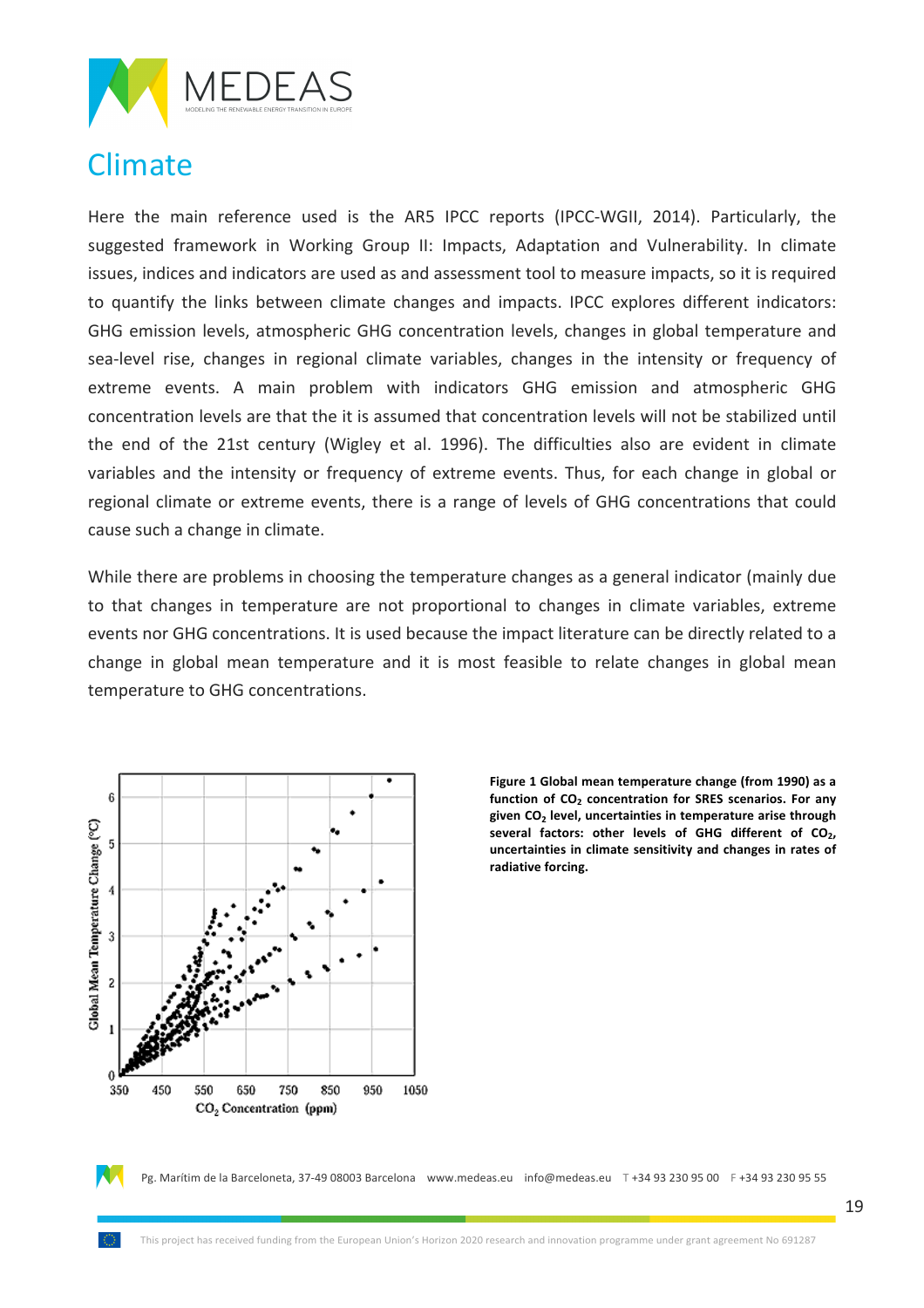

### Climate

Here the main reference used is the AR5 IPCC reports (IPCC-WGII, 2014). Particularly, the suggested framework in Working Group II: Impacts, Adaptation and Vulnerability. In climate issues, indices and indicators are used as and assessment tool to measure impacts, so it is required to quantify the links between climate changes and impacts. IPCC explores different indicators: GHG emission levels, atmospheric GHG concentration levels, changes in global temperature and sea-level rise, changes in regional climate variables, changes in the intensity or frequency of extreme events. A main problem with indicators GHG emission and atmospheric GHG concentration levels are that the it is assumed that concentration levels will not be stabilized until the end of the 21st century (Wigley et al. 1996). The difficulties also are evident in climate variables and the intensity or frequency of extreme events. Thus, for each change in global or regional climate or extreme events, there is a range of levels of GHG concentrations that could cause such a change in climate.

While there are problems in choosing the temperature changes as a general indicator (mainly due to that changes in temperature are not proportional to changes in climate variables, extreme events nor GHG concentrations. It is used because the impact literature can be directly related to a change in global mean temperature and it is most feasible to relate changes in global mean temperature to GHG concentrations.



Figure 1 Global mean temperature change (from 1990) as a function of  $CO<sub>2</sub>$  concentration for SRES scenarios. For any **given'CO2 level,'uncertainties'in'temperature'arise'through'** several factors: other levels of GHG different of CO<sub>2</sub>, uncertainties in climate sensitivity and changes in rates of radiative forcing.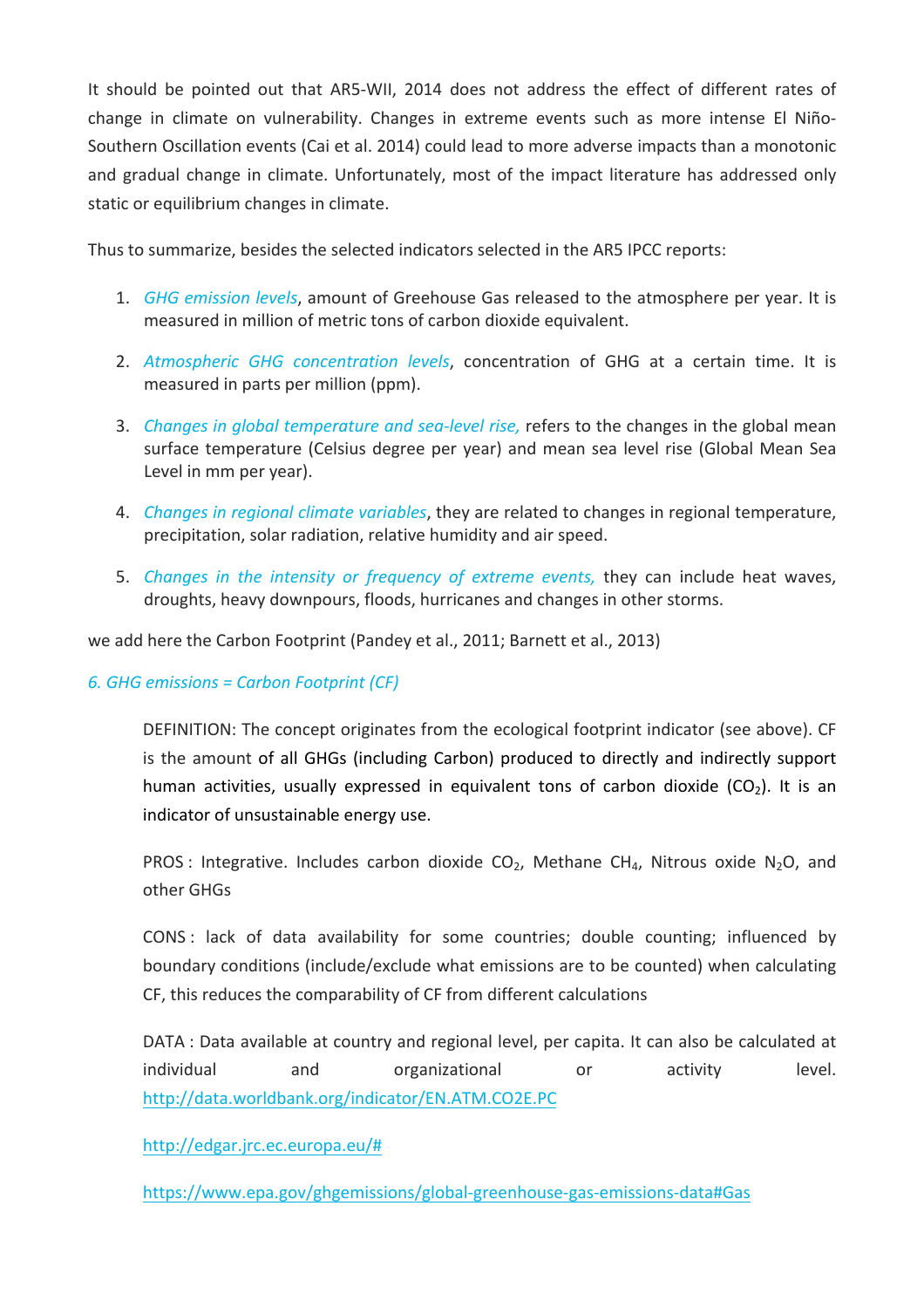It should be pointed out that AR5-WII, 2014 does not address the effect of different rates of change in climate on vulnerability. Changes in extreme events such as more intense El Niño-Southern Oscillation events (Cai et al. 2014) could lead to more adverse impacts than a monotonic and gradual change in climate. Unfortunately, most of the impact literature has addressed only static or equilibrium changes in climate.

Thus to summarize, besides the selected indicators selected in the AR5 IPCC reports:

- 1. *GHG emission levels*, amount of Greehouse Gas released to the atmosphere per year. It is measured in million of metric tons of carbon dioxide equivalent.
- 2. Atmospheric GHG concentration levels, concentration of GHG at a certain time. It is measured in parts per million (ppm).
- 3. *Changes in global temperature and sea-level rise,* refers to the changes in the global mean surface temperature (Celsius degree per year) and mean sea level rise (Global Mean Sea Level in mm per year).
- 4. *Changes in regional climate variables*, they are related to changes in regional temperature, precipitation, solar radiation, relative humidity and air speed.
- 5. *Changes in the intensity or frequency of extreme events, they can include heat waves,* droughts, heavy downpours, floods, hurricanes and changes in other storms.

we add here the Carbon Footprint (Pandey et al., 2011; Barnett et al., 2013)

#### *6.%GHG%emissions%=%Carbon%Footprint%(CF)*

DEFINITION: The concept originates from the ecological footprint indicator (see above). CF is the amount of all GHGs (including Carbon) produced to directly and indirectly support human activities, usually expressed in equivalent tons of carbon dioxide (CO<sub>2</sub>). It is an indicator of unsustainable energy use.

PROS : Integrative. Includes carbon dioxide  $CO<sub>2</sub>$ , Methane CH<sub>4</sub>, Nitrous oxide N<sub>2</sub>O, and other GHGs

CONS : lack of data availability for some countries; double counting; influenced by boundary conditions (include/exclude what emissions are to be counted) when calculating CF, this reduces the comparability of CF from different calculations

DATA : Data available at country and regional level, per capita. It can also be calculated at individual and organizational or activity level. http://data.worldbank.org/indicator/EN.ATM.CO2E.PC

http://edgar.jrc.ec.europa.eu/#

https://www.epa.gov/ghgemissions/global-greenhouse-gas-emissions-data#Gas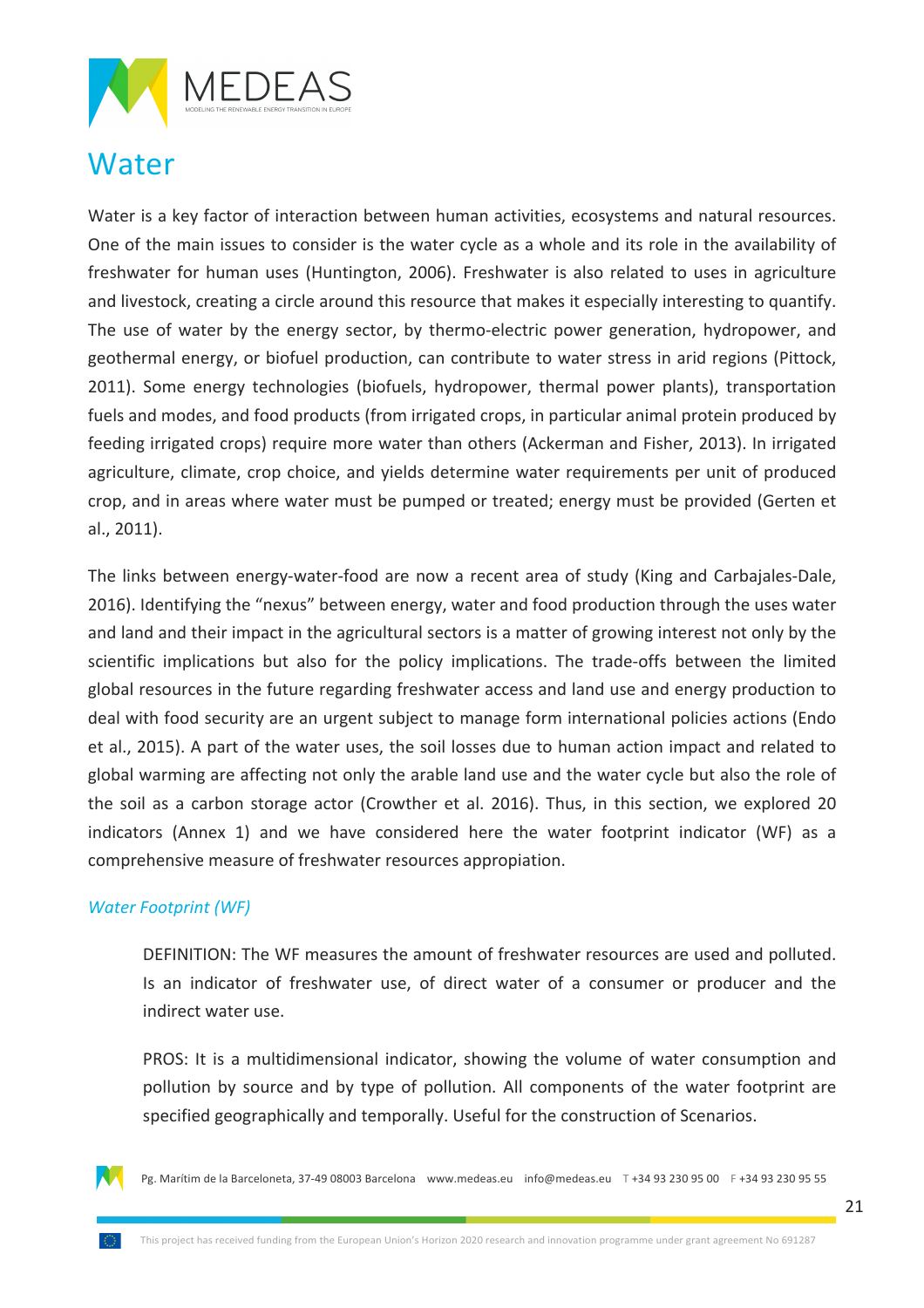

### Water

Water is a key factor of interaction between human activities, ecosystems and natural resources. One of the main issues to consider is the water cycle as a whole and its role in the availability of freshwater for human uses (Huntington, 2006). Freshwater is also related to uses in agriculture and livestock, creating a circle around this resource that makes it especially interesting to quantify. The use of water by the energy sector, by thermo-electric power generation, hydropower, and geothermal energy, or biofuel production, can contribute to water stress in arid regions (Pittock, 2011). Some energy technologies (biofuels, hydropower, thermal power plants), transportation fuels and modes, and food products (from irrigated crops, in particular animal protein produced by feeding irrigated crops) require more water than others (Ackerman and Fisher, 2013). In irrigated agriculture, climate, crop choice, and yields determine water requirements per unit of produced crop, and in areas where water must be pumped or treated; energy must be provided (Gerten et al., 2011).

The links between energy-water-food are now a recent area of study (King and Carbajales-Dale, 2016). Identifying the "nexus" between energy, water and food production through the uses water and land and their impact in the agricultural sectors is a matter of growing interest not only by the scientific implications but also for the policy implications. The trade-offs between the limited global resources in the future regarding freshwater access and land use and energy production to deal with food security are an urgent subject to manage form international policies actions (Endo et al., 2015). A part of the water uses, the soil losses due to human action impact and related to global warming are affecting not only the arable land use and the water cycle but also the role of the soil as a carbon storage actor (Crowther et al. 2016). Thus, in this section, we explored 20 indicators (Annex 1) and we have considered here the water footprint indicator (WF) as a comprehensive measure of freshwater resources appropiation.

#### **Water Footprint (WF)**

DEFINITION: The WF measures the amount of freshwater resources are used and polluted. Is an indicator of freshwater use, of direct water of a consumer or producer and the indirect water use.

PROS: It is a multidimensional indicator, showing the volume of water consumption and pollution by source and by type of pollution. All components of the water footprint are specified geographically and temporally. Useful for the construction of Scenarios.

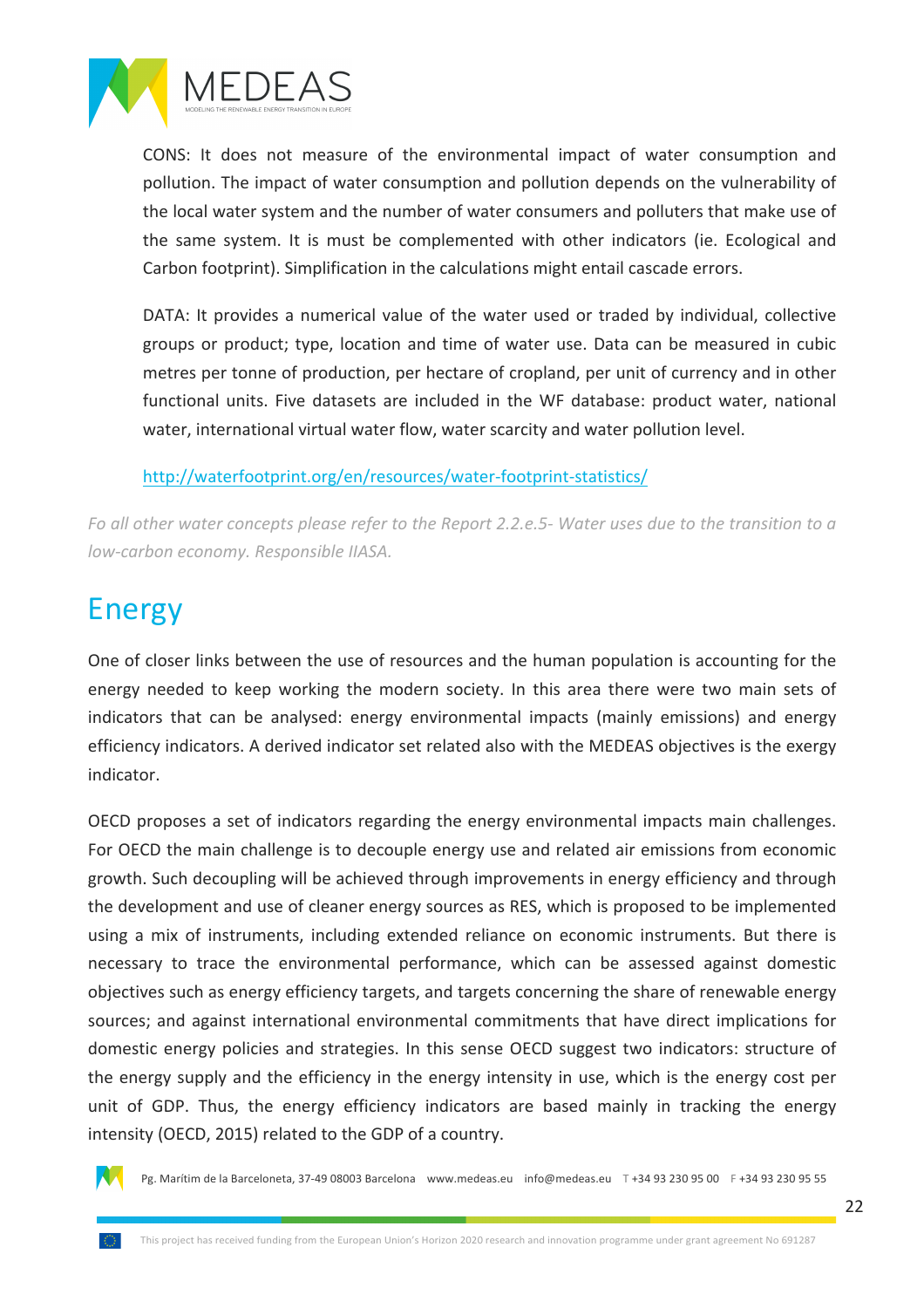

CONS: It does not measure of the environmental impact of water consumption and pollution. The impact of water consumption and pollution depends on the vulnerability of the local water system and the number of water consumers and polluters that make use of the same system. It is must be complemented with other indicators (ie. Ecological and Carbon footprint). Simplification in the calculations might entail cascade errors.

DATA: It provides a numerical value of the water used or traded by individual, collective groups or product; type, location and time of water use. Data can be measured in cubic metres per tonne of production, per hectare of cropland, per unit of currency and in other functional units. Five datasets are included in the WF database: product water, national water, international virtual water flow, water scarcity and water pollution level.

#### http://waterfootprint.org/en/resources/water-footprint-statistics/

*Fo* all other water concepts please refer to the Report 2.2.e.5- Water uses due to the transition to a *low-carbon economy. Responsible IIASA.* 

### Energy

One of closer links between the use of resources and the human population is accounting for the energy needed to keep working the modern society. In this area there were two main sets of indicators that can be analysed: energy environmental impacts (mainly emissions) and energy efficiency indicators. A derived indicator set related also with the MEDEAS objectives is the exergy indicator.

OECD proposes a set of indicators regarding the energy environmental impacts main challenges. For OECD the main challenge is to decouple energy use and related air emissions from economic growth. Such decoupling will be achieved through improvements in energy efficiency and through the development and use of cleaner energy sources as RES, which is proposed to be implemented using a mix of instruments, including extended reliance on economic instruments. But there is necessary to trace the environmental performance, which can be assessed against domestic objectives such as energy efficiency targets, and targets concerning the share of renewable energy sources; and against international environmental commitments that have direct implications for domestic energy policies and strategies. In this sense OECD suggest two indicators: structure of the energy supply and the efficiency in the energy intensity in use, which is the energy cost per unit of GDP. Thus, the energy efficiency indicators are based mainly in tracking the energy intensity (OECD, 2015) related to the GDP of a country.

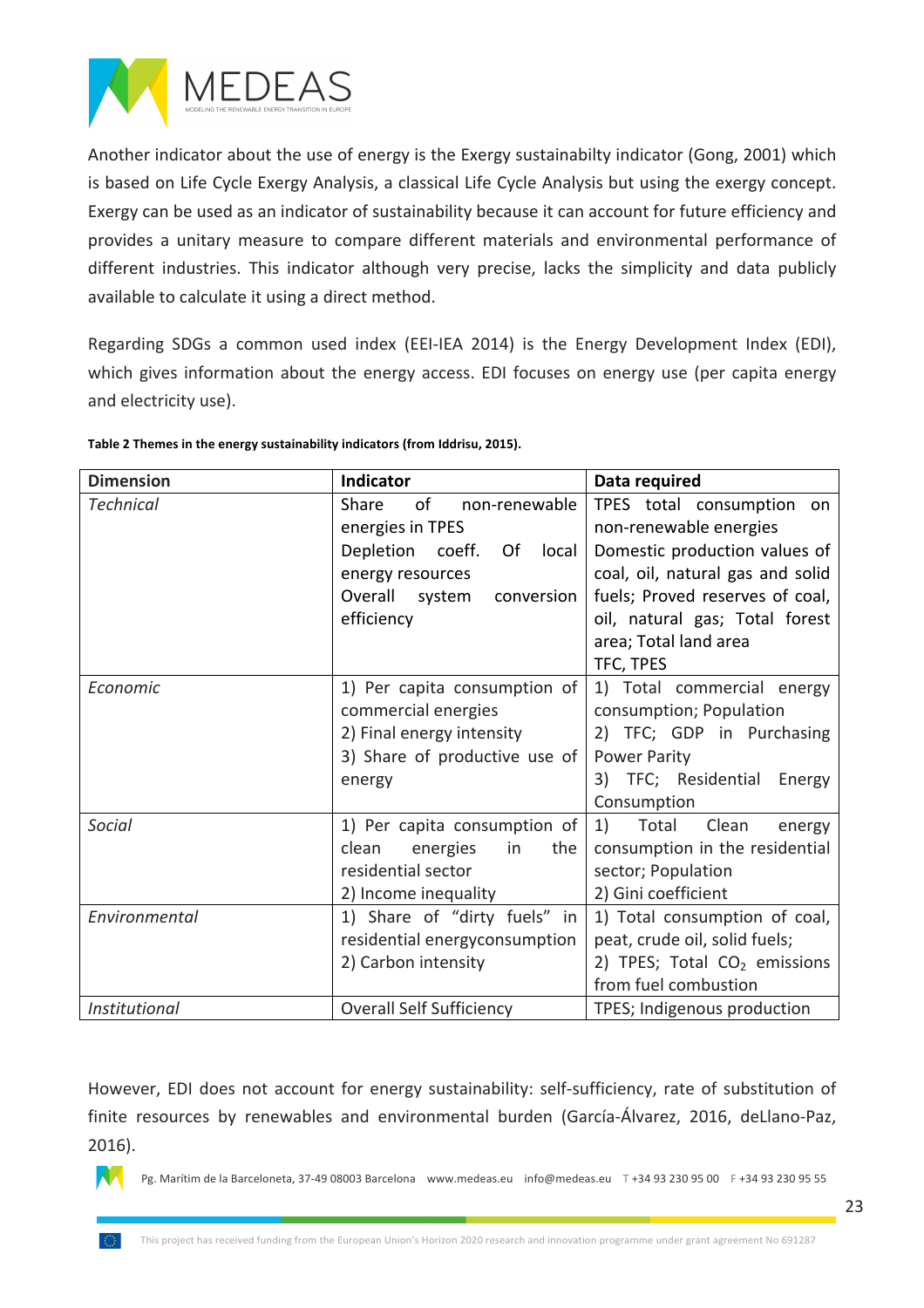

Another indicator about the use of energy is the Exergy sustainabilty indicator (Gong, 2001) which is based on Life Cycle Exergy Analysis, a classical Life Cycle Analysis but using the exergy concept. Exergy can be used as an indicator of sustainability because it can account for future efficiency and provides a unitary measure to compare different materials and environmental performance of different industries. This indicator although very precise, lacks the simplicity and data publicly available to calculate it using a direct method.

Regarding SDGs a common used index (EEI-IEA 2014) is the Energy Development Index (EDI), which gives information about the energy access. EDI focuses on energy use (per capita energy and electricity use).

| <b>Dimension</b> | Indicator                       | Data required                            |
|------------------|---------------------------------|------------------------------------------|
| <b>Technical</b> | of<br>Share<br>non-renewable    | TPES total consumption on                |
|                  | energies in TPES                | non-renewable energies                   |
|                  | Of<br>Depletion coeff.<br>local | Domestic production values of            |
|                  | energy resources                | coal, oil, natural gas and solid         |
|                  | Overall system<br>conversion    | fuels; Proved reserves of coal,          |
|                  | efficiency                      | oil, natural gas; Total forest           |
|                  |                                 | area; Total land area                    |
|                  |                                 | TFC, TPES                                |
| Economic         | 1) Per capita consumption of    | 1) Total commercial energy               |
|                  | commercial energies             | consumption; Population                  |
|                  | 2) Final energy intensity       | 2) TFC; GDP in Purchasing                |
|                  | 3) Share of productive use of   | <b>Power Parity</b>                      |
|                  | energy                          | 3) TFC; Residential<br>Energy            |
|                  |                                 | Consumption                              |
| <b>Social</b>    | 1) Per capita consumption of    | 1)<br>Total<br>Clean<br>energy           |
|                  | clean<br>the<br>energies<br>in  | consumption in the residential           |
|                  | residential sector              | sector; Population                       |
|                  | 2) Income inequality            | 2) Gini coefficient                      |
| Environmental    | 1) Share of "dirty fuels" in    | 1) Total consumption of coal,            |
|                  | residential energyconsumption   | peat, crude oil, solid fuels;            |
|                  | 2) Carbon intensity             | 2) TPES; Total CO <sub>2</sub> emissions |
|                  |                                 | from fuel combustion                     |
| Institutional    | <b>Overall Self Sufficiency</b> | TPES; Indigenous production              |

#### Table 2 Themes in the energy sustainability indicators (from Iddrisu, 2015).

However, EDI does not account for energy sustainability: self-sufficiency, rate of substitution of finite resources by renewables and environmental burden (García-Álvarez, 2016, deLlano-Paz, 2016).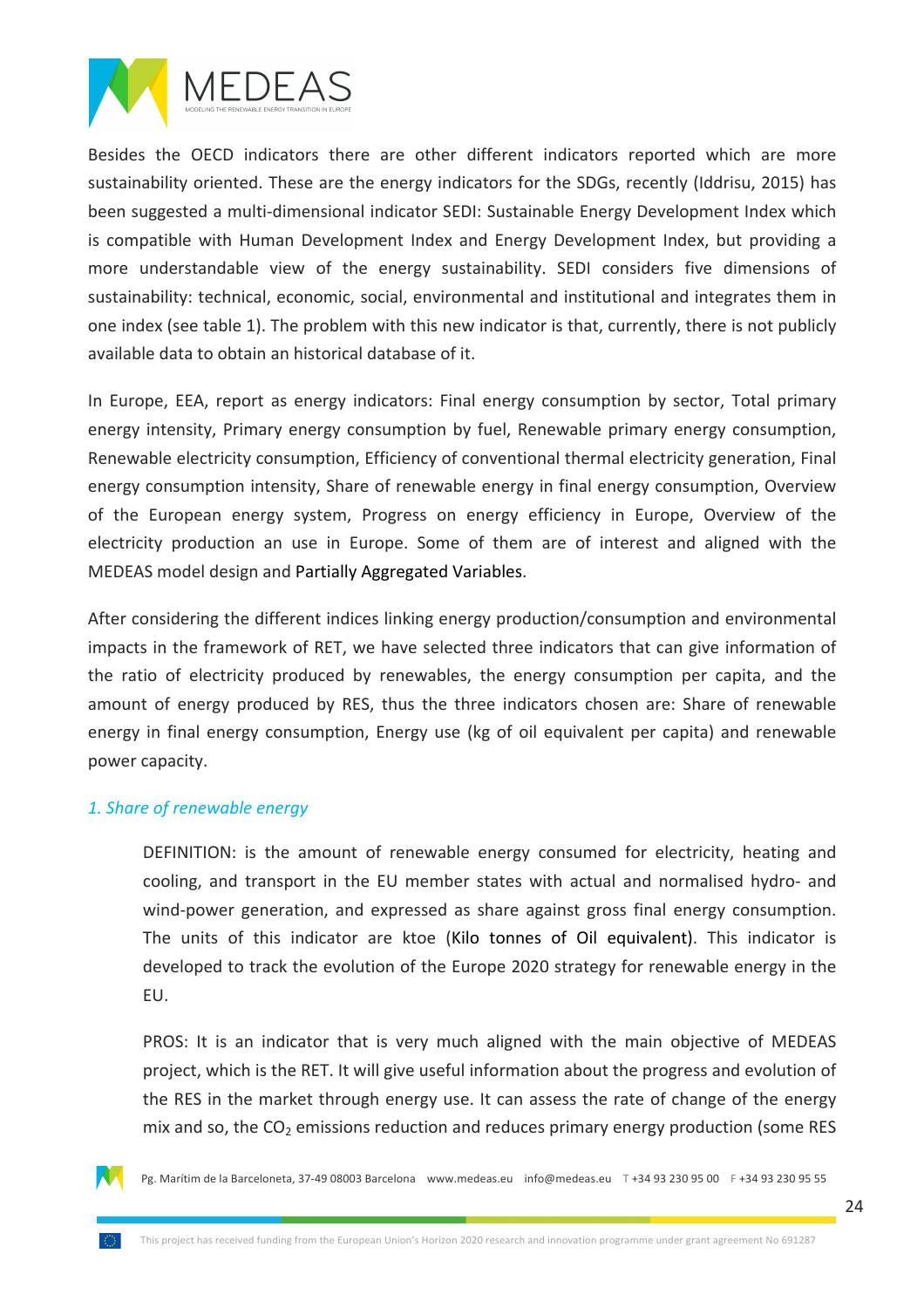

Besides the OECD indicators there are other different indicators reported which are more sustainability oriented. These are the energy indicators for the SDGs, recently (Iddrisu, 2015) has been suggested a multi-dimensional indicator SEDI: Sustainable Energy Development Index which is compatible with Human Development Index and Energy Development Index, but providing a more understandable view of the energy sustainability. SEDI considers five dimensions of sustainability: technical, economic, social, environmental and institutional and integrates them in one index (see table 1). The problem with this new indicator is that, currently, there is not publicly available data to obtain an historical database of it.

In Europe, EEA, report as energy indicators: Final energy consumption by sector, Total primary energy intensity, Primary energy consumption by fuel, Renewable primary energy consumption, Renewable electricity consumption, Efficiency of conventional thermal electricity generation, Final energy consumption intensity, Share of renewable energy in final energy consumption, Overview of the European energy system, Progress on energy efficiency in Europe, Overview of the electricity production an use in Europe. Some of them are of interest and aligned with the MEDEAS model design and Partially Aggregated Variables.

After considering the different indices linking energy production/consumption and environmental impacts in the framework of RET, we have selected three indicators that can give information of the ratio of electricity produced by renewables, the energy consumption per capita, and the amount of energy produced by RES, thus the three indicators chosen are: Share of renewable energy in final energy consumption, Energy use (kg of oil equivalent per capita) and renewable power capacity.

#### 1. Share of renewable energy

DEFINITION: is the amount of renewable energy consumed for electricity, heating and cooling, and transport in the EU member states with actual and normalised hydro- and wind-power generation, and expressed as share against gross final energy consumption. The units of this indicator are ktoe (Kilo tonnes of Oil equivalent). This indicator is developed to track the evolution of the Europe 2020 strategy for renewable energy in the EU.

PROS: It is an indicator that is very much aligned with the main objective of MEDEAS project, which is the RET. It will give useful information about the progress and evolution of the RES in the market through energy use. It can assess the rate of change of the energy mix and so, the  $CO<sub>2</sub>$  emissions reduction and reduces primary energy production (some RES

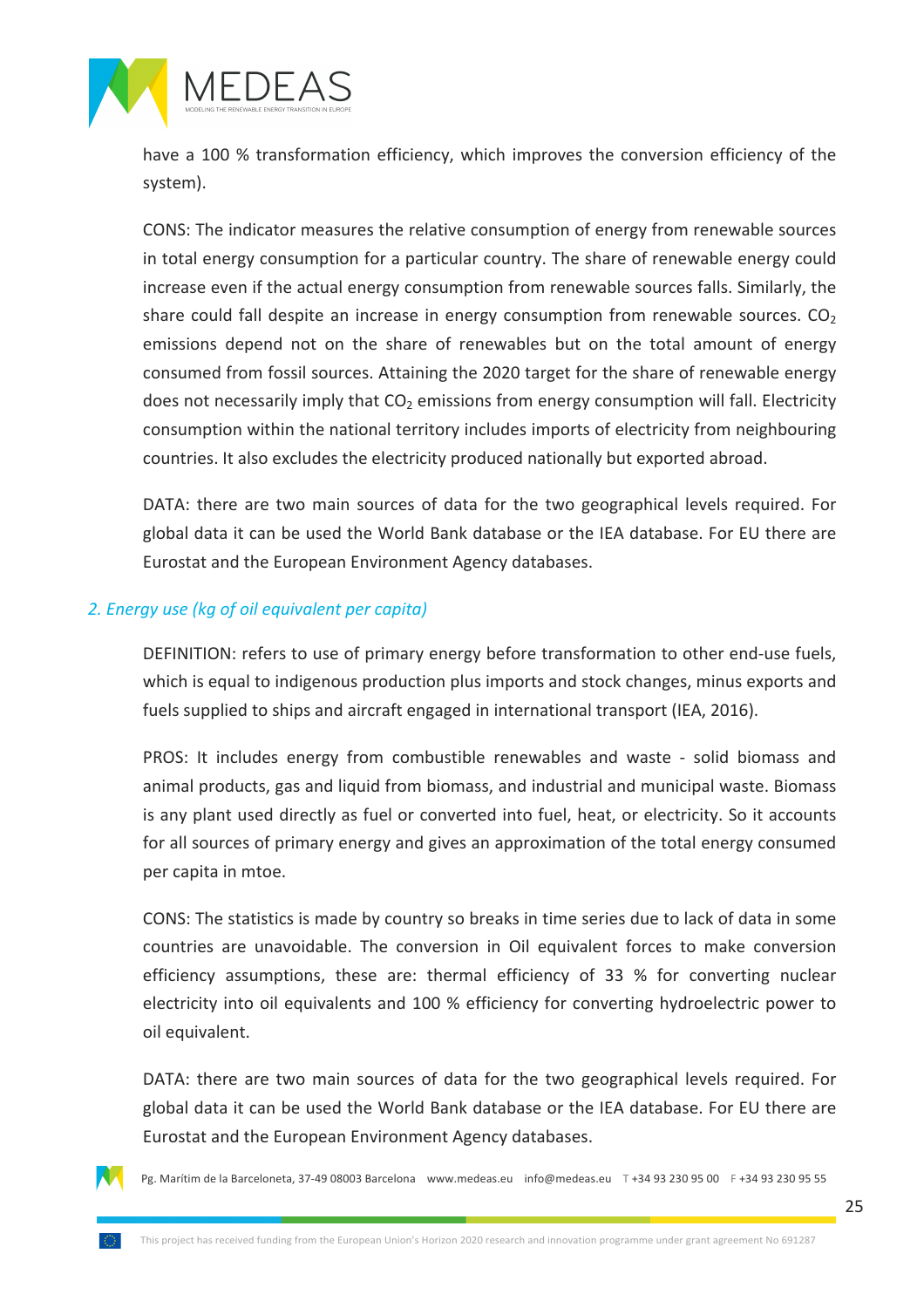

have a 100 % transformation efficiency, which improves the conversion efficiency of the system).

CONS: The indicator measures the relative consumption of energy from renewable sources in total energy consumption for a particular country. The share of renewable energy could increase even if the actual energy consumption from renewable sources falls. Similarly, the share could fall despite an increase in energy consumption from renewable sources.  $CO<sub>2</sub>$ emissions depend not on the share of renewables but on the total amount of energy consumed from fossil sources. Attaining the 2020 target for the share of renewable energy does not necessarily imply that  $CO<sub>2</sub>$  emissions from energy consumption will fall. Electricity consumption within the national territory includes imports of electricity from neighbouring countries. It also excludes the electricity produced nationally but exported abroad.

DATA: there are two main sources of data for the two geographical levels required. For global data it can be used the World Bank database or the IEA database. For EU there are Eurostat and the European Environment Agency databases.

#### 2. Energy use (kg of oil equivalent per capita)

DEFINITION: refers to use of primary energy before transformation to other end-use fuels, which is equal to indigenous production plus imports and stock changes, minus exports and fuels supplied to ships and aircraft engaged in international transport (IEA, 2016).

PROS: It includes energy from combustible renewables and waste - solid biomass and animal products, gas and liquid from biomass, and industrial and municipal waste. Biomass is any plant used directly as fuel or converted into fuel, heat, or electricity. So it accounts for all sources of primary energy and gives an approximation of the total energy consumed per capita in mtoe.

CONS: The statistics is made by country so breaks in time series due to lack of data in some countries are unavoidable. The conversion in Oil equivalent forces to make conversion efficiency assumptions, these are: thermal efficiency of 33 % for converting nuclear electricity into oil equivalents and 100 % efficiency for converting hydroelectric power to oil equivalent.

DATA: there are two main sources of data for the two geographical levels required. For global data it can be used the World Bank database or the IEA database. For EU there are Eurostat and the European Environment Agency databases.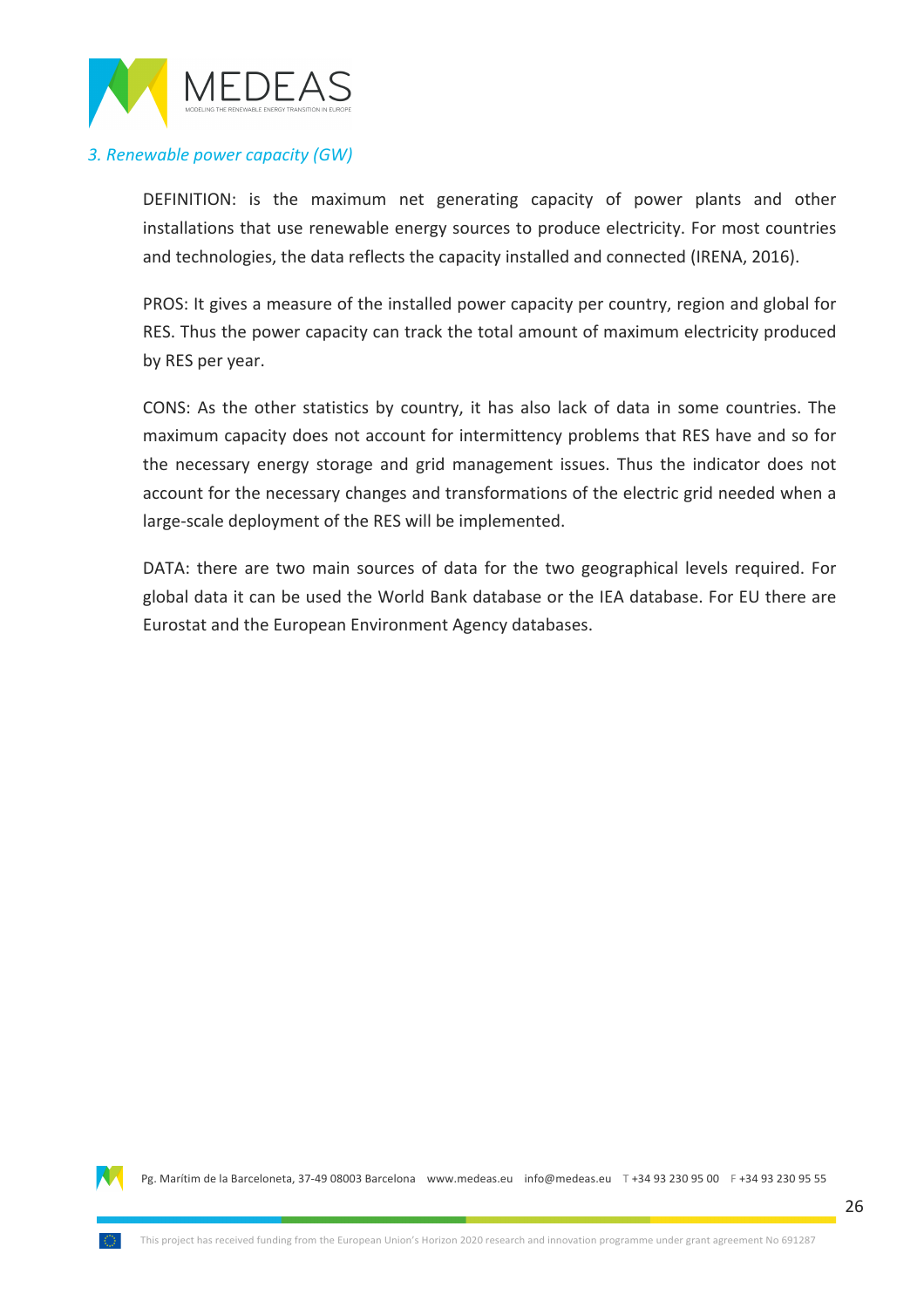

#### **3. Renewable power capacity (GW)**

DEFINITION: is the maximum net generating capacity of power plants and other installations that use renewable energy sources to produce electricity. For most countries and technologies, the data reflects the capacity installed and connected (IRENA, 2016).

PROS: It gives a measure of the installed power capacity per country, region and global for RES. Thus the power capacity can track the total amount of maximum electricity produced by RES per year.

CONS: As the other statistics by country, it has also lack of data in some countries. The maximum capacity does not account for intermittency problems that RES have and so for the necessary energy storage and grid management issues. Thus the indicator does not account for the necessary changes and transformations of the electric grid needed when a large-scale deployment of the RES will be implemented.

DATA: there are two main sources of data for the two geographical levels required. For global data it can be used the World Bank database or the IEA database. For EU there are Eurostat and the European Environment Agency databases.

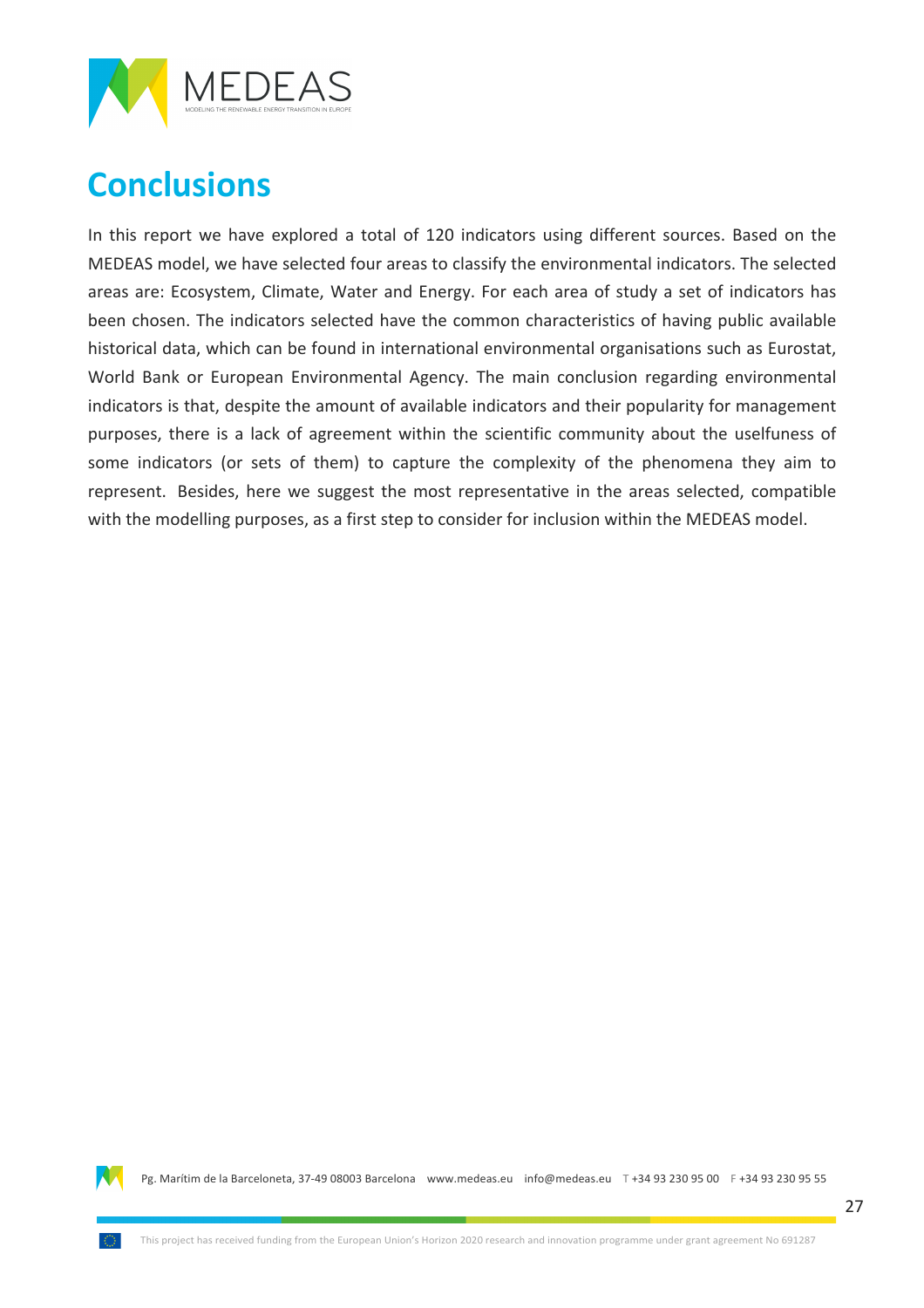

## **Conclusions**

In this report we have explored a total of 120 indicators using different sources. Based on the MEDEAS model, we have selected four areas to classify the environmental indicators. The selected areas are: Ecosystem, Climate, Water and Energy. For each area of study a set of indicators has been chosen. The indicators selected have the common characteristics of having public available historical data, which can be found in international environmental organisations such as Eurostat, World Bank or European Environmental Agency. The main conclusion regarding environmental indicators is that, despite the amount of available indicators and their popularity for management purposes, there is a lack of agreement within the scientific community about the uselfuness of some indicators (or sets of them) to capture the complexity of the phenomena they aim to represent. Besides, here we suggest the most representative in the areas selected, compatible with the modelling purposes, as a first step to consider for inclusion within the MEDEAS model.

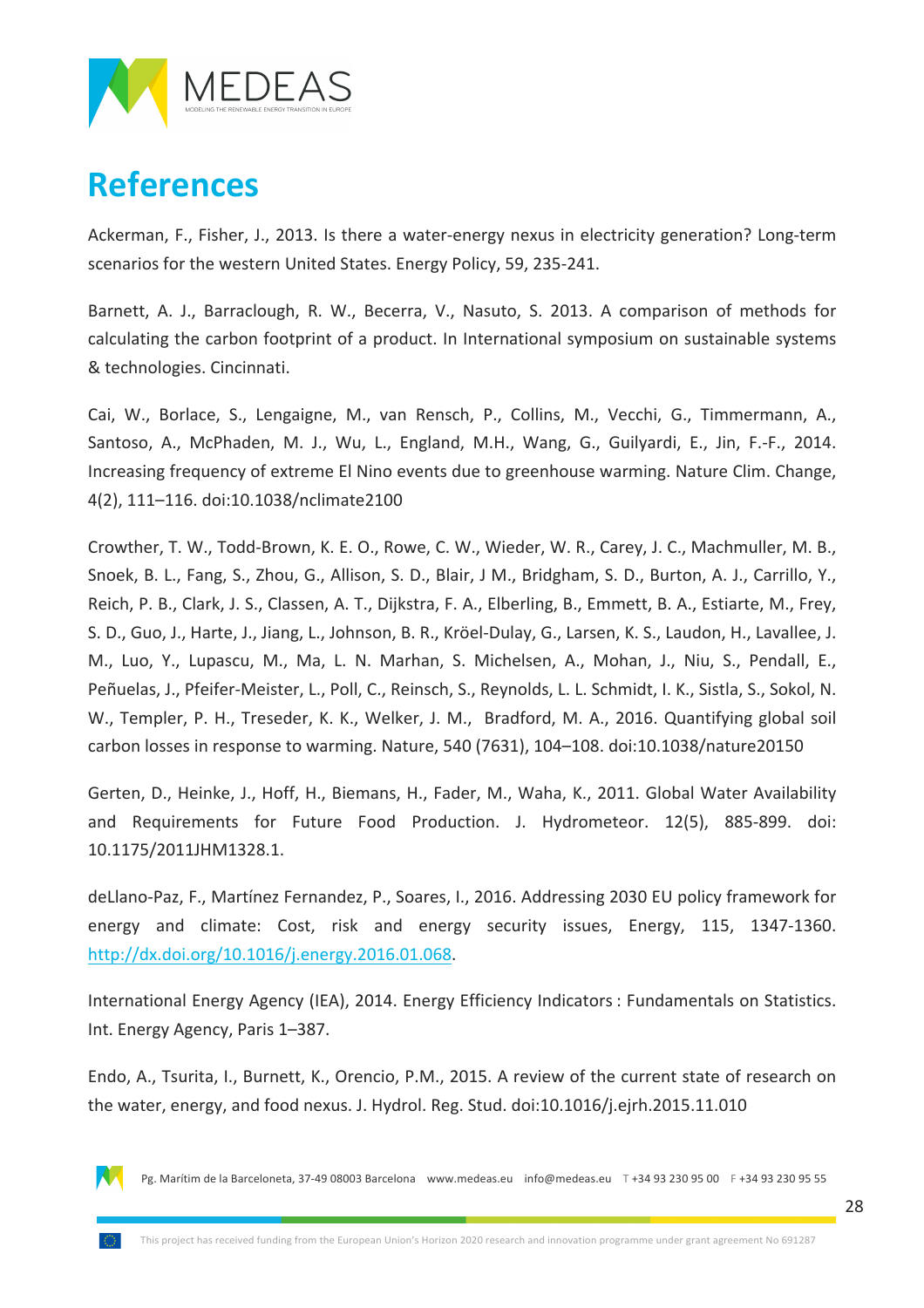

### **References**

Ackerman, F., Fisher, J., 2013. Is there a water-energy nexus in electricity generation? Long-term scenarios for the western United States. Energy Policy, 59, 235-241.

Barnett, A. J., Barraclough, R. W., Becerra, V., Nasuto, S. 2013. A comparison of methods for calculating the carbon footprint of a product. In International symposium on sustainable systems & technologies. Cincinnati.

Cai, W., Borlace, S., Lengaigne, M., van Rensch, P., Collins, M., Vecchi, G., Timmermann, A., Santoso, A., McPhaden, M. J., Wu, L., England, M.H., Wang, G., Guilyardi, E., Jin, F.-F., 2014. Increasing frequency of extreme El Nino events due to greenhouse warming. Nature Clim. Change, 4(2), 111-116. doi:10.1038/nclimate2100

Crowther, T. W., Todd-Brown, K. E. O., Rowe, C. W., Wieder, W. R., Carey, J. C., Machmuller, M. B., Snoek, B. L., Fang, S., Zhou, G., Allison, S. D., Blair, J M., Bridgham, S. D., Burton, A. J., Carrillo, Y., Reich, P. B., Clark, J. S., Classen, A. T., Dijkstra, F. A., Elberling, B., Emmett, B. A., Estiarte, M., Frey, S. D., Guo, J., Harte, J., Jiang, L., Johnson, B. R., Kröel-Dulay, G., Larsen, K. S., Laudon, H., Lavallee, J. M., Luo, Y., Lupascu, M., Ma, L. N. Marhan, S. Michelsen, A., Mohan, J., Niu, S., Pendall, E., Peñuelas, J., Pfeifer-Meister, L., Poll, C., Reinsch, S., Reynolds, L. L. Schmidt, I. K., Sistla, S., Sokol, N. W., Templer, P. H., Treseder, K. K., Welker, J. M., Bradford, M. A., 2016. Quantifying global soil carbon losses in response to warming. Nature, 540 (7631), 104–108. doi:10.1038/nature20150

Gerten, D., Heinke, J., Hoff, H., Biemans, H., Fader, M., Waha, K., 2011. Global Water Availability and Requirements for Future Food Production. J. Hydrometeor. 12(5), 885-899. doi: 10.1175/2011JHM1328.1.

deLlano-Paz, F., Martínez Fernandez, P., Soares, I., 2016. Addressing 2030 EU policy framework for energy and climate: Cost, risk and energy security issues, Energy, 115, 1347-1360. http://dx.doi.org/10.1016/j.energy.2016.01.068.

International Energy Agency (IEA), 2014. Energy Efficiency Indicators : Fundamentals on Statistics. Int. Energy Agency, Paris 1–387.

Endo, A., Tsurita, I., Burnett, K., Orencio, P.M., 2015. A review of the current state of research on the water, energy, and food nexus. J. Hydrol. Reg. Stud. doi:10.1016/j.ejrh.2015.11.010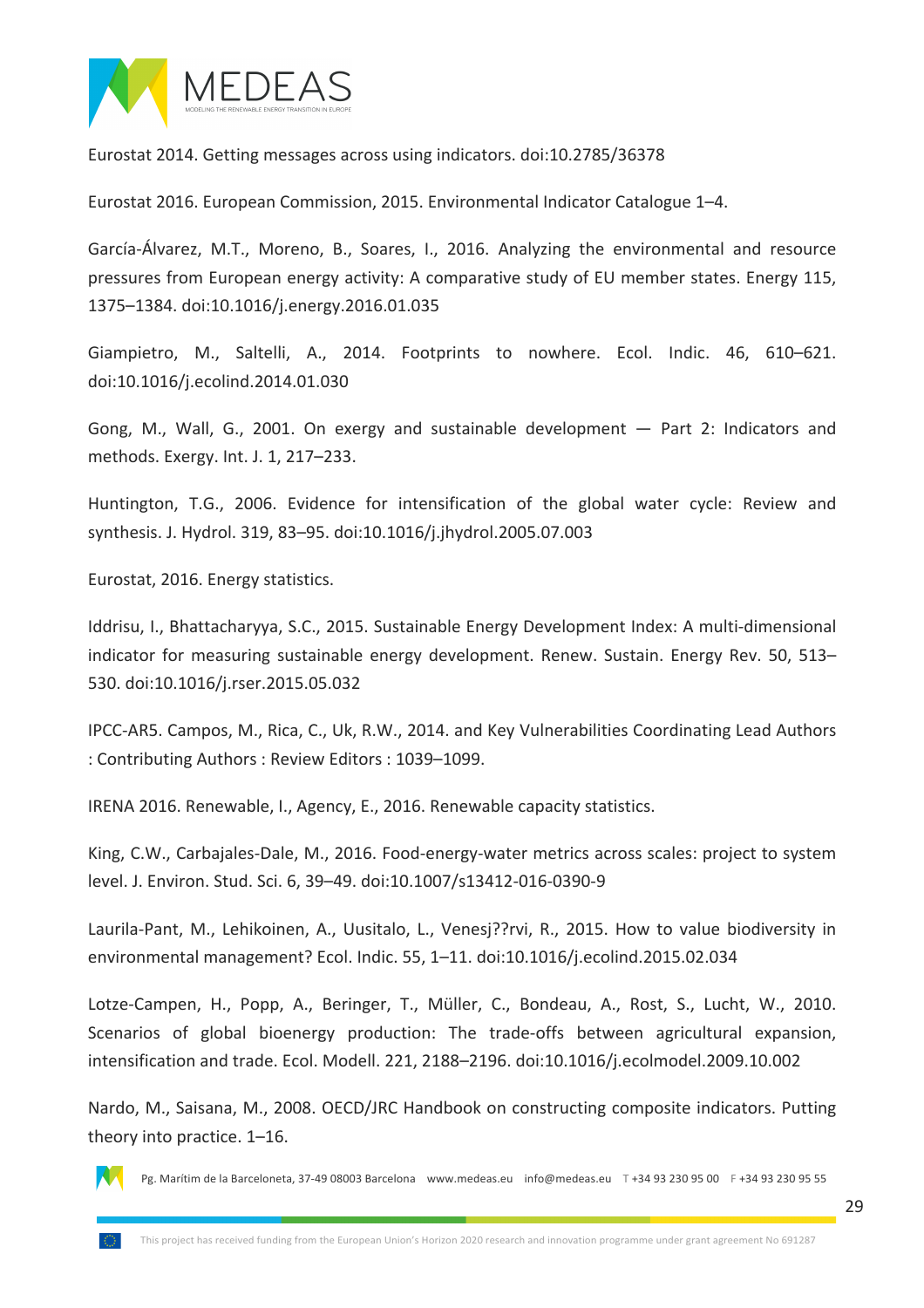

Eurostat 2014. Getting messages across using indicators. doi:10.2785/36378

Eurostat 2016. European Commission, 2015. Environmental Indicator Catalogue 1–4.

García-Álvarez, M.T., Moreno, B., Soares, I., 2016. Analyzing the environmental and resource pressures from European energy activity: A comparative study of EU member states. Energy 115, 1375-1384. doi:10.1016/j.energy.2016.01.035

Giampietro, M., Saltelli, A., 2014. Footprints to nowhere. Ecol. Indic. 46, 610–621. doi:10.1016/j.ecolind.2014.01.030

Gong, M., Wall, G., 2001. On exergy and sustainable development  $-$  Part 2: Indicators and methods. Exergy. Int. J. 1, 217–233.

Huntington, T.G., 2006. Evidence for intensification of the global water cycle: Review and synthesis. J. Hydrol. 319, 83-95. doi:10.1016/j.jhydrol.2005.07.003

Eurostat, 2016. Energy statistics.

Iddrisu, I., Bhattacharyya, S.C., 2015. Sustainable Energy Development Index: A multi-dimensional indicator for measuring sustainable energy development. Renew. Sustain. Energy Rev. 50, 513– 530. doi:10.1016/j.rser.2015.05.032

IPCC-AR5. Campos, M., Rica, C., Uk, R.W., 2014. and Key Vulnerabilities Coordinating Lead Authors : Contributing Authors : Review Editors : 1039–1099.

IRENA 2016. Renewable, I., Agency, E., 2016. Renewable capacity statistics.

King, C.W., Carbajales-Dale, M., 2016. Food-energy-water metrics across scales: project to system level. J. Environ. Stud. Sci. 6, 39-49. doi:10.1007/s13412-016-0390-9

Laurila-Pant, M., Lehikoinen, A., Uusitalo, L., Venesj??rvi, R., 2015. How to value biodiversity in environmental management? Ecol. Indic. 55, 1–11. doi:10.1016/j.ecolind.2015.02.034

Lotze-Campen, H., Popp, A., Beringer, T., Müller, C., Bondeau, A., Rost, S., Lucht, W., 2010. Scenarios of global bioenergy production: The trade-offs between agricultural expansion, intensification and trade. Ecol. Modell. 221, 2188–2196. doi:10.1016/j.ecolmodel.2009.10.002

Nardo, M., Saisana, M., 2008. OECD/JRC Handbook on constructing composite indicators. Putting theory into practice. 1–16.

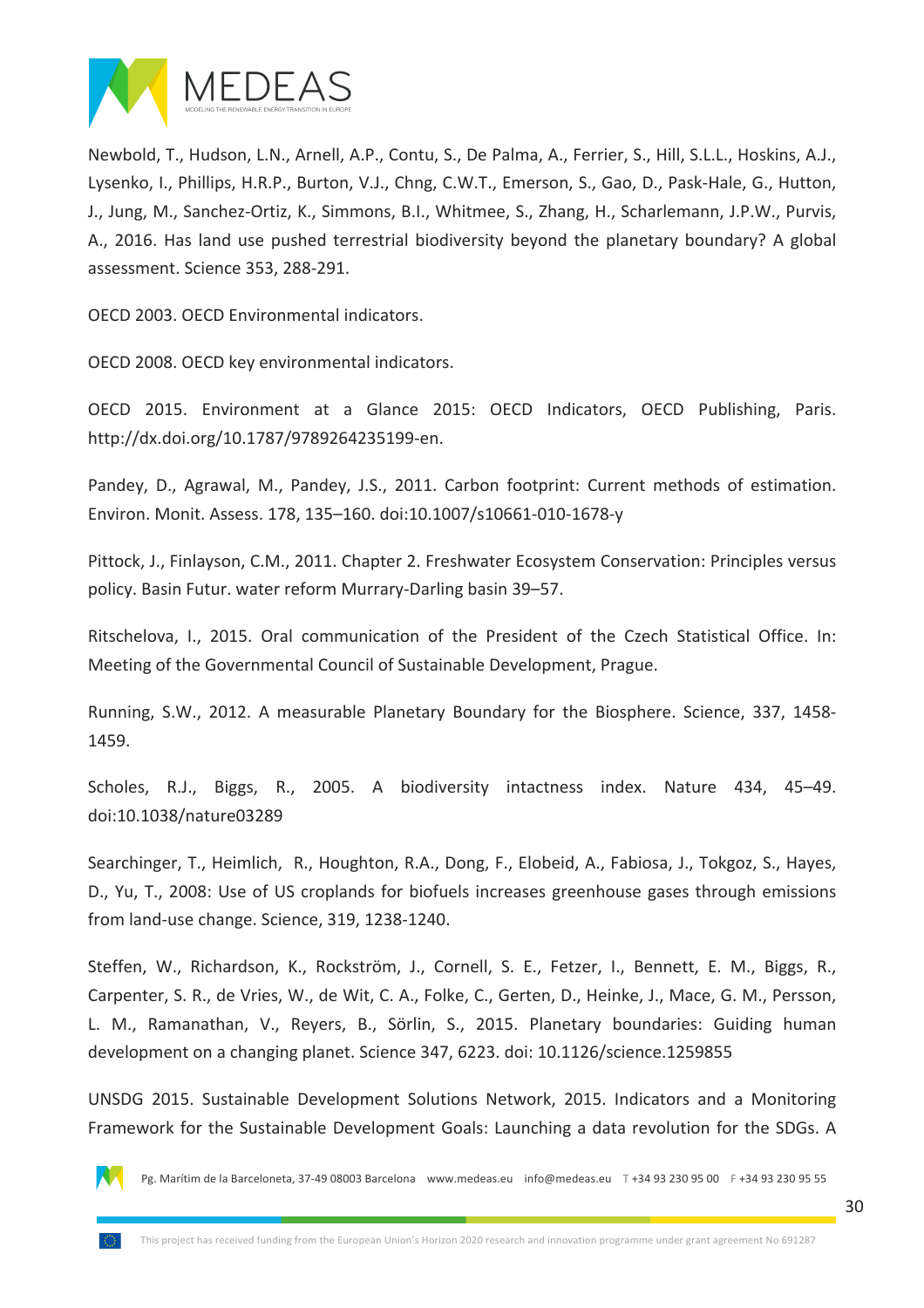

Newbold, T., Hudson, L.N., Arnell, A.P., Contu, S., De Palma, A., Ferrier, S., Hill, S.L.L., Hoskins, A.J., Lysenko, I., Phillips, H.R.P., Burton, V.J., Chng, C.W.T., Emerson, S., Gao, D., Pask-Hale, G., Hutton, J., Jung, M., Sanchez-Ortiz, K., Simmons, B.I., Whitmee, S., Zhang, H., Scharlemann, J.P.W., Purvis, A., 2016. Has land use pushed terrestrial biodiversity beyond the planetary boundary? A global assessment. Science 353, 288-291.

OECD 2003. OECD Environmental indicators.

OECD 2008. OECD key environmental indicators.

OECD 2015. Environment at a Glance 2015: OECD Indicators, OECD Publishing, Paris. http://dx.doi.org/10.1787/9789264235199-en.

Pandey, D., Agrawal, M., Pandey, J.S., 2011. Carbon footprint: Current methods of estimation. Environ. Monit. Assess. 178, 135–160. doi:10.1007/s10661-010-1678-y

Pittock, J., Finlayson, C.M., 2011. Chapter 2. Freshwater Ecosystem Conservation: Principles versus policy. Basin Futur. water reform Murrary-Darling basin 39–57.

Ritschelova, I., 2015. Oral communication of the President of the Czech Statistical Office. In: Meeting of the Governmental Council of Sustainable Development, Prague.

Running, S.W., 2012. A measurable Planetary Boundary for the Biosphere. Science, 337, 1458-1459.

Scholes, R.J., Biggs, R., 2005. A biodiversity intactness index. Nature 434, 45–49. doi:10.1038/nature03289

Searchinger, T., Heimlich, R., Houghton, R.A., Dong, F., Elobeid, A., Fabiosa, J., Tokgoz, S., Hayes, D., Yu, T., 2008: Use of US croplands for biofuels increases greenhouse gases through emissions from land-use change. Science, 319, 1238-1240.

Steffen, W., Richardson, K., Rockström, J., Cornell, S. E., Fetzer, I., Bennett, E. M., Biggs, R., Carpenter, S. R., de Vries, W., de Wit, C. A., Folke, C., Gerten, D., Heinke, J., Mace, G. M., Persson, L. M., Ramanathan, V., Reyers, B., Sörlin, S., 2015. Planetary boundaries: Guiding human development on a changing planet. Science 347, 6223. doi: 10.1126/science.1259855

UNSDG 2015. Sustainable Development Solutions Network, 2015. Indicators and a Monitoring Framework for the Sustainable Development Goals: Launching a data revolution for the SDGs. A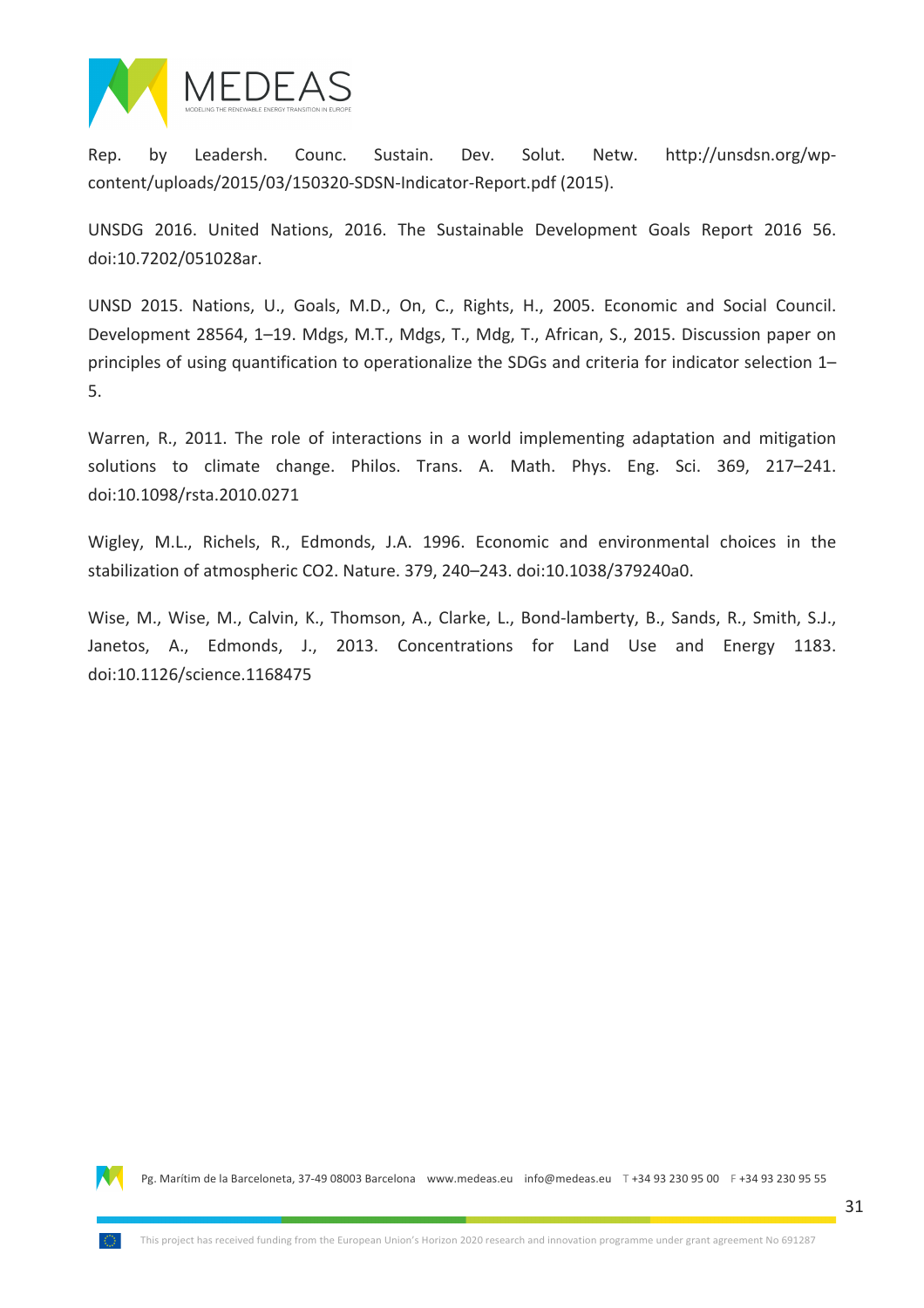

Rep. by Leadersh. Counc. Sustain. Dev. Solut. Netw. http://unsdsn.org/wpcontent/uploads/2015/03/150320-SDSN-Indicator-Report.pdf (2015).

UNSDG 2016. United Nations, 2016. The Sustainable Development Goals Report 2016 56. doi:10.7202/051028ar.

UNSD 2015. Nations, U., Goals, M.D., On, C., Rights, H., 2005. Economic and Social Council. Development 28564, 1–19. Mdgs, M.T., Mdgs, T., Mdg, T., African, S., 2015. Discussion paper on principles of using quantification to operationalize the SDGs and criteria for indicator selection 1– 5.

Warren, R., 2011. The role of interactions in a world implementing adaptation and mitigation solutions to climate change. Philos. Trans. A. Math. Phys. Eng. Sci. 369, 217–241. doi:10.1098/rsta.2010.0271

Wigley, M.L., Richels, R., Edmonds, J.A. 1996. Economic and environmental choices in the stabilization of atmospheric CO2. Nature. 379, 240–243. doi:10.1038/379240a0.

Wise, M., Wise, M., Calvin, K., Thomson, A., Clarke, L., Bond-lamberty, B., Sands, R., Smith, S.J., Janetos, A., Edmonds, J., 2013. Concentrations for Land Use and Energy 1183. doi:10.1126/science.1168475

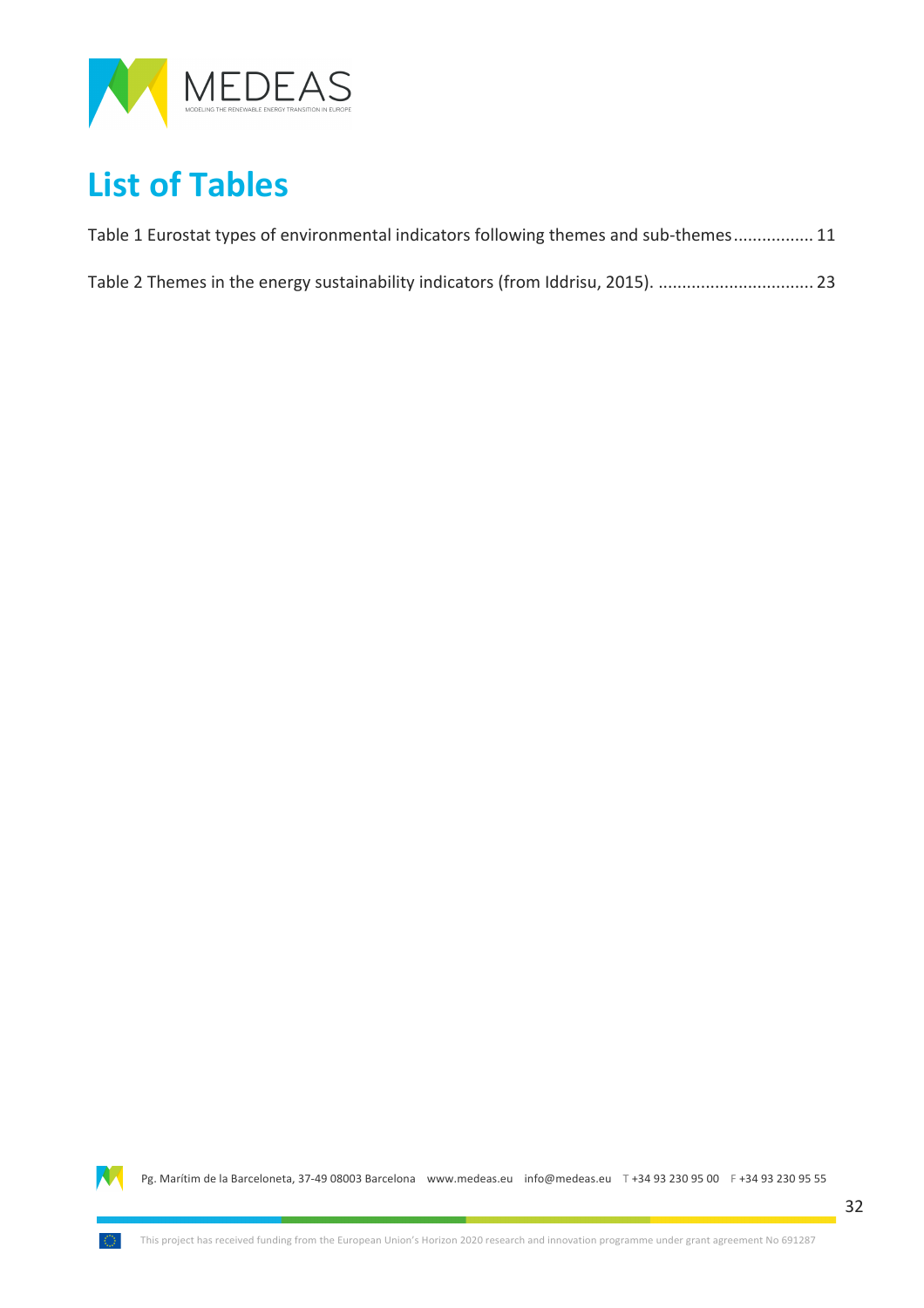

## **List of Tables**

| Table 1 Eurostat types of environmental indicators following themes and sub-themes 11 |  |
|---------------------------------------------------------------------------------------|--|
|                                                                                       |  |

| Table 2 Themes in the energy sustainability indicators (from Iddrisu, 2015).  23 |  |
|----------------------------------------------------------------------------------|--|
|----------------------------------------------------------------------------------|--|



m.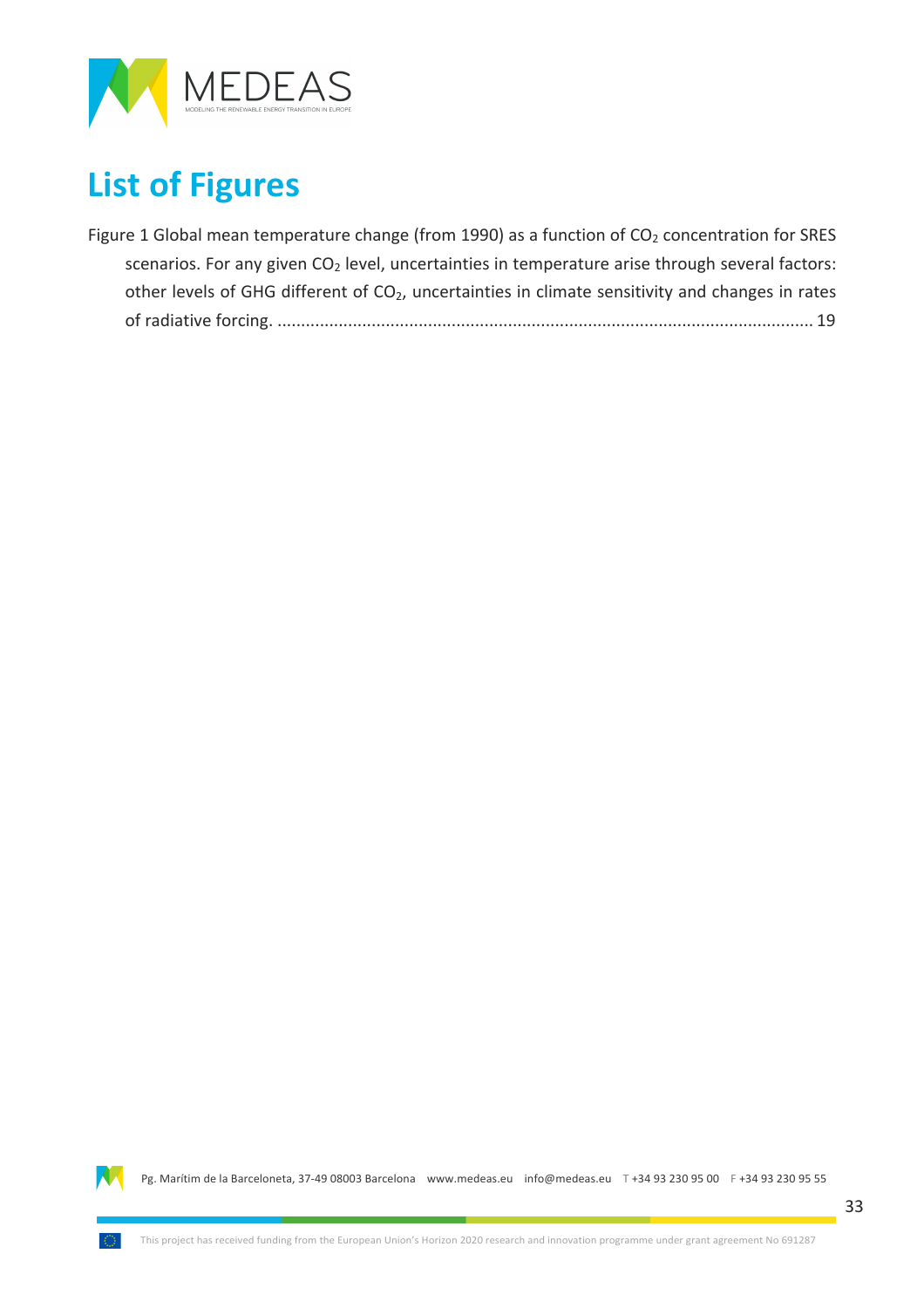

## **List of Figures**

| Figure 1 Global mean temperature change (from 1990) as a function of $CO2$ concentration for SRES           |
|-------------------------------------------------------------------------------------------------------------|
| scenarios. For any given CO <sub>2</sub> level, uncertainties in temperature arise through several factors: |
| other levels of GHG different of $CO2$ , uncertainties in climate sensitivity and changes in rates          |
|                                                                                                             |

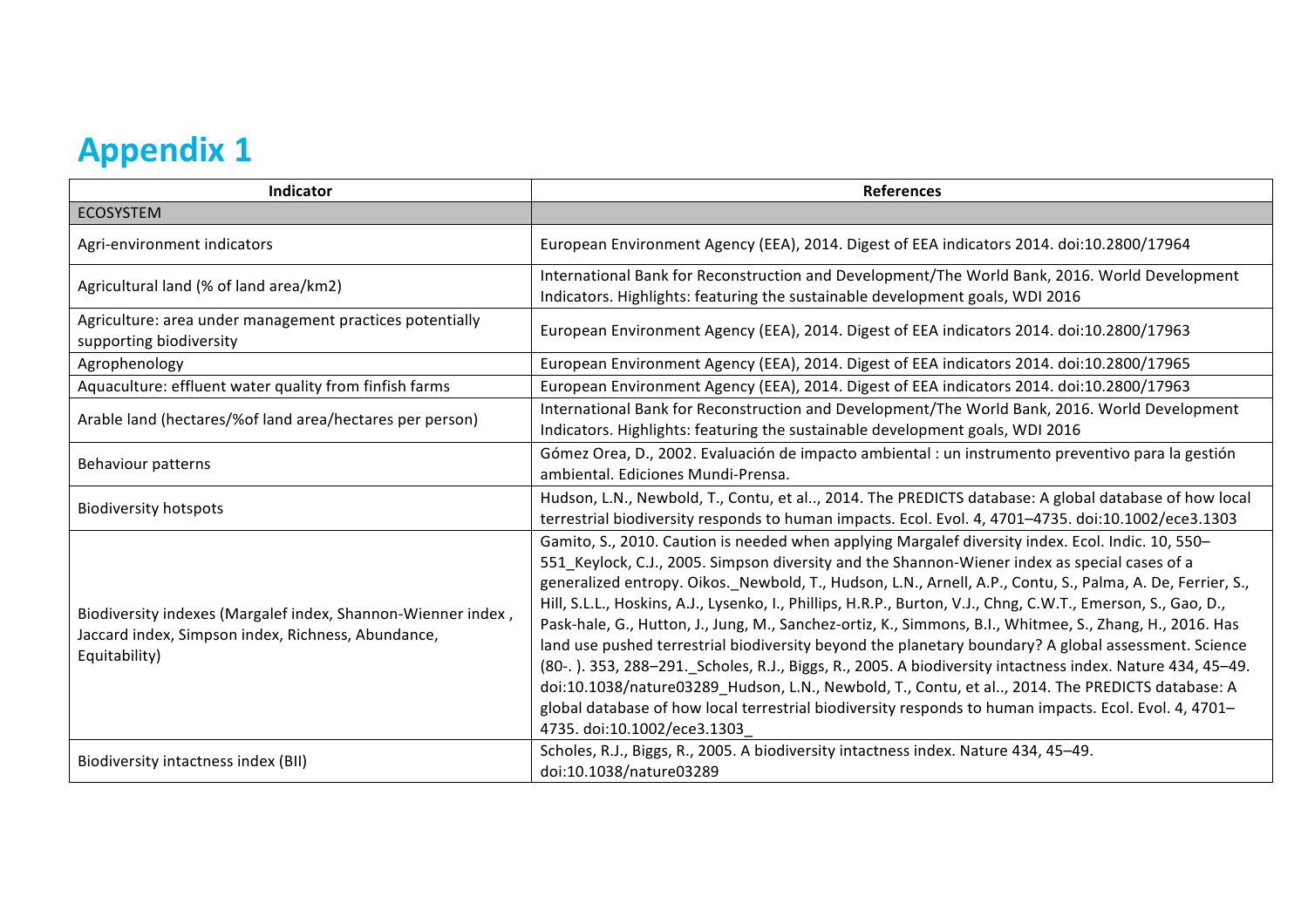## **Appendix 1**

| Indicator                                                                                                                           | <b>References</b>                                                                                                                                                                                                                                                                                                                                                                                                                                                                                                                                                                                                                                                                                                                                                                                                                                                                                                                                                                                             |
|-------------------------------------------------------------------------------------------------------------------------------------|---------------------------------------------------------------------------------------------------------------------------------------------------------------------------------------------------------------------------------------------------------------------------------------------------------------------------------------------------------------------------------------------------------------------------------------------------------------------------------------------------------------------------------------------------------------------------------------------------------------------------------------------------------------------------------------------------------------------------------------------------------------------------------------------------------------------------------------------------------------------------------------------------------------------------------------------------------------------------------------------------------------|
| <b>ECOSYSTEM</b>                                                                                                                    |                                                                                                                                                                                                                                                                                                                                                                                                                                                                                                                                                                                                                                                                                                                                                                                                                                                                                                                                                                                                               |
| Agri-environment indicators                                                                                                         | European Environment Agency (EEA), 2014. Digest of EEA indicators 2014. doi:10.2800/17964                                                                                                                                                                                                                                                                                                                                                                                                                                                                                                                                                                                                                                                                                                                                                                                                                                                                                                                     |
| Agricultural land (% of land area/km2)                                                                                              | International Bank for Reconstruction and Development/The World Bank, 2016. World Development<br>Indicators. Highlights: featuring the sustainable development goals, WDI 2016                                                                                                                                                                                                                                                                                                                                                                                                                                                                                                                                                                                                                                                                                                                                                                                                                                |
| Agriculture: area under management practices potentially<br>supporting biodiversity                                                 | European Environment Agency (EEA), 2014. Digest of EEA indicators 2014. doi:10.2800/17963                                                                                                                                                                                                                                                                                                                                                                                                                                                                                                                                                                                                                                                                                                                                                                                                                                                                                                                     |
| Agrophenology                                                                                                                       | European Environment Agency (EEA), 2014. Digest of EEA indicators 2014. doi:10.2800/17965                                                                                                                                                                                                                                                                                                                                                                                                                                                                                                                                                                                                                                                                                                                                                                                                                                                                                                                     |
| Aquaculture: effluent water quality from finfish farms                                                                              | European Environment Agency (EEA), 2014. Digest of EEA indicators 2014. doi:10.2800/17963                                                                                                                                                                                                                                                                                                                                                                                                                                                                                                                                                                                                                                                                                                                                                                                                                                                                                                                     |
| Arable land (hectares/% of land area/hectares per person)                                                                           | International Bank for Reconstruction and Development/The World Bank, 2016. World Development<br>Indicators. Highlights: featuring the sustainable development goals, WDI 2016                                                                                                                                                                                                                                                                                                                                                                                                                                                                                                                                                                                                                                                                                                                                                                                                                                |
| Behaviour patterns                                                                                                                  | Gómez Orea, D., 2002. Evaluación de impacto ambiental : un instrumento preventivo para la gestión<br>ambiental. Ediciones Mundi-Prensa.                                                                                                                                                                                                                                                                                                                                                                                                                                                                                                                                                                                                                                                                                                                                                                                                                                                                       |
| <b>Biodiversity hotspots</b>                                                                                                        | Hudson, L.N., Newbold, T., Contu, et al, 2014. The PREDICTS database: A global database of how local<br>terrestrial biodiversity responds to human impacts. Ecol. Evol. 4, 4701-4735. doi:10.1002/ece3.1303                                                                                                                                                                                                                                                                                                                                                                                                                                                                                                                                                                                                                                                                                                                                                                                                   |
| Biodiversity indexes (Margalef index, Shannon-Wienner index,<br>Jaccard index, Simpson index, Richness, Abundance,<br>Equitability) | Gamito, S., 2010. Caution is needed when applying Margalef diversity index. Ecol. Indic. 10, 550-<br>551_Keylock, C.J., 2005. Simpson diversity and the Shannon-Wiener index as special cases of a<br>generalized entropy. Oikos._Newbold, T., Hudson, L.N., Arnell, A.P., Contu, S., Palma, A. De, Ferrier, S.,<br>Hill, S.L.L., Hoskins, A.J., Lysenko, I., Phillips, H.R.P., Burton, V.J., Chng, C.W.T., Emerson, S., Gao, D.,<br>Pask-hale, G., Hutton, J., Jung, M., Sanchez-ortiz, K., Simmons, B.I., Whitmee, S., Zhang, H., 2016. Has<br>land use pushed terrestrial biodiversity beyond the planetary boundary? A global assessment. Science<br>(80-.). 353, 288-291. Scholes, R.J., Biggs, R., 2005. A biodiversity intactness index. Nature 434, 45-49.<br>doi:10.1038/nature03289_Hudson, L.N., Newbold, T., Contu, et al, 2014. The PREDICTS database: A<br>global database of how local terrestrial biodiversity responds to human impacts. Ecol. Evol. 4, 4701-<br>4735. doi:10.1002/ece3.1303 |
| Biodiversity intactness index (BII)                                                                                                 | Scholes, R.J., Biggs, R., 2005. A biodiversity intactness index. Nature 434, 45-49.<br>doi:10.1038/nature03289                                                                                                                                                                                                                                                                                                                                                                                                                                                                                                                                                                                                                                                                                                                                                                                                                                                                                                |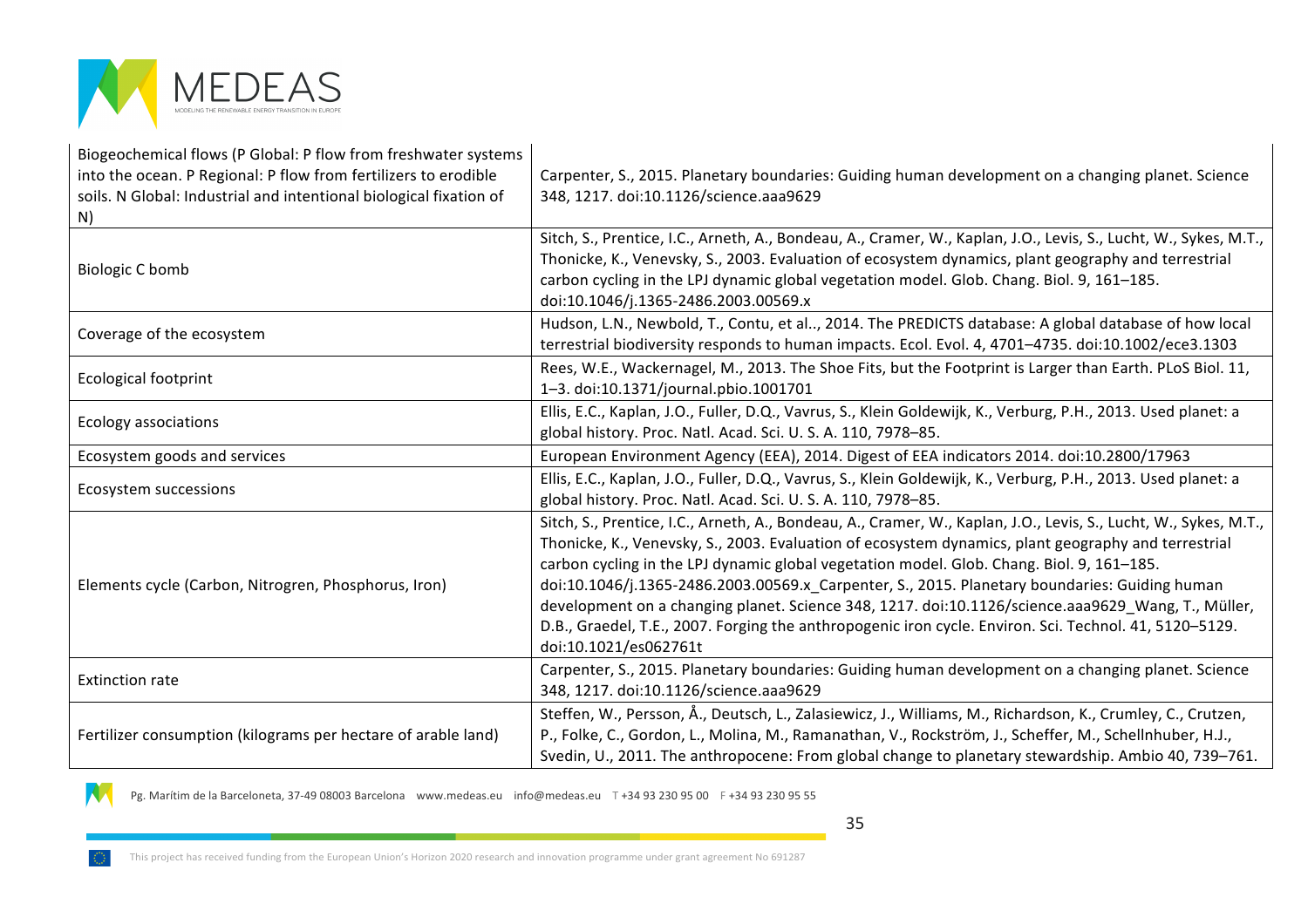

N

| Biogeochemical flows (P Global: P flow from freshwater systems<br>into the ocean. P Regional: P flow from fertilizers to erodible<br>soils. N Global: Industrial and intentional biological fixation of<br>N) | Carpenter, S., 2015. Planetary boundaries: Guiding human development on a changing planet. Science<br>348, 1217. doi:10.1126/science.aaa9629                                                                                                                                                                                                                                                                                                                                                                                                                                                                                                                   |
|---------------------------------------------------------------------------------------------------------------------------------------------------------------------------------------------------------------|----------------------------------------------------------------------------------------------------------------------------------------------------------------------------------------------------------------------------------------------------------------------------------------------------------------------------------------------------------------------------------------------------------------------------------------------------------------------------------------------------------------------------------------------------------------------------------------------------------------------------------------------------------------|
| <b>Biologic C bomb</b>                                                                                                                                                                                        | Sitch, S., Prentice, I.C., Arneth, A., Bondeau, A., Cramer, W., Kaplan, J.O., Levis, S., Lucht, W., Sykes, M.T.,<br>Thonicke, K., Venevsky, S., 2003. Evaluation of ecosystem dynamics, plant geography and terrestrial<br>carbon cycling in the LPJ dynamic global vegetation model. Glob. Chang. Biol. 9, 161-185.<br>doi:10.1046/j.1365-2486.2003.00569.x                                                                                                                                                                                                                                                                                                   |
| Coverage of the ecosystem                                                                                                                                                                                     | Hudson, L.N., Newbold, T., Contu, et al, 2014. The PREDICTS database: A global database of how local<br>terrestrial biodiversity responds to human impacts. Ecol. Evol. 4, 4701-4735. doi:10.1002/ece3.1303                                                                                                                                                                                                                                                                                                                                                                                                                                                    |
| <b>Ecological footprint</b>                                                                                                                                                                                   | Rees, W.E., Wackernagel, M., 2013. The Shoe Fits, but the Footprint is Larger than Earth. PLoS Biol. 11,<br>1-3. doi:10.1371/journal.pbio.1001701                                                                                                                                                                                                                                                                                                                                                                                                                                                                                                              |
| <b>Ecology associations</b>                                                                                                                                                                                   | Ellis, E.C., Kaplan, J.O., Fuller, D.Q., Vavrus, S., Klein Goldewijk, K., Verburg, P.H., 2013. Used planet: a<br>global history. Proc. Natl. Acad. Sci. U. S. A. 110, 7978-85.                                                                                                                                                                                                                                                                                                                                                                                                                                                                                 |
| Ecosystem goods and services                                                                                                                                                                                  | European Environment Agency (EEA), 2014. Digest of EEA indicators 2014. doi:10.2800/17963                                                                                                                                                                                                                                                                                                                                                                                                                                                                                                                                                                      |
| Ecosystem successions                                                                                                                                                                                         | Ellis, E.C., Kaplan, J.O., Fuller, D.Q., Vavrus, S., Klein Goldewijk, K., Verburg, P.H., 2013. Used planet: a<br>global history. Proc. Natl. Acad. Sci. U. S. A. 110, 7978-85.                                                                                                                                                                                                                                                                                                                                                                                                                                                                                 |
| Elements cycle (Carbon, Nitrogren, Phosphorus, Iron)                                                                                                                                                          | Sitch, S., Prentice, I.C., Arneth, A., Bondeau, A., Cramer, W., Kaplan, J.O., Levis, S., Lucht, W., Sykes, M.T.,<br>Thonicke, K., Venevsky, S., 2003. Evaluation of ecosystem dynamics, plant geography and terrestrial<br>carbon cycling in the LPJ dynamic global vegetation model. Glob. Chang. Biol. 9, 161-185.<br>doi:10.1046/j.1365-2486.2003.00569.x Carpenter, S., 2015. Planetary boundaries: Guiding human<br>development on a changing planet. Science 348, 1217. doi:10.1126/science.aaa9629 Wang, T., Müller,<br>D.B., Graedel, T.E., 2007. Forging the anthropogenic iron cycle. Environ. Sci. Technol. 41, 5120-5129.<br>doi:10.1021/es062761t |
| <b>Extinction rate</b>                                                                                                                                                                                        | Carpenter, S., 2015. Planetary boundaries: Guiding human development on a changing planet. Science<br>348, 1217. doi:10.1126/science.aaa9629                                                                                                                                                                                                                                                                                                                                                                                                                                                                                                                   |
| Fertilizer consumption (kilograms per hectare of arable land)                                                                                                                                                 | Steffen, W., Persson, Å., Deutsch, L., Zalasiewicz, J., Williams, M., Richardson, K., Crumley, C., Crutzen,<br>P., Folke, C., Gordon, L., Molina, M., Ramanathan, V., Rockström, J., Scheffer, M., Schellnhuber, H.J.,<br>Svedin, U., 2011. The anthropocene: From global change to planetary stewardship. Ambio 40, 739-761.                                                                                                                                                                                                                                                                                                                                  |

Pg. Marítim de la Barceloneta, 37-49 08003 Barcelona (www.medeas.eu info@medeas.eu T +34 93 230 95 00 F +34 93 230 95 55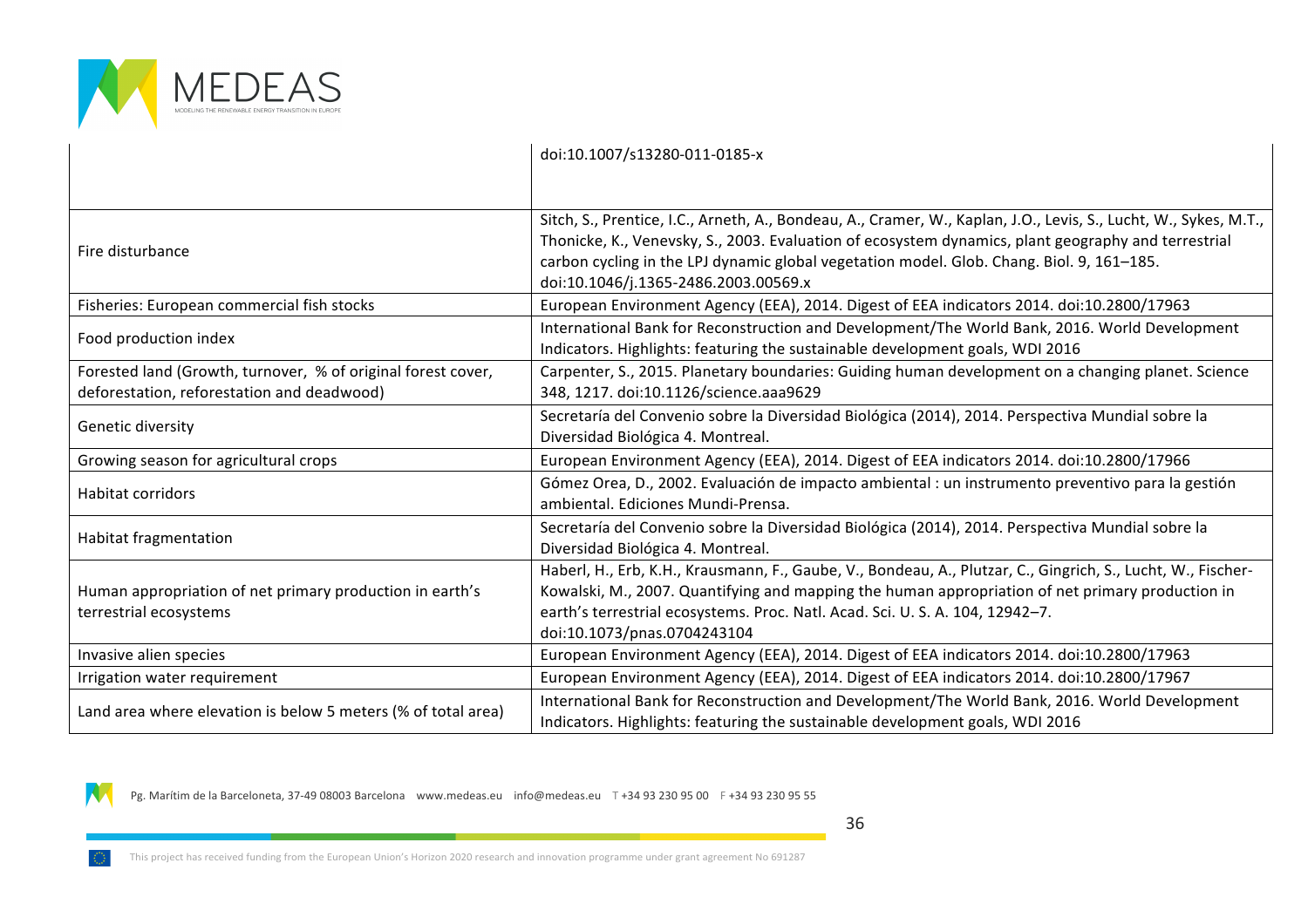

|                                                                                                            | doi:10.1007/s13280-011-0185-x                                                                                                                                                                                                                                                                                                                                |
|------------------------------------------------------------------------------------------------------------|--------------------------------------------------------------------------------------------------------------------------------------------------------------------------------------------------------------------------------------------------------------------------------------------------------------------------------------------------------------|
|                                                                                                            |                                                                                                                                                                                                                                                                                                                                                              |
| Fire disturbance                                                                                           | Sitch, S., Prentice, I.C., Arneth, A., Bondeau, A., Cramer, W., Kaplan, J.O., Levis, S., Lucht, W., Sykes, M.T.,<br>Thonicke, K., Venevsky, S., 2003. Evaluation of ecosystem dynamics, plant geography and terrestrial<br>carbon cycling in the LPJ dynamic global vegetation model. Glob. Chang. Biol. 9, 161-185.<br>doi:10.1046/j.1365-2486.2003.00569.x |
| Fisheries: European commercial fish stocks                                                                 | European Environment Agency (EEA), 2014. Digest of EEA indicators 2014. doi:10.2800/17963                                                                                                                                                                                                                                                                    |
| Food production index                                                                                      | International Bank for Reconstruction and Development/The World Bank, 2016. World Development<br>Indicators. Highlights: featuring the sustainable development goals, WDI 2016                                                                                                                                                                               |
| Forested land (Growth, turnover, % of original forest cover,<br>deforestation, reforestation and deadwood) | Carpenter, S., 2015. Planetary boundaries: Guiding human development on a changing planet. Science<br>348, 1217. doi:10.1126/science.aaa9629                                                                                                                                                                                                                 |
| Genetic diversity                                                                                          | Secretaría del Convenio sobre la Diversidad Biológica (2014), 2014. Perspectiva Mundial sobre la<br>Diversidad Biológica 4. Montreal.                                                                                                                                                                                                                        |
| Growing season for agricultural crops                                                                      | European Environment Agency (EEA), 2014. Digest of EEA indicators 2014. doi:10.2800/17966                                                                                                                                                                                                                                                                    |
| Habitat corridors                                                                                          | Gómez Orea, D., 2002. Evaluación de impacto ambiental : un instrumento preventivo para la gestión<br>ambiental. Ediciones Mundi-Prensa.                                                                                                                                                                                                                      |
| <b>Habitat fragmentation</b>                                                                               | Secretaría del Convenio sobre la Diversidad Biológica (2014), 2014. Perspectiva Mundial sobre la<br>Diversidad Biológica 4. Montreal.                                                                                                                                                                                                                        |
| Human appropriation of net primary production in earth's<br>terrestrial ecosystems                         | Haberl, H., Erb, K.H., Krausmann, F., Gaube, V., Bondeau, A., Plutzar, C., Gingrich, S., Lucht, W., Fischer-<br>Kowalski, M., 2007. Quantifying and mapping the human appropriation of net primary production in<br>earth's terrestrial ecosystems. Proc. Natl. Acad. Sci. U. S. A. 104, 12942-7.<br>doi:10.1073/pnas.0704243104                             |
| Invasive alien species                                                                                     | European Environment Agency (EEA), 2014. Digest of EEA indicators 2014. doi:10.2800/17963                                                                                                                                                                                                                                                                    |
| Irrigation water requirement                                                                               | European Environment Agency (EEA), 2014. Digest of EEA indicators 2014. doi:10.2800/17967                                                                                                                                                                                                                                                                    |
| Land area where elevation is below 5 meters (% of total area)                                              | International Bank for Reconstruction and Development/The World Bank, 2016. World Development<br>Indicators. Highlights: featuring the sustainable development goals, WDI 2016                                                                                                                                                                               |

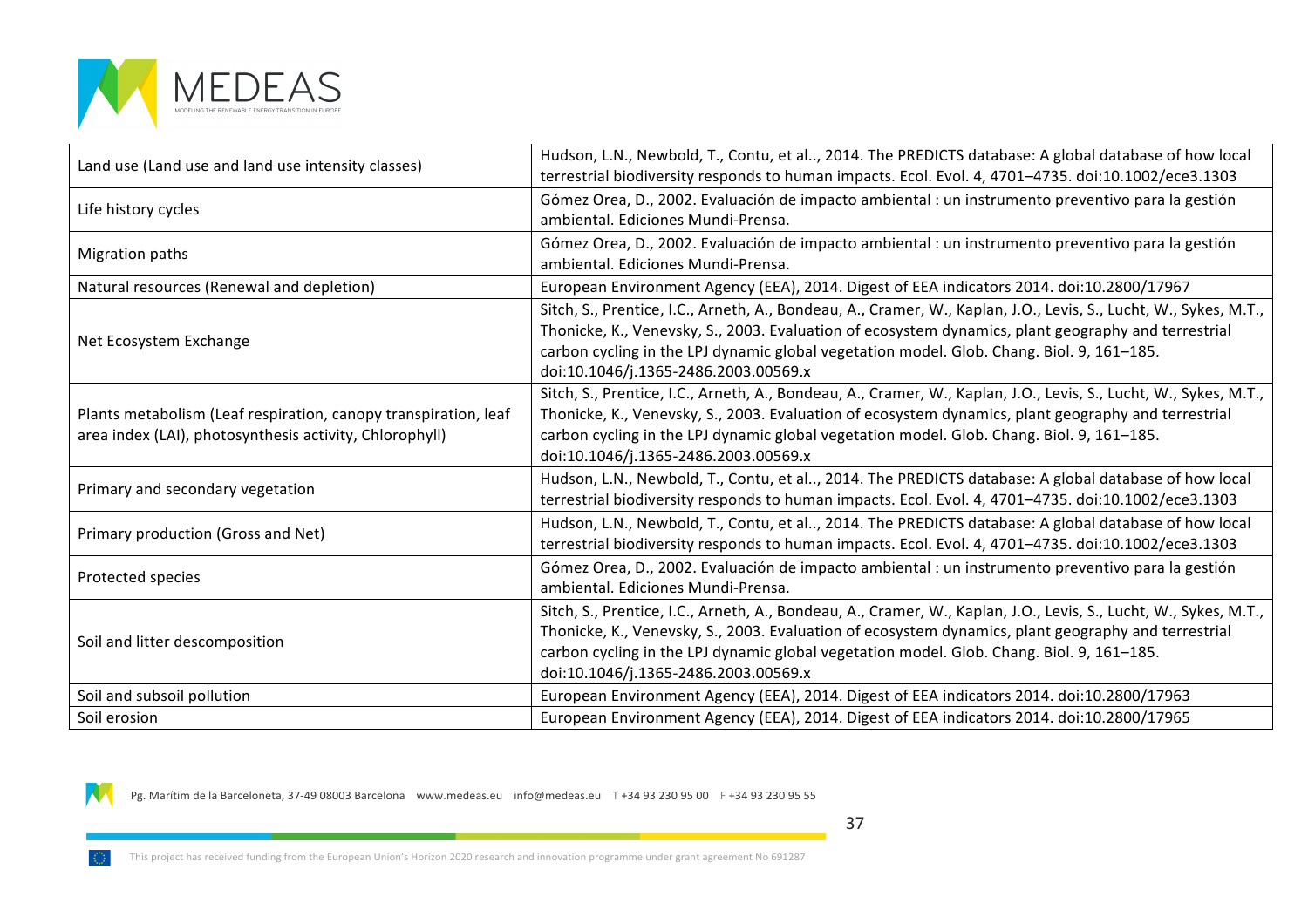

| Land use (Land use and land use intensity classes)                                                                         | Hudson, L.N., Newbold, T., Contu, et al, 2014. The PREDICTS database: A global database of how local<br>terrestrial biodiversity responds to human impacts. Ecol. Evol. 4, 4701-4735. doi:10.1002/ece3.1303                                                                                                                                                  |
|----------------------------------------------------------------------------------------------------------------------------|--------------------------------------------------------------------------------------------------------------------------------------------------------------------------------------------------------------------------------------------------------------------------------------------------------------------------------------------------------------|
| Life history cycles                                                                                                        | Gómez Orea, D., 2002. Evaluación de impacto ambiental : un instrumento preventivo para la gestión<br>ambiental. Ediciones Mundi-Prensa.                                                                                                                                                                                                                      |
| <b>Migration paths</b>                                                                                                     | Gómez Orea, D., 2002. Evaluación de impacto ambiental : un instrumento preventivo para la gestión<br>ambiental. Ediciones Mundi-Prensa.                                                                                                                                                                                                                      |
| Natural resources (Renewal and depletion)                                                                                  | European Environment Agency (EEA), 2014. Digest of EEA indicators 2014. doi:10.2800/17967                                                                                                                                                                                                                                                                    |
| Net Ecosystem Exchange                                                                                                     | Sitch, S., Prentice, I.C., Arneth, A., Bondeau, A., Cramer, W., Kaplan, J.O., Levis, S., Lucht, W., Sykes, M.T.,<br>Thonicke, K., Venevsky, S., 2003. Evaluation of ecosystem dynamics, plant geography and terrestrial<br>carbon cycling in the LPJ dynamic global vegetation model. Glob. Chang. Biol. 9, 161-185.<br>doi:10.1046/j.1365-2486.2003.00569.x |
| Plants metabolism (Leaf respiration, canopy transpiration, leaf<br>area index (LAI), photosynthesis activity, Chlorophyll) | Sitch, S., Prentice, I.C., Arneth, A., Bondeau, A., Cramer, W., Kaplan, J.O., Levis, S., Lucht, W., Sykes, M.T.,<br>Thonicke, K., Venevsky, S., 2003. Evaluation of ecosystem dynamics, plant geography and terrestrial<br>carbon cycling in the LPJ dynamic global vegetation model. Glob. Chang. Biol. 9, 161-185.<br>doi:10.1046/j.1365-2486.2003.00569.x |
| Primary and secondary vegetation                                                                                           | Hudson, L.N., Newbold, T., Contu, et al, 2014. The PREDICTS database: A global database of how local<br>terrestrial biodiversity responds to human impacts. Ecol. Evol. 4, 4701-4735. doi:10.1002/ece3.1303                                                                                                                                                  |
| Primary production (Gross and Net)                                                                                         | Hudson, L.N., Newbold, T., Contu, et al, 2014. The PREDICTS database: A global database of how local<br>terrestrial biodiversity responds to human impacts. Ecol. Evol. 4, 4701-4735. doi:10.1002/ece3.1303                                                                                                                                                  |
| Protected species                                                                                                          | Gómez Orea, D., 2002. Evaluación de impacto ambiental : un instrumento preventivo para la gestión<br>ambiental. Ediciones Mundi-Prensa.                                                                                                                                                                                                                      |
| Soil and litter descomposition                                                                                             | Sitch, S., Prentice, I.C., Arneth, A., Bondeau, A., Cramer, W., Kaplan, J.O., Levis, S., Lucht, W., Sykes, M.T.,<br>Thonicke, K., Venevsky, S., 2003. Evaluation of ecosystem dynamics, plant geography and terrestrial<br>carbon cycling in the LPJ dynamic global vegetation model. Glob. Chang. Biol. 9, 161-185.<br>doi:10.1046/j.1365-2486.2003.00569.x |
| Soil and subsoil pollution                                                                                                 | European Environment Agency (EEA), 2014. Digest of EEA indicators 2014. doi:10.2800/17963                                                                                                                                                                                                                                                                    |
| Soil erosion                                                                                                               | European Environment Agency (EEA), 2014. Digest of EEA indicators 2014. doi:10.2800/17965                                                                                                                                                                                                                                                                    |



37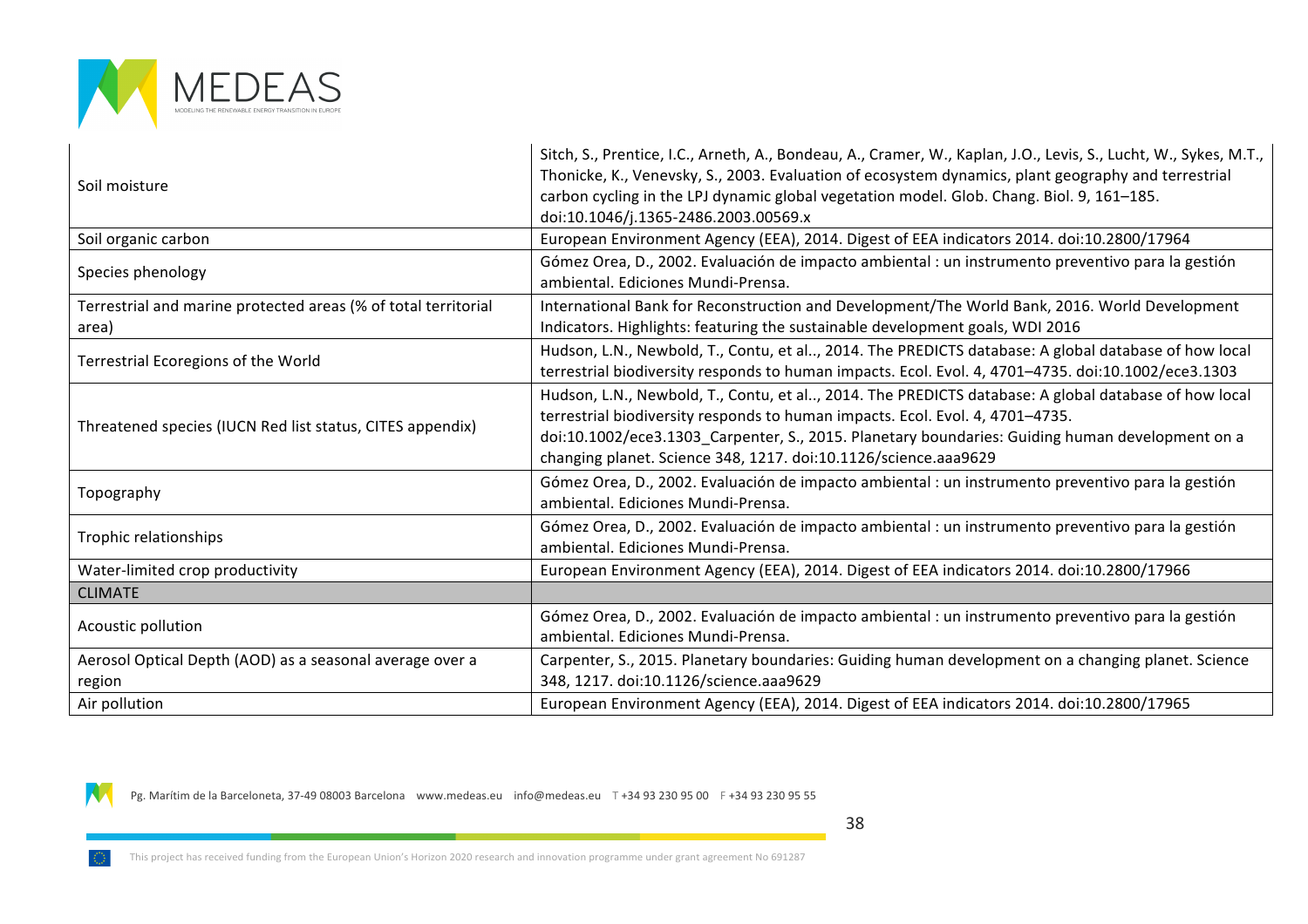

| Soil moisture                                                           | Sitch, S., Prentice, I.C., Arneth, A., Bondeau, A., Cramer, W., Kaplan, J.O., Levis, S., Lucht, W., Sykes, M.T.,<br>Thonicke, K., Venevsky, S., 2003. Evaluation of ecosystem dynamics, plant geography and terrestrial<br>carbon cycling in the LPJ dynamic global vegetation model. Glob. Chang. Biol. 9, 161-185.<br>doi:10.1046/j.1365-2486.2003.00569.x |
|-------------------------------------------------------------------------|--------------------------------------------------------------------------------------------------------------------------------------------------------------------------------------------------------------------------------------------------------------------------------------------------------------------------------------------------------------|
| Soil organic carbon                                                     | European Environment Agency (EEA), 2014. Digest of EEA indicators 2014. doi:10.2800/17964                                                                                                                                                                                                                                                                    |
| Species phenology                                                       | Gómez Orea, D., 2002. Evaluación de impacto ambiental : un instrumento preventivo para la gestión<br>ambiental. Ediciones Mundi-Prensa.                                                                                                                                                                                                                      |
| Terrestrial and marine protected areas (% of total territorial<br>area) | International Bank for Reconstruction and Development/The World Bank, 2016. World Development<br>Indicators. Highlights: featuring the sustainable development goals, WDI 2016                                                                                                                                                                               |
| Terrestrial Ecoregions of the World                                     | Hudson, L.N., Newbold, T., Contu, et al, 2014. The PREDICTS database: A global database of how local<br>terrestrial biodiversity responds to human impacts. Ecol. Evol. 4, 4701-4735. doi:10.1002/ece3.1303                                                                                                                                                  |
| Threatened species (IUCN Red list status, CITES appendix)               | Hudson, L.N., Newbold, T., Contu, et al, 2014. The PREDICTS database: A global database of how local<br>terrestrial biodiversity responds to human impacts. Ecol. Evol. 4, 4701-4735.<br>doi:10.1002/ece3.1303_Carpenter, S., 2015. Planetary boundaries: Guiding human development on a<br>changing planet. Science 348, 1217. doi:10.1126/science.aaa9629  |
| Topography                                                              | Gómez Orea, D., 2002. Evaluación de impacto ambiental : un instrumento preventivo para la gestión<br>ambiental. Ediciones Mundi-Prensa.                                                                                                                                                                                                                      |
| Trophic relationships                                                   | Gómez Orea, D., 2002. Evaluación de impacto ambiental : un instrumento preventivo para la gestión<br>ambiental. Ediciones Mundi-Prensa.                                                                                                                                                                                                                      |
| Water-limited crop productivity                                         | European Environment Agency (EEA), 2014. Digest of EEA indicators 2014. doi:10.2800/17966                                                                                                                                                                                                                                                                    |
| <b>CLIMATE</b>                                                          |                                                                                                                                                                                                                                                                                                                                                              |
| Acoustic pollution                                                      | Gómez Orea, D., 2002. Evaluación de impacto ambiental : un instrumento preventivo para la gestión<br>ambiental. Ediciones Mundi-Prensa.                                                                                                                                                                                                                      |
| Aerosol Optical Depth (AOD) as a seasonal average over a<br>region      | Carpenter, S., 2015. Planetary boundaries: Guiding human development on a changing planet. Science<br>348, 1217. doi:10.1126/science.aaa9629                                                                                                                                                                                                                 |
| Air pollution                                                           | European Environment Agency (EEA), 2014. Digest of EEA indicators 2014. doi:10.2800/17965                                                                                                                                                                                                                                                                    |

N

Pg. Marítim de la Barceloneta, 37-49 08003 Barcelona www.medeas.eu info@medeas.eu T +34 93 230 95 00 F +34 93 230 95 55

38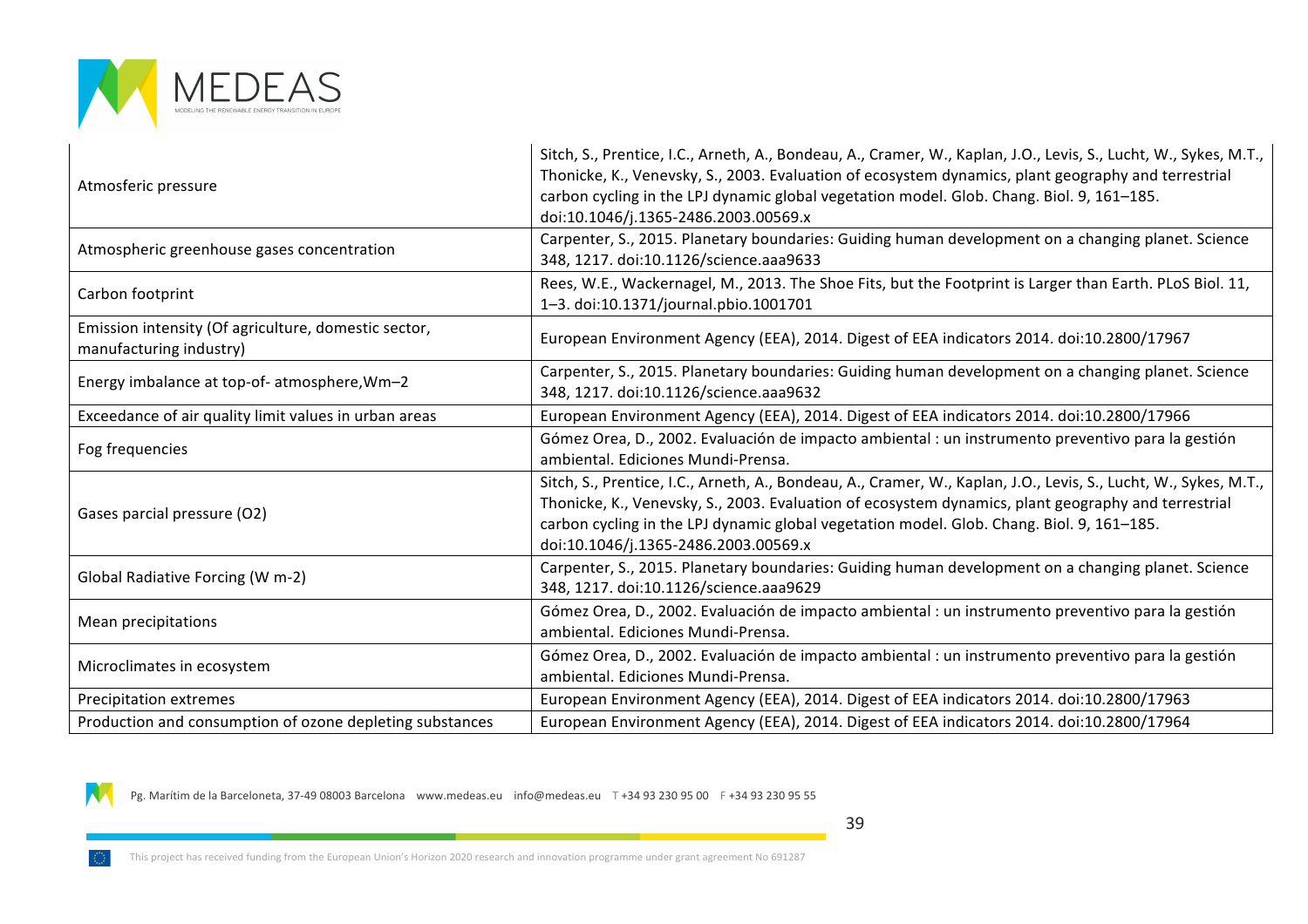

N

| Atmosferic pressure                                                             | Sitch, S., Prentice, I.C., Arneth, A., Bondeau, A., Cramer, W., Kaplan, J.O., Levis, S., Lucht, W., Sykes, M.T.,<br>Thonicke, K., Venevsky, S., 2003. Evaluation of ecosystem dynamics, plant geography and terrestrial<br>carbon cycling in the LPJ dynamic global vegetation model. Glob. Chang. Biol. 9, 161-185.<br>doi:10.1046/j.1365-2486.2003.00569.x |
|---------------------------------------------------------------------------------|--------------------------------------------------------------------------------------------------------------------------------------------------------------------------------------------------------------------------------------------------------------------------------------------------------------------------------------------------------------|
| Atmospheric greenhouse gases concentration                                      | Carpenter, S., 2015. Planetary boundaries: Guiding human development on a changing planet. Science<br>348, 1217. doi:10.1126/science.aaa9633                                                                                                                                                                                                                 |
| Carbon footprint                                                                | Rees, W.E., Wackernagel, M., 2013. The Shoe Fits, but the Footprint is Larger than Earth. PLoS Biol. 11,<br>1-3. doi:10.1371/journal.pbio.1001701                                                                                                                                                                                                            |
| Emission intensity (Of agriculture, domestic sector,<br>manufacturing industry) | European Environment Agency (EEA), 2014. Digest of EEA indicators 2014. doi:10.2800/17967                                                                                                                                                                                                                                                                    |
| Energy imbalance at top-of- atmosphere, Wm-2                                    | Carpenter, S., 2015. Planetary boundaries: Guiding human development on a changing planet. Science<br>348, 1217. doi:10.1126/science.aaa9632                                                                                                                                                                                                                 |
| Exceedance of air quality limit values in urban areas                           | European Environment Agency (EEA), 2014. Digest of EEA indicators 2014. doi:10.2800/17966                                                                                                                                                                                                                                                                    |
| Fog frequencies                                                                 | Gómez Orea, D., 2002. Evaluación de impacto ambiental : un instrumento preventivo para la gestión<br>ambiental. Ediciones Mundi-Prensa.                                                                                                                                                                                                                      |
| Gases parcial pressure (O2)                                                     | Sitch, S., Prentice, I.C., Arneth, A., Bondeau, A., Cramer, W., Kaplan, J.O., Levis, S., Lucht, W., Sykes, M.T.,<br>Thonicke, K., Venevsky, S., 2003. Evaluation of ecosystem dynamics, plant geography and terrestrial<br>carbon cycling in the LPJ dynamic global vegetation model. Glob. Chang. Biol. 9, 161-185.<br>doi:10.1046/j.1365-2486.2003.00569.x |
| Global Radiative Forcing (W m-2)                                                | Carpenter, S., 2015. Planetary boundaries: Guiding human development on a changing planet. Science<br>348, 1217. doi:10.1126/science.aaa9629                                                                                                                                                                                                                 |
| Mean precipitations                                                             | Gómez Orea, D., 2002. Evaluación de impacto ambiental : un instrumento preventivo para la gestión<br>ambiental. Ediciones Mundi-Prensa.                                                                                                                                                                                                                      |
| Microclimates in ecosystem                                                      | Gómez Orea, D., 2002. Evaluación de impacto ambiental : un instrumento preventivo para la gestión<br>ambiental. Ediciones Mundi-Prensa.                                                                                                                                                                                                                      |
| Precipitation extremes                                                          | European Environment Agency (EEA), 2014. Digest of EEA indicators 2014. doi:10.2800/17963                                                                                                                                                                                                                                                                    |
| Production and consumption of ozone depleting substances                        | European Environment Agency (EEA), 2014. Digest of EEA indicators 2014. doi:10.2800/17964                                                                                                                                                                                                                                                                    |

Pg. Marítim de la Barceloneta, 37-49 08003 Barcelona (www.medeas.eu info@medeas.eu T +34 93 230 95 00 F +34 93 230 95 55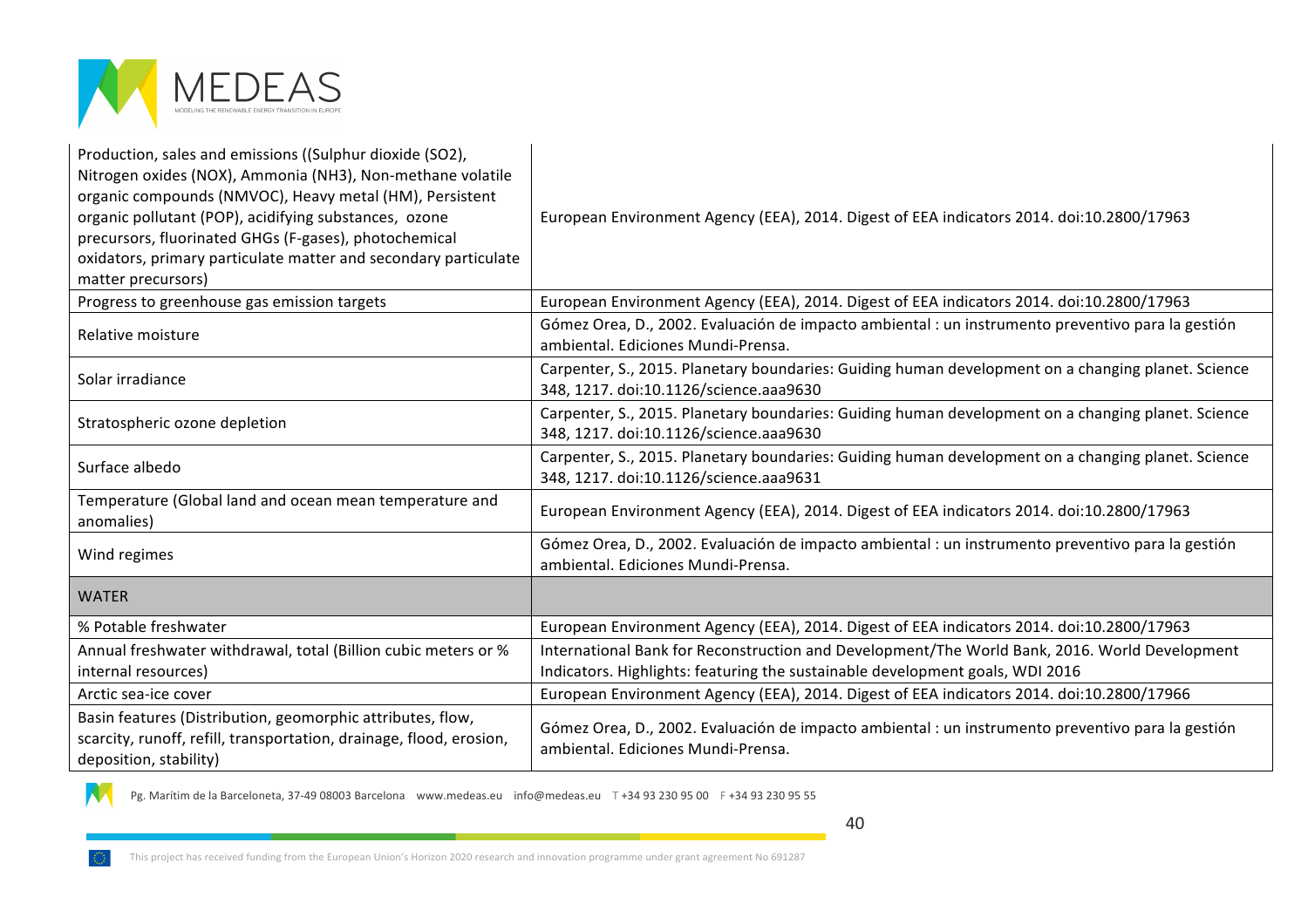

| Production, sales and emissions ((Sulphur dioxide (SO2),<br>Nitrogen oxides (NOX), Ammonia (NH3), Non-methane volatile<br>organic compounds (NMVOC), Heavy metal (HM), Persistent<br>organic pollutant (POP), acidifying substances, ozone<br>precursors, fluorinated GHGs (F-gases), photochemical<br>oxidators, primary particulate matter and secondary particulate<br>matter precursors) | European Environment Agency (EEA), 2014. Digest of EEA indicators 2014. doi:10.2800/17963                                                    |
|----------------------------------------------------------------------------------------------------------------------------------------------------------------------------------------------------------------------------------------------------------------------------------------------------------------------------------------------------------------------------------------------|----------------------------------------------------------------------------------------------------------------------------------------------|
| Progress to greenhouse gas emission targets                                                                                                                                                                                                                                                                                                                                                  | European Environment Agency (EEA), 2014. Digest of EEA indicators 2014. doi:10.2800/17963                                                    |
| Relative moisture                                                                                                                                                                                                                                                                                                                                                                            | Gómez Orea, D., 2002. Evaluación de impacto ambiental : un instrumento preventivo para la gestión<br>ambiental. Ediciones Mundi-Prensa.      |
| Solar irradiance                                                                                                                                                                                                                                                                                                                                                                             | Carpenter, S., 2015. Planetary boundaries: Guiding human development on a changing planet. Science<br>348, 1217. doi:10.1126/science.aaa9630 |
| Stratospheric ozone depletion                                                                                                                                                                                                                                                                                                                                                                | Carpenter, S., 2015. Planetary boundaries: Guiding human development on a changing planet. Science<br>348, 1217. doi:10.1126/science.aaa9630 |
| Surface albedo                                                                                                                                                                                                                                                                                                                                                                               | Carpenter, S., 2015. Planetary boundaries: Guiding human development on a changing planet. Science<br>348, 1217. doi:10.1126/science.aaa9631 |
| Temperature (Global land and ocean mean temperature and<br>anomalies)                                                                                                                                                                                                                                                                                                                        | European Environment Agency (EEA), 2014. Digest of EEA indicators 2014. doi:10.2800/17963                                                    |
| Wind regimes                                                                                                                                                                                                                                                                                                                                                                                 | Gómez Orea, D., 2002. Evaluación de impacto ambiental : un instrumento preventivo para la gestión<br>ambiental. Ediciones Mundi-Prensa.      |
| <b>WATER</b>                                                                                                                                                                                                                                                                                                                                                                                 |                                                                                                                                              |
| % Potable freshwater                                                                                                                                                                                                                                                                                                                                                                         | European Environment Agency (EEA), 2014. Digest of EEA indicators 2014. doi:10.2800/17963                                                    |
| Annual freshwater withdrawal, total (Billion cubic meters or %                                                                                                                                                                                                                                                                                                                               | International Bank for Reconstruction and Development/The World Bank, 2016. World Development                                                |
| internal resources)                                                                                                                                                                                                                                                                                                                                                                          | Indicators. Highlights: featuring the sustainable development goals, WDI 2016                                                                |
| Arctic sea-ice cover                                                                                                                                                                                                                                                                                                                                                                         | European Environment Agency (EEA), 2014. Digest of EEA indicators 2014. doi:10.2800/17966                                                    |
| Basin features (Distribution, geomorphic attributes, flow,<br>scarcity, runoff, refill, transportation, drainage, flood, erosion,<br>deposition, stability)                                                                                                                                                                                                                                  | Gómez Orea, D., 2002. Evaluación de impacto ambiental : un instrumento preventivo para la gestión<br>ambiental. Ediciones Mundi-Prensa.      |

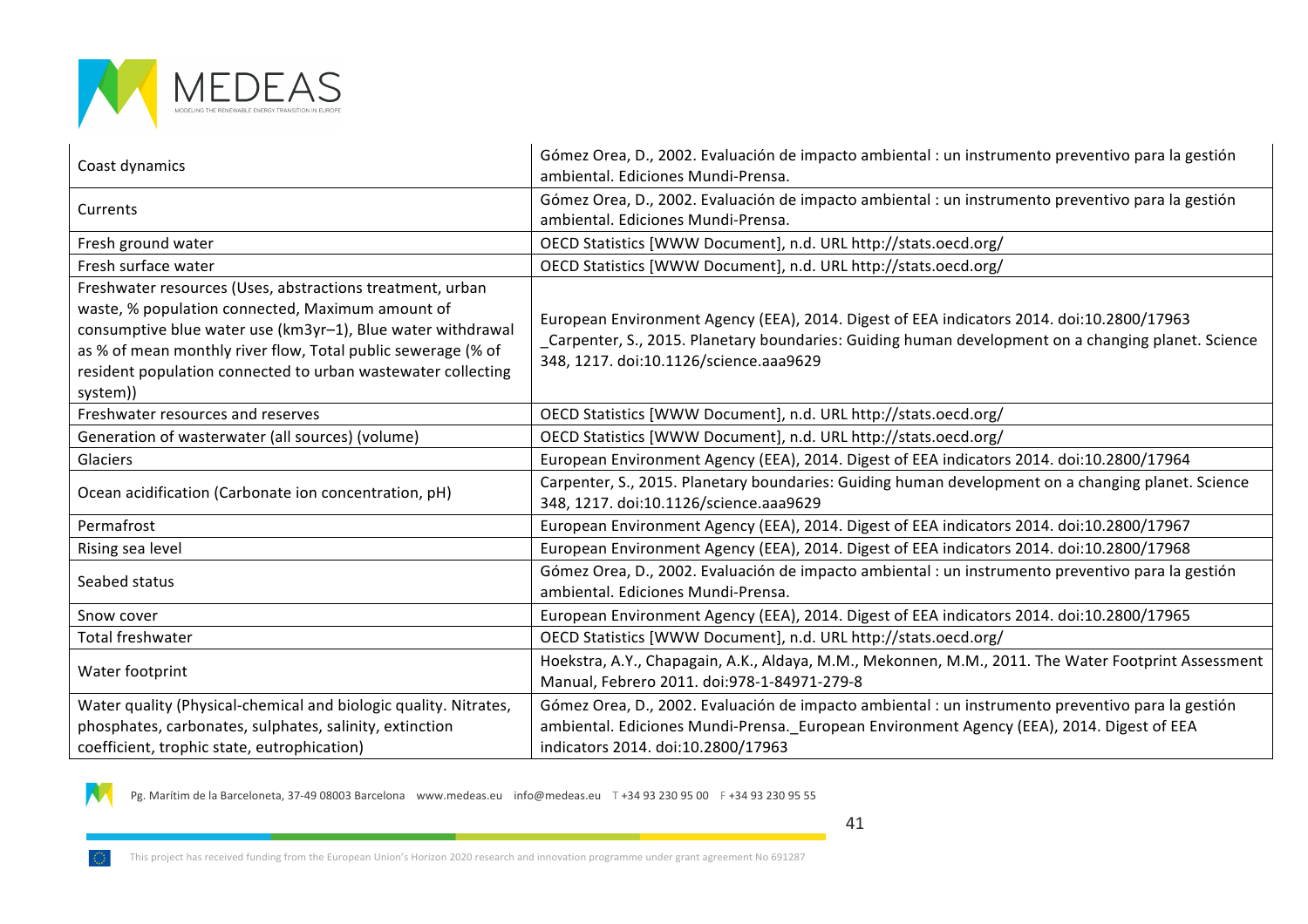

| Coast dynamics                                                                                                                                                                                                                                                                                                           | Gómez Orea, D., 2002. Evaluación de impacto ambiental : un instrumento preventivo para la gestión<br>ambiental. Ediciones Mundi-Prensa.                                                                                                   |
|--------------------------------------------------------------------------------------------------------------------------------------------------------------------------------------------------------------------------------------------------------------------------------------------------------------------------|-------------------------------------------------------------------------------------------------------------------------------------------------------------------------------------------------------------------------------------------|
| Currents                                                                                                                                                                                                                                                                                                                 | Gómez Orea, D., 2002. Evaluación de impacto ambiental : un instrumento preventivo para la gestión<br>ambiental. Ediciones Mundi-Prensa.                                                                                                   |
| Fresh ground water                                                                                                                                                                                                                                                                                                       | OECD Statistics [WWW Document], n.d. URL http://stats.oecd.org/                                                                                                                                                                           |
| Fresh surface water                                                                                                                                                                                                                                                                                                      | OECD Statistics [WWW Document], n.d. URL http://stats.oecd.org/                                                                                                                                                                           |
| Freshwater resources (Uses, abstractions treatment, urban<br>waste, % population connected, Maximum amount of<br>consumptive blue water use (km3yr-1), Blue water withdrawal<br>as % of mean monthly river flow, Total public sewerage (% of<br>resident population connected to urban wastewater collecting<br>system)) | European Environment Agency (EEA), 2014. Digest of EEA indicators 2014. doi:10.2800/17963<br>Carpenter, S., 2015. Planetary boundaries: Guiding human development on a changing planet. Science<br>348, 1217. doi:10.1126/science.aaa9629 |
| Freshwater resources and reserves                                                                                                                                                                                                                                                                                        | OECD Statistics [WWW Document], n.d. URL http://stats.oecd.org/                                                                                                                                                                           |
| Generation of wasterwater (all sources) (volume)                                                                                                                                                                                                                                                                         | OECD Statistics [WWW Document], n.d. URL http://stats.oecd.org/                                                                                                                                                                           |
| Glaciers                                                                                                                                                                                                                                                                                                                 | European Environment Agency (EEA), 2014. Digest of EEA indicators 2014. doi:10.2800/17964                                                                                                                                                 |
| Ocean acidification (Carbonate ion concentration, pH)                                                                                                                                                                                                                                                                    | Carpenter, S., 2015. Planetary boundaries: Guiding human development on a changing planet. Science<br>348, 1217. doi:10.1126/science.aaa9629                                                                                              |
| Permafrost                                                                                                                                                                                                                                                                                                               | European Environment Agency (EEA), 2014. Digest of EEA indicators 2014. doi:10.2800/17967                                                                                                                                                 |
| Rising sea level                                                                                                                                                                                                                                                                                                         | European Environment Agency (EEA), 2014. Digest of EEA indicators 2014. doi:10.2800/17968                                                                                                                                                 |
| Seabed status                                                                                                                                                                                                                                                                                                            | Gómez Orea, D., 2002. Evaluación de impacto ambiental : un instrumento preventivo para la gestión<br>ambiental. Ediciones Mundi-Prensa.                                                                                                   |
| Snow cover                                                                                                                                                                                                                                                                                                               | European Environment Agency (EEA), 2014. Digest of EEA indicators 2014. doi:10.2800/17965                                                                                                                                                 |
| <b>Total freshwater</b>                                                                                                                                                                                                                                                                                                  | OECD Statistics [WWW Document], n.d. URL http://stats.oecd.org/                                                                                                                                                                           |
| Water footprint                                                                                                                                                                                                                                                                                                          | Hoekstra, A.Y., Chapagain, A.K., Aldaya, M.M., Mekonnen, M.M., 2011. The Water Footprint Assessment<br>Manual, Febrero 2011. doi:978-1-84971-279-8                                                                                        |
| Water quality (Physical-chemical and biologic quality. Nitrates,                                                                                                                                                                                                                                                         | Gómez Orea, D., 2002. Evaluación de impacto ambiental : un instrumento preventivo para la gestión                                                                                                                                         |
| phosphates, carbonates, sulphates, salinity, extinction<br>coefficient, trophic state, eutrophication)                                                                                                                                                                                                                   | ambiental. Ediciones Mundi-Prensa. European Environment Agency (EEA), 2014. Digest of EEA<br>indicators 2014. doi:10.2800/17963                                                                                                           |

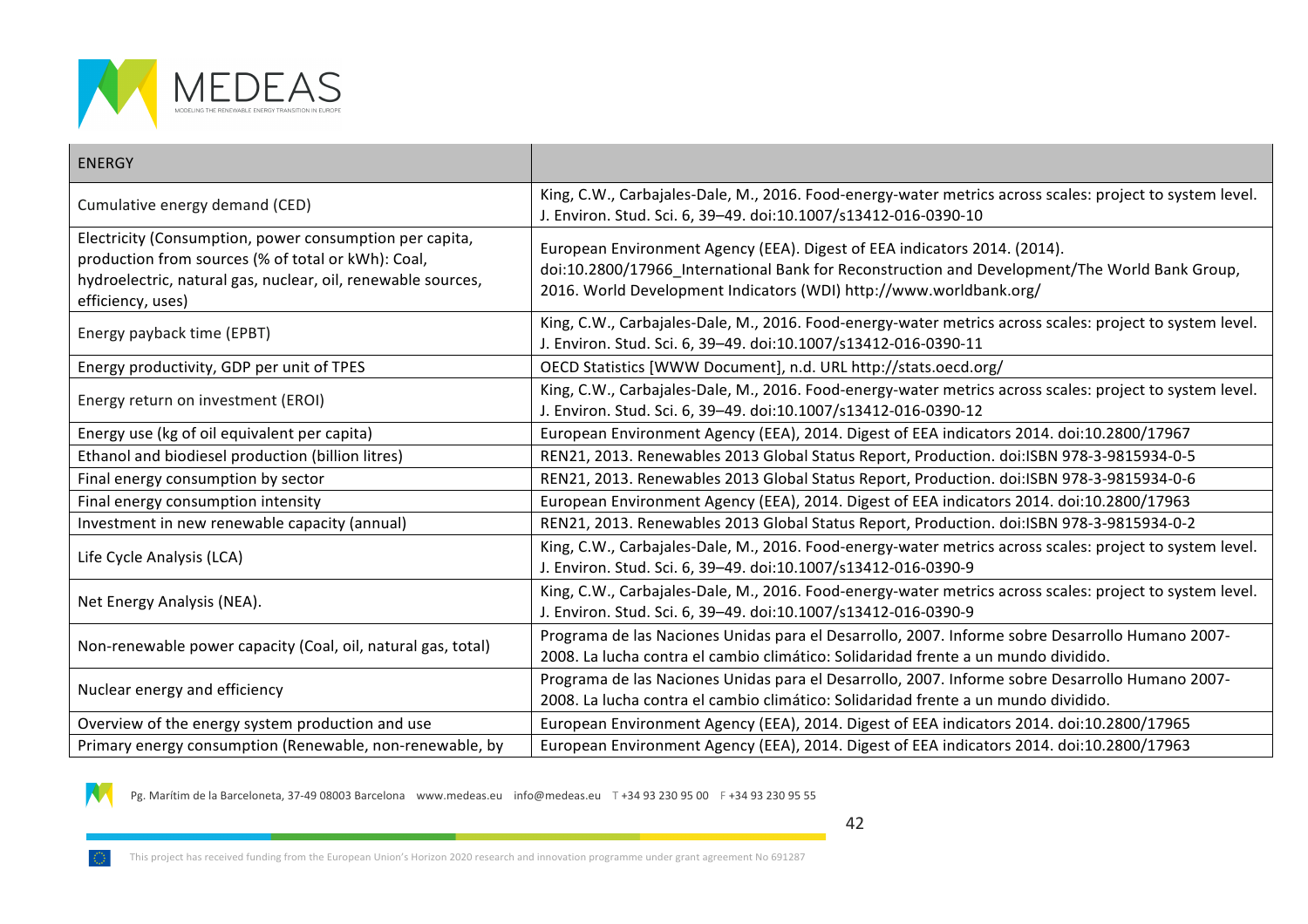

| <b>ENERGY</b>                                                                                                                                                                                      |                                                                                                                                                                                                                                                  |
|----------------------------------------------------------------------------------------------------------------------------------------------------------------------------------------------------|--------------------------------------------------------------------------------------------------------------------------------------------------------------------------------------------------------------------------------------------------|
| Cumulative energy demand (CED)                                                                                                                                                                     | King, C.W., Carbajales-Dale, M., 2016. Food-energy-water metrics across scales: project to system level.<br>J. Environ. Stud. Sci. 6, 39-49. doi:10.1007/s13412-016-0390-10                                                                      |
| Electricity (Consumption, power consumption per capita,<br>production from sources (% of total or kWh): Coal,<br>hydroelectric, natural gas, nuclear, oil, renewable sources,<br>efficiency, uses) | European Environment Agency (EEA). Digest of EEA indicators 2014. (2014).<br>doi:10.2800/17966_International Bank for Reconstruction and Development/The World Bank Group,<br>2016. World Development Indicators (WDI) http://www.worldbank.org/ |
| Energy payback time (EPBT)                                                                                                                                                                         | King, C.W., Carbajales-Dale, M., 2016. Food-energy-water metrics across scales: project to system level.<br>J. Environ. Stud. Sci. 6, 39-49. doi:10.1007/s13412-016-0390-11                                                                      |
| Energy productivity, GDP per unit of TPES                                                                                                                                                          | OECD Statistics [WWW Document], n.d. URL http://stats.oecd.org/                                                                                                                                                                                  |
| Energy return on investment (EROI)                                                                                                                                                                 | King, C.W., Carbajales-Dale, M., 2016. Food-energy-water metrics across scales: project to system level.<br>J. Environ. Stud. Sci. 6, 39-49. doi:10.1007/s13412-016-0390-12                                                                      |
| Energy use (kg of oil equivalent per capita)                                                                                                                                                       | European Environment Agency (EEA), 2014. Digest of EEA indicators 2014. doi:10.2800/17967                                                                                                                                                        |
| Ethanol and biodiesel production (billion litres)                                                                                                                                                  | REN21, 2013. Renewables 2013 Global Status Report, Production. doi:ISBN 978-3-9815934-0-5                                                                                                                                                        |
| Final energy consumption by sector                                                                                                                                                                 | REN21, 2013. Renewables 2013 Global Status Report, Production. doi:ISBN 978-3-9815934-0-6                                                                                                                                                        |
| Final energy consumption intensity                                                                                                                                                                 | European Environment Agency (EEA), 2014. Digest of EEA indicators 2014. doi:10.2800/17963                                                                                                                                                        |
| Investment in new renewable capacity (annual)                                                                                                                                                      | REN21, 2013. Renewables 2013 Global Status Report, Production. doi:ISBN 978-3-9815934-0-2                                                                                                                                                        |
| Life Cycle Analysis (LCA)                                                                                                                                                                          | King, C.W., Carbajales-Dale, M., 2016. Food-energy-water metrics across scales: project to system level.<br>J. Environ. Stud. Sci. 6, 39-49. doi:10.1007/s13412-016-0390-9                                                                       |
| Net Energy Analysis (NEA).                                                                                                                                                                         | King, C.W., Carbajales-Dale, M., 2016. Food-energy-water metrics across scales: project to system level.<br>J. Environ. Stud. Sci. 6, 39-49. doi:10.1007/s13412-016-0390-9                                                                       |
| Non-renewable power capacity (Coal, oil, natural gas, total)                                                                                                                                       | Programa de las Naciones Unidas para el Desarrollo, 2007. Informe sobre Desarrollo Humano 2007-<br>2008. La lucha contra el cambio climático: Solidaridad frente a un mundo dividido.                                                            |
| Nuclear energy and efficiency                                                                                                                                                                      | Programa de las Naciones Unidas para el Desarrollo, 2007. Informe sobre Desarrollo Humano 2007-<br>2008. La lucha contra el cambio climático: Solidaridad frente a un mundo dividido.                                                            |
| Overview of the energy system production and use                                                                                                                                                   | European Environment Agency (EEA), 2014. Digest of EEA indicators 2014. doi:10.2800/17965                                                                                                                                                        |
| Primary energy consumption (Renewable, non-renewable, by                                                                                                                                           | European Environment Agency (EEA), 2014. Digest of EEA indicators 2014. doi:10.2800/17963                                                                                                                                                        |